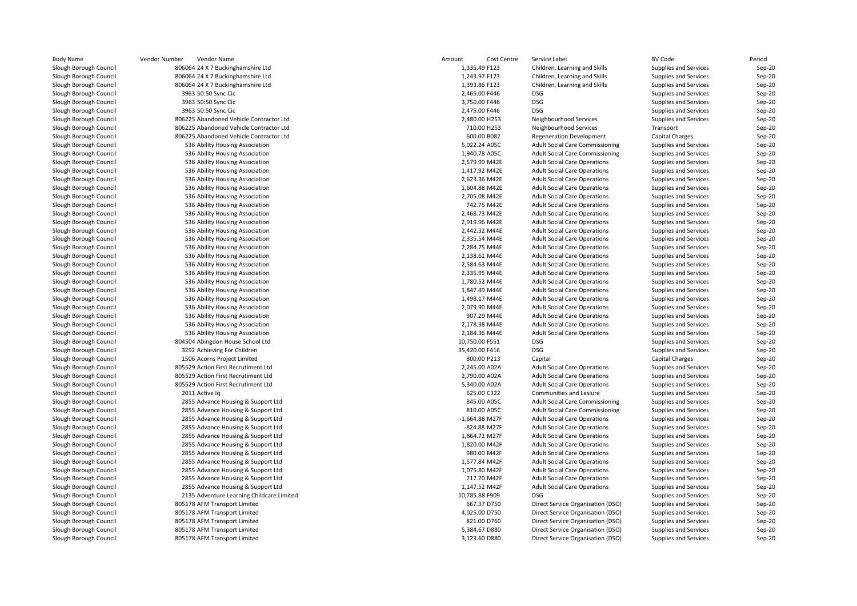| <b>Body Name</b>       | Vendor Number<br>Vendor Name              | Amount<br>Cost Centre | Service Label                          | <b>BV Code</b>        | Period   |
|------------------------|-------------------------------------------|-----------------------|----------------------------------------|-----------------------|----------|
| Slough Borough Council | 806064 24 X 7 Buckinghamshire Ltd         | 1,335.49 F123         | Children, Learning and Skills          | Supplies and Services | Sep-20   |
| Slough Borough Council | 806064 24 X 7 Buckinghamshire Ltd         | 1,243.97 F123         | Children, Learning and Skills          | Supplies and Services | Sep-20   |
| Slough Borough Council | 806064 24 X 7 Buckinghamshire Ltd         | 1,393.86 F123         | Children, Learning and Skills          | Supplies and Services | $Sep-20$ |
| Slough Borough Council | 3963 50:50 Sync Cic                       | 2,465.00 F446         | DSG                                    | Supplies and Services | Sep-20   |
| Slough Borough Council | 3963 50:50 Sync Cic                       | 3,750.00 F446         | <b>DSG</b>                             | Supplies and Services | Sep-20   |
| Slough Borough Council | 3963 50:50 Sync Cic                       | 2,475.00 F446         | DSG                                    | Supplies and Services | Sep-20   |
| Slough Borough Council | 806225 Abandoned Vehicle Contractor Ltd   | 2,480.00 H253         | Neighbourhood Services                 | Supplies and Services | Sep-20   |
| Slough Borough Council | 806225 Abandoned Vehicle Contractor Ltd   | 710.00 H253           | Neighbourhood Services                 | Transport             | Sep-20   |
| Slough Borough Council | 806225 Abandoned Vehicle Contractor Ltd   | 600.00 B082           | <b>Regeneration Development</b>        | Capital Charges       | Sep-20   |
| Slough Borough Council | 536 Ability Housing Association           | 5,022.24 A05C         | <b>Adult Social Care Commissioning</b> | Supplies and Services | Sep-20   |
| Slough Borough Council | 536 Ability Housing Association           | 1,940.78 A05C         | <b>Adult Social Care Commissioning</b> | Supplies and Services | Sep-20   |
| Slough Borough Council | 536 Ability Housing Association           | 2,579.99 M42E         | <b>Adult Social Care Operations</b>    | Supplies and Services | Sep-20   |
| Slough Borough Council | 536 Ability Housing Association           | 1,417.92 M42E         | <b>Adult Social Care Operations</b>    | Supplies and Services | Sep-20   |
| Slough Borough Council | 536 Ability Housing Association           | 2,623.36 M42E         | <b>Adult Social Care Operations</b>    | Supplies and Services | Sep-20   |
| Slough Borough Council | 536 Ability Housing Association           | 1,604.88 M42E         | <b>Adult Social Care Operations</b>    | Supplies and Services | Sep-20   |
| Slough Borough Council | 536 Ability Housing Association           | 2,705.08 M42E         | <b>Adult Social Care Operations</b>    | Supplies and Services | Sep-20   |
| Slough Borough Council | 536 Ability Housing Association           | 742.75 M42E           | <b>Adult Social Care Operations</b>    | Supplies and Services | Sep-20   |
| Slough Borough Council | 536 Ability Housing Association           | 2,468.73 M42E         | <b>Adult Social Care Operations</b>    | Supplies and Services | Sep-20   |
| Slough Borough Council | 536 Ability Housing Association           | 2,919.96 M42E         | <b>Adult Social Care Operations</b>    | Supplies and Services | Sep-20   |
| Slough Borough Council | 536 Ability Housing Association           | 2,442.32 M44E         | <b>Adult Social Care Operations</b>    | Supplies and Services | Sep-20   |
| Slough Borough Council | 536 Ability Housing Association           | 2,335.54 M44E         | <b>Adult Social Care Operations</b>    | Supplies and Services | $Sep-20$ |
| Slough Borough Council | 536 Ability Housing Association           | 2,284.75 M44E         | <b>Adult Social Care Operations</b>    | Supplies and Services | Sep-20   |
| Slough Borough Council | 536 Ability Housing Association           | 2,138.61 M44E         | <b>Adult Social Care Operations</b>    | Supplies and Services | Sep-20   |
| Slough Borough Council | 536 Ability Housing Association           | 2,584.63 M44E         | <b>Adult Social Care Operations</b>    | Supplies and Services | Sep-20   |
| Slough Borough Council | 536 Ability Housing Association           | 2,335.95 M44E         | <b>Adult Social Care Operations</b>    | Supplies and Services | Sep-20   |
| Slough Borough Council | 536 Ability Housing Association           | 1,780.52 M44E         | <b>Adult Social Care Operations</b>    | Supplies and Services | Sep-20   |
| Slough Borough Council | 536 Ability Housing Association           | 1,847.49 M44E         | <b>Adult Social Care Operations</b>    | Supplies and Services | $Sep-20$ |
| Slough Borough Council | 536 Ability Housing Association           | 1,498.17 M44E         | <b>Adult Social Care Operations</b>    | Supplies and Services | Sep-20   |
| Slough Borough Council | 536 Ability Housing Association           | 2,079.90 M44E         | <b>Adult Social Care Operations</b>    | Supplies and Services | Sep-20   |
| Slough Borough Council | 536 Ability Housing Association           | 907.29 M44E           | <b>Adult Social Care Operations</b>    | Supplies and Services | Sep-20   |
| Slough Borough Council | 536 Ability Housing Association           | 2,178.38 M44E         | <b>Adult Social Care Operations</b>    | Supplies and Services | Sep-20   |
| Slough Borough Council | 536 Ability Housing Association           | 2,184.36 M44E         | <b>Adult Social Care Operations</b>    | Supplies and Services | Sep-20   |
| Slough Borough Council | 804504 Abingdon House School Ltd          | 10,750.00 F551        | <b>DSG</b>                             | Supplies and Services | Sep-20   |
| Slough Borough Council | 3292 Achieving For Children               | 35,420.00 F416        | <b>DSG</b>                             | Supplies and Services | $Sep-20$ |
| Slough Borough Council | 1506 Acorns Project Limited               | 800.00 P213           | Capital                                | Capital Charges       | Sep-20   |
| Slough Borough Council | 805529 Action First Recrutiment Ltd       | 2,245.00 A02A         | <b>Adult Social Care Operations</b>    | Supplies and Services | Sep-20   |
| Slough Borough Council | 805529 Action First Recrutiment Ltd       | 2,790.00 A02A         | <b>Adult Social Care Operations</b>    | Supplies and Services | Sep-20   |
| Slough Borough Council | 805529 Action First Recrutiment Ltd       | 5,340.00 A02A         | <b>Adult Social Care Operations</b>    | Supplies and Services | Sep-20   |
| Slough Borough Council | 2011 Active la                            | 625.00 C322           | Communities and Lesiure                | Supplies and Services | Sep-20   |
| Slough Borough Council | 2855 Advance Housing & Support Ltd        | 845.00 A05C           | <b>Adult Social Care Commissioning</b> | Supplies and Services | $Sep-20$ |
| Slough Borough Council | 2855 Advance Housing & Support Ltd        | 810.00 A05C           | Adult Social Care Commissioning        | Supplies and Services | Sep-20   |
| Slough Borough Council | 2855 Advance Housing & Support Ltd        | -1,664.88 M27F        | <b>Adult Social Care Operations</b>    | Supplies and Services | Sep-20   |
| Slough Borough Council | 2855 Advance Housing & Support Ltd        | -824.88 M27F          | <b>Adult Social Care Operations</b>    | Supplies and Services | Sep-20   |
| Slough Borough Council | 2855 Advance Housing & Support Ltd        | 1,864.72 M27F         | <b>Adult Social Care Operations</b>    | Supplies and Services | Sep-20   |
| Slough Borough Council | 2855 Advance Housing & Support Ltd        | 1,820.00 M42F         | <b>Adult Social Care Operations</b>    | Supplies and Services | Sep-20   |
| Slough Borough Council | 2855 Advance Housing & Support Ltd        | 980.00 M42F           | <b>Adult Social Care Operations</b>    | Supplies and Services | Sep-20   |
| Slough Borough Council | 2855 Advance Housing & Support Ltd        | 1,577.84 M42F         | <b>Adult Social Care Operations</b>    | Supplies and Services | Sep-20   |
| Slough Borough Council | 2855 Advance Housing & Support Ltd        | 1,075.80 M42F         | <b>Adult Social Care Operations</b>    | Supplies and Services | Sep-20   |
| Slough Borough Council | 2855 Advance Housing & Support Ltd        | 717.20 M42F           | <b>Adult Social Care Operations</b>    | Supplies and Services | Sep-20   |
| Slough Borough Council | 2855 Advance Housing & Support Ltd        | 1,147.52 M42F         | <b>Adult Social Care Operations</b>    | Supplies and Services | $Sep-20$ |
| Slough Borough Council | 2135 Adventure Learning Childcare Limited | 10,785.88 F909        | <b>DSG</b>                             | Supplies and Services | Sep-20   |
| Slough Borough Council | 805178 AFM Transport Limited              | 667.37 D750           | Direct Service Organisation (DSO)      | Supplies and Services | Sep-20   |
| Slough Borough Council | 805178 AFM Transport Limited              | 4,025.00 D750         | Direct Service Organisation (DSO)      | Supplies and Services | Sep-20   |
| Slough Borough Council | 805178 AFM Transport Limited              | 821.00 D760           | Direct Service Organisation (DSO)      | Supplies and Services | Sep-20   |
| Slough Borough Council | 805178 AFM Transport Limited              | 5,384.67 D880         | Direct Service Organisation (DSO)      | Supplies and Services | Sep-20   |
| Slough Borough Council | 805178 AFM Transport Limited              | 3,123.60 D880         | Direct Service Organisation (DSO)      | Supplies and Services | Sep-20   |
|                        |                                           |                       |                                        |                       |          |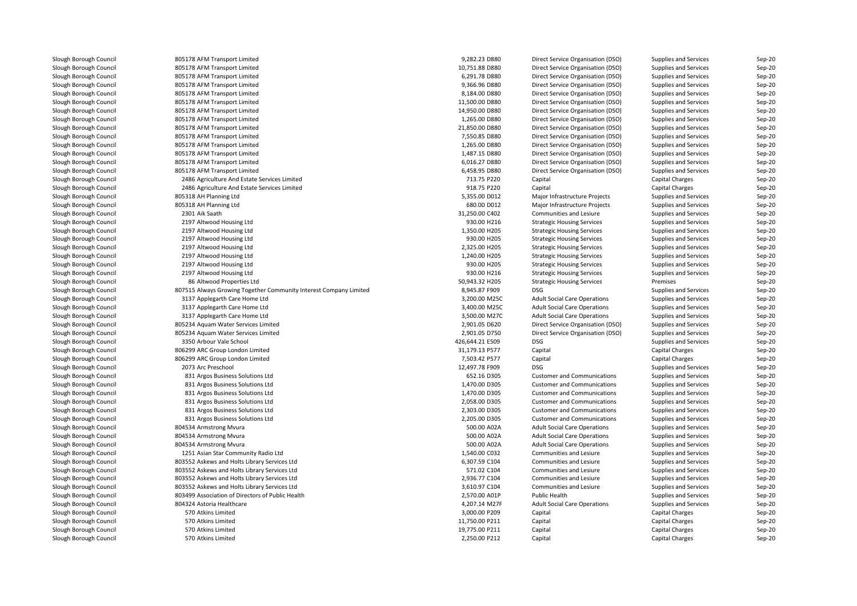| Slough Borough Council | 805178 AFM Transport Limited                                      | 9,282.23 D880   | Direct Service Organisation (DSO)   | Supplies and Services | Sep-20   |
|------------------------|-------------------------------------------------------------------|-----------------|-------------------------------------|-----------------------|----------|
| Slough Borough Council | 805178 AFM Transport Limited                                      | 10,751.88 D880  | Direct Service Organisation (DSO)   | Supplies and Services | $Sep-20$ |
| Slough Borough Council | 805178 AFM Transport Limited                                      | 6,291.78 D880   | Direct Service Organisation (DSO)   | Supplies and Services | Sep-20   |
| Slough Borough Council | 805178 AFM Transport Limited                                      | 9,366.96 D880   | Direct Service Organisation (DSO)   | Supplies and Services | Sep-20   |
| Slough Borough Council | 805178 AFM Transport Limited                                      | 8,184.00 D880   | Direct Service Organisation (DSO)   | Supplies and Services | $Sep-20$ |
| Slough Borough Council | 805178 AFM Transport Limited                                      | 11,500.00 D880  | Direct Service Organisation (DSO)   | Supplies and Services | Sep-20   |
| Slough Borough Council | 805178 AFM Transport Limited                                      | 14,950.00 D880  | Direct Service Organisation (DSO)   | Supplies and Services | Sep-20   |
| Slough Borough Council | 805178 AFM Transport Limited                                      | 1,265.00 D880   | Direct Service Organisation (DSO)   | Supplies and Services | Sep-20   |
| Slough Borough Council | 805178 AFM Transport Limited                                      | 21,850.00 D880  | Direct Service Organisation (DSO)   | Supplies and Services | Sep-20   |
| Slough Borough Council | 805178 AFM Transport Limited                                      | 7,550.85 D880   | Direct Service Organisation (DSO)   | Supplies and Services | Sep-20   |
| Slough Borough Council | 805178 AFM Transport Limited                                      | 1,265.00 D880   | Direct Service Organisation (DSO)   | Supplies and Services | Sep-20   |
| Slough Borough Council | 805178 AFM Transport Limited                                      | 1,487.15 D880   | Direct Service Organisation (DSO)   | Supplies and Services | $Sep-20$ |
| Slough Borough Council | 805178 AFM Transport Limited                                      | 6,016.27 D880   | Direct Service Organisation (DSO)   | Supplies and Services | Sep-20   |
| Slough Borough Council | 805178 AFM Transport Limited                                      | 6,458.95 D880   | Direct Service Organisation (DSO)   | Supplies and Services | Sep-20   |
| Slough Borough Council | 2486 Agriculture And Estate Services Limited                      | 713.75 P220     | Capital                             | Capital Charges       | Sep-20   |
| Slough Borough Council | 2486 Agriculture And Estate Services Limited                      | 918.75 P220     | Capital                             | Capital Charges       | Sep-20   |
| Slough Borough Council | 805318 AH Planning Ltd                                            | 5,355.00 D012   | Major Infrastructure Projects       | Supplies and Services | $Sep-20$ |
| Slough Borough Council | 805318 AH Planning Ltd                                            | 680.00 D012     | Major Infrastructure Projects       | Supplies and Services | $Sep-20$ |
| Slough Borough Council | 2301 Aik Saath                                                    | 31,250.00 C402  | Communities and Lesiure             | Supplies and Services | Sep-20   |
| Slough Borough Council | 2197 Altwood Housing Ltd                                          | 930.00 H216     | <b>Strategic Housing Services</b>   | Supplies and Services | Sep-20   |
| Slough Borough Council | 2197 Altwood Housing Ltd                                          | 1,350.00 H205   | <b>Strategic Housing Services</b>   | Supplies and Services | Sep-20   |
| Slough Borough Council | 2197 Altwood Housing Ltd                                          | 930.00 H205     | <b>Strategic Housing Services</b>   | Supplies and Services | Sep-20   |
| Slough Borough Council | 2197 Altwood Housing Ltd                                          | 2,325.00 H205   | <b>Strategic Housing Services</b>   | Supplies and Services | Sep-20   |
| Slough Borough Council | 2197 Altwood Housing Ltd                                          | 1,240.00 H205   | <b>Strategic Housing Services</b>   | Supplies and Services | Sep-20   |
| Slough Borough Council | 2197 Altwood Housing Ltd                                          | 930.00 H205     | <b>Strategic Housing Services</b>   | Supplies and Services | Sep-20   |
| Slough Borough Council | 2197 Altwood Housing Ltd                                          | 930.00 H216     | <b>Strategic Housing Services</b>   | Supplies and Services | Sep-20   |
| Slough Borough Council | 86 Altwood Properties Ltd                                         | 50,943.32 H205  | <b>Strategic Housing Services</b>   | Premises              | Sep-20   |
| Slough Borough Council | 807515 Always Growing Together Community Interest Company Limited | 8,945.87 F909   | <b>DSG</b>                          | Supplies and Services | $Sep-20$ |
|                        |                                                                   | 3,200.00 M25C   |                                     |                       |          |
| Slough Borough Council | 3137 Applegarth Care Home Ltd                                     |                 | <b>Adult Social Care Operations</b> | Supplies and Services | Sep-20   |
| Slough Borough Council | 3137 Applegarth Care Home Ltd                                     | 3,400.00 M25C   | <b>Adult Social Care Operations</b> | Supplies and Services | Sep-20   |
| Slough Borough Council | 3137 Applegarth Care Home Ltd                                     | 3,500.00 M27C   | <b>Adult Social Care Operations</b> | Supplies and Services | Sep-20   |
| Slough Borough Council | 805234 Aquam Water Services Limited                               | 2,901.05 D620   | Direct Service Organisation (DSO)   | Supplies and Services | Sep-20   |
| Slough Borough Council | 805234 Aquam Water Services Limited                               | 2,901.05 D750   | Direct Service Organisation (DSO)   | Supplies and Services | Sep-20   |
| Slough Borough Council | 3350 Arbour Vale School                                           | 426,644.21 E509 | <b>DSG</b>                          | Supplies and Services | Sep-20   |
| Slough Borough Council | 806299 ARC Group London Limited                                   | 31,179.13 P577  | Capital                             | Capital Charges       | Sep-20   |
| Slough Borough Council | 806299 ARC Group London Limited                                   | 7,503.42 P577   | Capital                             | Capital Charges       | $Sep-20$ |
| Slough Borough Council | 2073 Arc Preschool                                                | 12,497.78 F909  | <b>DSG</b>                          | Supplies and Services | $Sep-20$ |
| Slough Borough Council | 831 Argos Business Solutions Ltd                                  | 652.16 D305     | <b>Customer and Communications</b>  | Supplies and Services | Sep-20   |
| Slough Borough Council | 831 Argos Business Solutions Ltd                                  | 1,470.00 D305   | <b>Customer and Communications</b>  | Supplies and Services | $Sep-20$ |
| Slough Borough Council | 831 Argos Business Solutions Ltd                                  | 1,470.00 D305   | <b>Customer and Communications</b>  | Supplies and Services | Sep-20   |
| Slough Borough Council | 831 Argos Business Solutions Ltd                                  | 2,058.00 D305   | <b>Customer and Communications</b>  | Supplies and Services | Sep-20   |
| Slough Borough Council | 831 Argos Business Solutions Ltd                                  | 2,303.00 D305   | <b>Customer and Communications</b>  | Supplies and Services | Sep-20   |
| Slough Borough Council | 831 Argos Business Solutions Ltd                                  | 2,205.00 D305   | <b>Customer and Communications</b>  | Supplies and Services | Sep-20   |
| Slough Borough Council | 804534 Armstrong Mvura                                            | 500.00 A02A     | <b>Adult Social Care Operations</b> | Supplies and Services | Sep-20   |
| Slough Borough Council | 804534 Armstrong Mvura                                            | 500.00 A02A     | <b>Adult Social Care Operations</b> | Supplies and Services | Sep-20   |
| Slough Borough Council | 804534 Armstrong Mvura                                            | 500.00 A02A     | <b>Adult Social Care Operations</b> | Supplies and Services | Sep-20   |
| Slough Borough Council | 1251 Asian Star Community Radio Ltd                               | 1,540.00 C032   | Communities and Lesiure             | Supplies and Services | Sep-20   |
| Slough Borough Council | 803552 Askews and Holts Library Services Ltd                      | 6,307.59 C104   | Communities and Lesiure             | Supplies and Services | Sep-20   |
| Slough Borough Council | 803552 Askews and Holts Library Services Ltd                      | 571.02 C104     | Communities and Lesiure             | Supplies and Services | Sep-20   |
| Slough Borough Council | 803552 Askews and Holts Library Services Ltd                      | 2,936.77 C104   | Communities and Lesiure             | Supplies and Services | $Sep-20$ |
| Slough Borough Council | 803552 Askews and Holts Library Services Ltd                      | 3,610.97 C104   | Communities and Lesiure             | Supplies and Services | Sep-20   |
| Slough Borough Council | 803499 Association of Directors of Public Health                  | 2,570.00 A01P   | Public Health                       | Supplies and Services | Sep-20   |
| Slough Borough Council | 804324 Astoria Healthcare                                         | 4,207.14 M27F   | <b>Adult Social Care Operations</b> | Supplies and Services | Sep-20   |
| Slough Borough Council | 570 Atkins Limited                                                | 3,000.00 P209   | Capital                             | Capital Charges       | Sep-20   |
| Slough Borough Council | 570 Atkins Limited                                                | 11,750.00 P211  | Capital                             | Capital Charges       | $Sep-20$ |
| Slough Borough Council | 570 Atkins Limited                                                | 19,775.00 P211  | Capital                             | Capital Charges       | Sep-20   |
| Slough Borough Council | 570 Atkins Limited                                                | 2,250.00 P212   | Capital                             | Capital Charges       | Sep-20   |
|                        |                                                                   |                 |                                     |                       |          |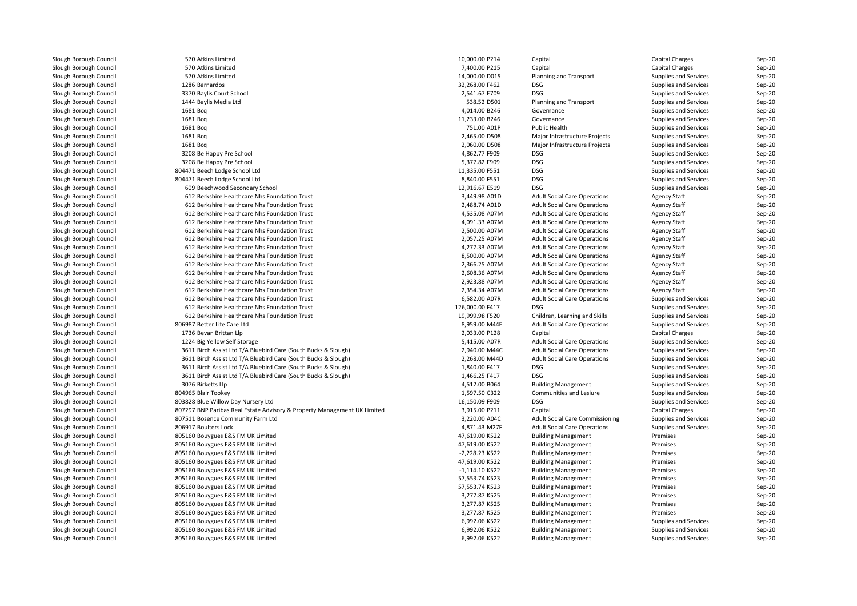| Slough Borough Council | 570 Atkins Limited                                                       | 10,000.00 P214  | Capital                                | Capital Charges       | Sep-20 |
|------------------------|--------------------------------------------------------------------------|-----------------|----------------------------------------|-----------------------|--------|
| Slough Borough Council | 570 Atkins Limited                                                       | 7,400.00 P215   | Capital                                | Capital Charges       | Sep-20 |
| Slough Borough Council | 570 Atkins Limited                                                       | 14,000.00 D015  | Planning and Transport                 | Supplies and Services | Sep-20 |
| Slough Borough Council | 1286 Barnardos                                                           | 32,268.00 F462  | DSG                                    | Supplies and Services | Sep-20 |
| Slough Borough Council | 3370 Baylis Court School                                                 | 2,541.67 E709   | <b>DSG</b>                             | Supplies and Services | Sep-20 |
| Slough Borough Council | 1444 Baylis Media Ltd                                                    | 538.52 D501     | Planning and Transport                 | Supplies and Services | Sep-20 |
| Slough Borough Council | 1681 Bcq                                                                 | 4,014.00 B246   | Governance                             | Supplies and Services | Sep-20 |
| Slough Borough Council | 1681 Bcq                                                                 | 11,233.00 B246  | Governance                             | Supplies and Services | Sep-20 |
| Slough Borough Council | 1681 Bcg                                                                 | 751.00 A01P     | <b>Public Health</b>                   | Supplies and Services | Sep-20 |
| Slough Borough Council | 1681 Bcq                                                                 | 2,465.00 D508   | Major Infrastructure Projects          | Supplies and Services | Sep-20 |
| Slough Borough Council | 1681 Bcq                                                                 | 2,060.00 D508   | Major Infrastructure Projects          | Supplies and Services | Sep-20 |
| Slough Borough Council | 3208 Be Happy Pre School                                                 | 4,862.77 F909   | DSG                                    | Supplies and Services | Sep-20 |
| Slough Borough Council | 3208 Be Happy Pre School                                                 | 5,377.82 F909   | DSG                                    | Supplies and Services | Sep-20 |
| Slough Borough Council | 804471 Beech Lodge School Ltd                                            | 11,335.00 F551  | <b>DSG</b>                             | Supplies and Services | Sep-20 |
| Slough Borough Council | 804471 Beech Lodge School Ltd                                            | 8,840.00 F551   | <b>DSG</b>                             | Supplies and Services | Sep-20 |
| Slough Borough Council | 609 Beechwood Secondary School                                           | 12,916.67 E519  | <b>DSG</b>                             | Supplies and Services | Sep-20 |
| Slough Borough Council | 612 Berkshire Healthcare Nhs Foundation Trust                            | 3,449.98 A01D   | <b>Adult Social Care Operations</b>    | <b>Agency Staff</b>   | Sep-20 |
| Slough Borough Council | 612 Berkshire Healthcare Nhs Foundation Trust                            | 2,488.74 A01D   | <b>Adult Social Care Operations</b>    | <b>Agency Staff</b>   | Sep-20 |
| Slough Borough Council | 612 Berkshire Healthcare Nhs Foundation Trust                            | 4,535.08 A07M   | <b>Adult Social Care Operations</b>    | Agency Staff          | Sep-20 |
| Slough Borough Council | 612 Berkshire Healthcare Nhs Foundation Trust                            | 4,091.33 A07M   | <b>Adult Social Care Operations</b>    | <b>Agency Staff</b>   | Sep-20 |
| Slough Borough Council | 612 Berkshire Healthcare Nhs Foundation Trust                            | 2,500.00 A07M   | <b>Adult Social Care Operations</b>    | <b>Agency Staff</b>   | Sep-20 |
| Slough Borough Council | 612 Berkshire Healthcare Nhs Foundation Trust                            | 2.057.25 A07M   | <b>Adult Social Care Operations</b>    | <b>Agency Staff</b>   | Sep-20 |
| Slough Borough Council | 612 Berkshire Healthcare Nhs Foundation Trust                            | 4,277.33 A07M   | <b>Adult Social Care Operations</b>    | <b>Agency Staff</b>   | Sep-20 |
| Slough Borough Council | 612 Berkshire Healthcare Nhs Foundation Trust                            | 8,500.00 A07M   | <b>Adult Social Care Operations</b>    | Agency Staff          | Sep-20 |
| Slough Borough Council | 612 Berkshire Healthcare Nhs Foundation Trust                            | 2,366.25 A07M   | <b>Adult Social Care Operations</b>    | <b>Agency Staff</b>   | Sep-20 |
| Slough Borough Council | 612 Berkshire Healthcare Nhs Foundation Trust                            | 2,608.36 A07M   | <b>Adult Social Care Operations</b>    | <b>Agency Staff</b>   | Sep-20 |
| Slough Borough Council | 612 Berkshire Healthcare Nhs Foundation Trust                            | 2,923.88 A07M   | <b>Adult Social Care Operations</b>    | <b>Agency Staff</b>   | Sep-20 |
| Slough Borough Council | 612 Berkshire Healthcare Nhs Foundation Trust                            | 2,354.34 A07M   | <b>Adult Social Care Operations</b>    | Agency Staff          | Sep-20 |
| Slough Borough Council | 612 Berkshire Healthcare Nhs Foundation Trust                            | 6,582.00 A07R   | <b>Adult Social Care Operations</b>    | Supplies and Services | Sep-20 |
| Slough Borough Council | 612 Berkshire Healthcare Nhs Foundation Trust                            | 126,000.00 F417 | <b>DSG</b>                             | Supplies and Services | Sep-20 |
| Slough Borough Council | 612 Berkshire Healthcare Nhs Foundation Trust                            | 19,999.98 F520  | Children, Learning and Skills          | Supplies and Services | Sep-20 |
| Slough Borough Council | 806987 Better Life Care Ltd                                              | 8,959.00 M44E   | <b>Adult Social Care Operations</b>    | Supplies and Services | Sep-20 |
| Slough Borough Council | 1736 Bevan Brittan Llp                                                   | 2,033.00 P128   | Capital                                | Capital Charges       | Sep-20 |
| Slough Borough Council | 1224 Big Yellow Self Storage                                             | 5,415.00 A07R   | <b>Adult Social Care Operations</b>    | Supplies and Services | Sep-20 |
| Slough Borough Council | 3611 Birch Assist Ltd T/A Bluebird Care (South Bucks & Slough)           | 2,940.00 M44C   | <b>Adult Social Care Operations</b>    | Supplies and Services | Sep-20 |
| Slough Borough Council | 3611 Birch Assist Ltd T/A Bluebird Care (South Bucks & Slough)           | 2,268.00 M44D   | <b>Adult Social Care Operations</b>    | Supplies and Services | Sep-20 |
| Slough Borough Council | 3611 Birch Assist Ltd T/A Bluebird Care (South Bucks & Slough)           | 1,840.00 F417   | DSG                                    | Supplies and Services | Sep-20 |
| Slough Borough Council | 3611 Birch Assist Ltd T/A Bluebird Care (South Bucks & Slough)           | 1,466.25 F417   | DSG                                    | Supplies and Services | Sep-20 |
| Slough Borough Council | 3076 Birketts Llp                                                        | 4,512.00 B064   | <b>Building Management</b>             | Supplies and Services | Sep-20 |
| Slough Borough Council | 804965 Blair Tookey                                                      | 1,597.50 C322   | Communities and Lesiure                | Supplies and Services | Sep-20 |
| Slough Borough Council | 803828 Blue Willow Day Nursery Ltd                                       | 16,150.09 F909  | <b>DSG</b>                             | Supplies and Services | Sep-20 |
| Slough Borough Council | 807297 BNP Paribas Real Estate Advisory & Property Management UK Limited | 3,915.00 P211   | Capital                                | Capital Charges       | Sep-20 |
| Slough Borough Council | 807511 Bosence Community Farm Ltd                                        | 3,220.00 A04C   | <b>Adult Social Care Commissioning</b> | Supplies and Services | Sep-20 |
| Slough Borough Council | 806917 Boulters Lock                                                     | 4,871.43 M27F   | <b>Adult Social Care Operations</b>    | Supplies and Services | Sep-20 |
| Slough Borough Council | 805160 Bouygues E&S FM UK Limited                                        | 47,619.00 K522  | <b>Building Management</b>             | Premises              | Sep-20 |
| Slough Borough Council | 805160 Bouygues E&S FM UK Limited                                        | 47,619.00 K522  | <b>Building Management</b>             | Premises              | Sep-20 |
| Slough Borough Council | 805160 Bouygues E&S FM UK Limited                                        | -2,228.23 K522  | <b>Building Management</b>             | Premises              | Sep-20 |
| Slough Borough Council | 805160 Bouygues E&S FM UK Limited                                        | 47,619.00 K522  | <b>Building Management</b>             | Premises              | Sep-20 |
| Slough Borough Council | 805160 Bouygues E&S FM UK Limited                                        | -1,114.10 K522  | <b>Building Management</b>             | Premises              | Sep-20 |
| Slough Borough Council | 805160 Bouygues E&S FM UK Limited                                        | 57,553.74 K523  | <b>Building Management</b>             | Premises              | Sep-20 |
| Slough Borough Council | 805160 Bouygues E&S FM UK Limited                                        | 57,553.74 K523  | <b>Building Management</b>             | Premises              | Sep-20 |
| Slough Borough Council | 805160 Bouygues E&S FM UK Limited                                        | 3,277.87 K525   | <b>Building Management</b>             | Premises              | Sep-20 |
| Slough Borough Council | 805160 Bouygues E&S FM UK Limited                                        | 3,277.87 K525   | <b>Building Management</b>             | Premises              | Sep-20 |
| Slough Borough Council | 805160 Bouygues E&S FM UK Limited                                        | 3,277.87 K525   | <b>Building Management</b>             | Premises              | Sep-20 |
| Slough Borough Council | 805160 Bouygues E&S FM UK Limited                                        | 6,992.06 K522   | <b>Building Management</b>             | Supplies and Services | Sep-20 |
| Slough Borough Council | 805160 Bouygues E&S FM UK Limited                                        | 6,992.06 K522   | <b>Building Management</b>             | Supplies and Services | Sep-20 |
| Slough Borough Council | 805160 Bouygues E&S FM UK Limited                                        | 6,992.06 K522   | <b>Building Management</b>             | Supplies and Services | Sep-20 |
|                        |                                                                          |                 |                                        |                       |        |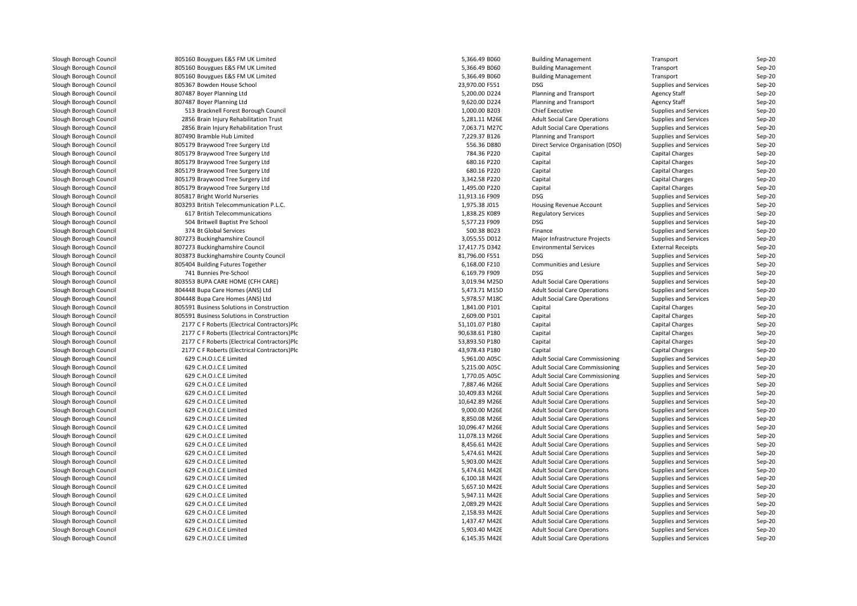| Slough Borough Council                           | 805160 Bouygues E&S FM UK Limited            | 5,366.49 B060  | <b>Building Management</b>                                                 | Transport                                      | Sep-20           |
|--------------------------------------------------|----------------------------------------------|----------------|----------------------------------------------------------------------------|------------------------------------------------|------------------|
| Slough Borough Council                           | 805160 Bouygues E&S FM UK Limited            | 5,366.49 B060  | <b>Building Management</b>                                                 | Transport                                      | Sep-20           |
| Slough Borough Council                           | 805160 Bouygues E&S FM UK Limited            | 5,366.49 B060  | <b>Building Management</b>                                                 | Transport                                      | Sep-20           |
| Slough Borough Council                           | 805367 Bowden House School                   | 23,970.00 F551 | DSG                                                                        | Supplies and Services                          | Sep-20           |
| Slough Borough Council                           | 807487 Boyer Planning Ltd                    | 5,200.00 D224  | Planning and Transport                                                     | Agency Staff                                   | Sep-20           |
| Slough Borough Council                           | 807487 Boyer Planning Ltd                    | 9,620.00 D224  | Planning and Transport                                                     | <b>Agency Staff</b>                            | Sep-20           |
| Slough Borough Council                           | 513 Bracknell Forest Borough Council         | 1,000.00 B203  | <b>Chief Executive</b>                                                     | Supplies and Services                          | Sep-20           |
| Slough Borough Council                           | 2856 Brain Injury Rehabilitation Trust       | 5,281.11 M26E  | <b>Adult Social Care Operations</b>                                        | Supplies and Services                          | Sep-20           |
| Slough Borough Council                           | 2856 Brain Injury Rehabilitation Trust       | 7,063.71 M27C  | <b>Adult Social Care Operations</b>                                        | Supplies and Services                          | Sep-20           |
| Slough Borough Council                           | 807490 Bramble Hub Limited                   | 7,229.37 B126  | Planning and Transport                                                     | Supplies and Services                          | Sep-20           |
| Slough Borough Council                           | 805179 Braywood Tree Surgery Ltd             | 556.36 D880    | Direct Service Organisation (DSO)                                          | Supplies and Services                          | Sep-20           |
| Slough Borough Council                           | 805179 Braywood Tree Surgery Ltd             | 784.36 P220    | Capital                                                                    | Capital Charges                                | Sep-20           |
| Slough Borough Council                           | 805179 Braywood Tree Surgery Ltd             | 680.16 P220    | Capital                                                                    | Capital Charges                                | Sep-20           |
| Slough Borough Council                           | 805179 Braywood Tree Surgery Ltd             | 680.16 P220    | Capital                                                                    | Capital Charges                                | Sep-20           |
| Slough Borough Council                           | 805179 Braywood Tree Surgery Ltd             | 3,342.58 P220  | Capital                                                                    | Capital Charges                                | Sep-20           |
| Slough Borough Council                           | 805179 Braywood Tree Surgery Ltd             | 1,495.00 P220  | Capital                                                                    | Capital Charges                                | Sep-20           |
| Slough Borough Council                           | 805817 Bright World Nurseries                | 11,913.16 F909 | <b>DSG</b>                                                                 | Supplies and Services                          | Sep-20           |
| Slough Borough Council                           | 803293 British Telecommunication P.L.C.      | 1,975.38 J015  | Housing Revenue Account                                                    | Supplies and Services                          | Sep-20           |
|                                                  | 617 British Telecommunications               | 1,838.25 K089  |                                                                            |                                                |                  |
| Slough Borough Council                           |                                              |                | <b>Regulatory Services</b><br><b>DSG</b>                                   | Supplies and Services                          | Sep-20           |
| Slough Borough Council                           | 504 Britwell Baptist Pre School              | 5,577.23 F909  |                                                                            | Supplies and Services                          | Sep-20           |
| Slough Borough Council                           | 374 Bt Global Services                       | 500.38 B023    | Finance                                                                    | Supplies and Services                          | Sep-20           |
| Slough Borough Council                           | 807273 Buckinghamshire Council               | 3,055.55 D012  | Major Infrastructure Projects                                              | Supplies and Services                          | Sep-20           |
| Slough Borough Council                           | 807273 Buckinghamshire Council               | 17,417.75 D342 | <b>Environmental Services</b>                                              | <b>External Receipts</b>                       | Sep-20           |
| Slough Borough Council                           | 803873 Buckinghamshire County Council        | 81,796.00 F551 | <b>DSG</b>                                                                 | Supplies and Services                          | Sep-20           |
| Slough Borough Council                           | 805404 Building Futures Together             | 6,168.00 F210  | Communities and Lesiure                                                    | Supplies and Services                          | Sep-20           |
| Slough Borough Council                           | 741 Bunnies Pre-School                       | 6,169.79 F909  | <b>DSG</b>                                                                 | Supplies and Services                          | Sep-20           |
| Slough Borough Council                           | 803553 BUPA CARE HOME (CFH CARE)             | 3,019.94 M25D  | <b>Adult Social Care Operations</b>                                        | Supplies and Services                          | Sep-20           |
| Slough Borough Council                           | 804448 Bupa Care Homes (ANS) Ltd             | 5,473.71 M15D  | <b>Adult Social Care Operations</b>                                        | Supplies and Services                          | Sep-20           |
| Slough Borough Council                           | 804448 Bupa Care Homes (ANS) Ltd             | 5,978.57 M18C  | <b>Adult Social Care Operations</b>                                        | Supplies and Services                          | Sep-20           |
| Slough Borough Council                           | 805591 Business Solutions in Construction    | 1,841.00 P101  | Capital                                                                    | Capital Charges                                | Sep-20           |
| Slough Borough Council                           | 805591 Business Solutions in Construction    | 2,609.00 P101  | Capital                                                                    | Capital Charges                                | Sep-20           |
| Slough Borough Council                           | 2177 C F Roberts (Electrical Contractors)Plc | 51,101.07 P180 | Capital                                                                    | Capital Charges                                | Sep-20           |
| Slough Borough Council                           | 2177 C F Roberts (Electrical Contractors)Plc | 90,638.61 P180 | Capital                                                                    | Capital Charges                                | Sep-20           |
| Slough Borough Council                           | 2177 C F Roberts (Electrical Contractors)Plc | 53,893.50 P180 | Capital                                                                    | Capital Charges                                | Sep-20           |
| Slough Borough Council                           | 2177 C F Roberts (Electrical Contractors)Plc | 43,978.43 P180 | Capital                                                                    | Capital Charges                                | Sep-20           |
| Slough Borough Council                           | 629 C.H.O.I.C.E Limited                      | 5,961.00 A05C  | Adult Social Care Commissioning                                            | Supplies and Services                          | Sep-20           |
| Slough Borough Council                           | 629 C.H.O.I.C.E Limited                      | 5,215.00 A05C  | <b>Adult Social Care Commissioning</b>                                     | Supplies and Services                          | Sep-20           |
| Slough Borough Council                           | 629 C.H.O.I.C.E Limited                      | 1,770.05 A05C  | Adult Social Care Commissioning                                            | Supplies and Services                          | Sep-20           |
| Slough Borough Council                           | 629 C.H.O.I.C.E Limited                      | 7,887.46 M26E  | <b>Adult Social Care Operations</b>                                        | Supplies and Services                          | Sep-20           |
| Slough Borough Council                           | 629 C.H.O.I.C.E Limited                      | 10,409.83 M26E | <b>Adult Social Care Operations</b>                                        | Supplies and Services                          | Sep-20           |
| Slough Borough Council                           | 629 C.H.O.I.C.E Limited                      | 10,642.89 M26E | <b>Adult Social Care Operations</b>                                        | Supplies and Services                          | Sep-20           |
| Slough Borough Council                           | 629 C.H.O.I.C.E Limited                      | 9,000.00 M26E  | <b>Adult Social Care Operations</b>                                        | Supplies and Services                          | Sep-20           |
| Slough Borough Council                           | 629 C.H.O.I.C.E Limited                      | 8,850.08 M26E  | <b>Adult Social Care Operations</b>                                        | Supplies and Services                          | Sep-20           |
| Slough Borough Council                           | 629 C.H.O.I.C.E Limited                      | 10,096.47 M26E | <b>Adult Social Care Operations</b>                                        | Supplies and Services                          | Sep-20           |
| Slough Borough Council                           | 629 C.H.O.I.C.E Limited                      | 11,078.13 M26E | <b>Adult Social Care Operations</b>                                        | Supplies and Services                          | Sep-20           |
| Slough Borough Council                           | 629 C.H.O.I.C.E Limited                      | 8,456.61 M42E  | <b>Adult Social Care Operations</b>                                        | Supplies and Services                          | Sep-20           |
| Slough Borough Council                           | 629 C.H.O.I.C.E Limited                      | 5,474.61 M42E  | <b>Adult Social Care Operations</b>                                        | Supplies and Services                          | Sep-20           |
| Slough Borough Council                           | 629 C.H.O.I.C.E Limited                      | 5,903.00 M42E  | <b>Adult Social Care Operations</b>                                        | Supplies and Services                          | Sep-20           |
| Slough Borough Council                           | 629 C.H.O.I.C.E Limited                      | 5,474.61 M42E  | <b>Adult Social Care Operations</b>                                        | Supplies and Services                          | Sep-20           |
| Slough Borough Council                           | 629 C.H.O.I.C.E Limited                      | 6,100.18 M42E  | <b>Adult Social Care Operations</b>                                        | Supplies and Services                          | Sep-20           |
| Slough Borough Council                           | 629 C.H.O.I.C.E Limited                      | 5,657.10 M42E  | <b>Adult Social Care Operations</b>                                        | Supplies and Services                          | Sep-20           |
| Slough Borough Council                           | 629 C.H.O.I.C.E Limited                      | 5,947.11 M42E  | <b>Adult Social Care Operations</b>                                        | Supplies and Services                          | Sep-20           |
| Slough Borough Council                           | 629 C.H.O.I.C.E Limited                      | 2,089.29 M42E  | <b>Adult Social Care Operations</b>                                        | Supplies and Services                          | Sep-20           |
|                                                  | 629 C.H.O.I.C.E Limited                      | 2,158.93 M42E  |                                                                            |                                                |                  |
| Slough Borough Council<br>Slough Borough Council | 629 C.H.O.I.C.E Limited                      | 1,437.47 M42E  | <b>Adult Social Care Operations</b><br><b>Adult Social Care Operations</b> | Supplies and Services<br>Supplies and Services | Sep-20<br>Sep-20 |
|                                                  |                                              |                |                                                                            |                                                |                  |
| Slough Borough Council                           | 629 C.H.O.I.C.E Limited                      | 5,903.40 M42E  | <b>Adult Social Care Operations</b>                                        | Supplies and Services                          | Sep-20           |
| Slough Borough Council                           | 629 C.H.O.I.C.E Limited                      | 6,145.35 M42E  | <b>Adult Social Care Operations</b>                                        | Supplies and Services                          | Sep-20           |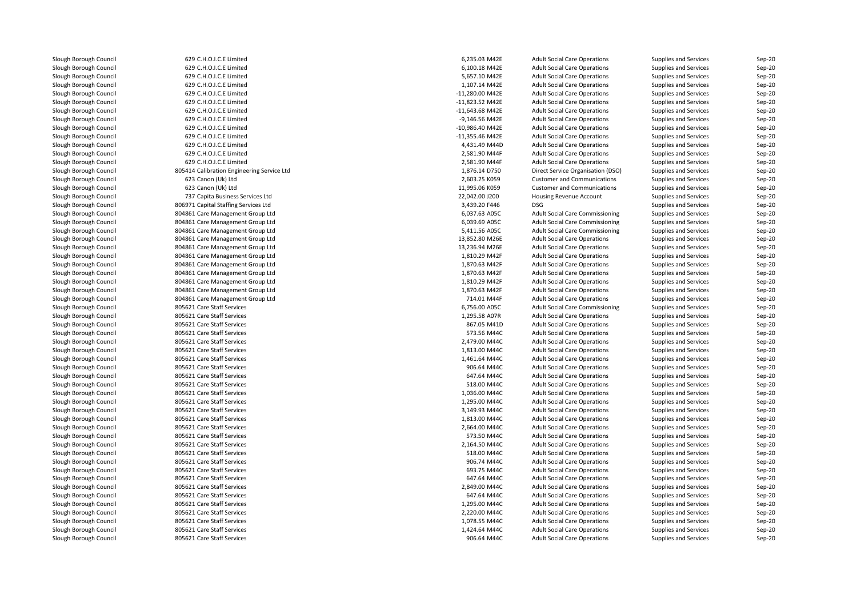| Slough Borough Council                           | 629 C.H.O.I.C.E Limited                                        | 6,235.03 M42E     | <b>Adult Social Care Operations</b>                                        | Supplies and Services                          | $Sep-20$             |
|--------------------------------------------------|----------------------------------------------------------------|-------------------|----------------------------------------------------------------------------|------------------------------------------------|----------------------|
| Slough Borough Council                           | 629 C.H.O.I.C.E Limited                                        | 6,100.18 M42E     | <b>Adult Social Care Operations</b>                                        | Supplies and Services                          | $Sep-20$             |
| Slough Borough Council                           | 629 C.H.O.I.C.E Limited                                        | 5,657.10 M42E     | <b>Adult Social Care Operations</b>                                        | Supplies and Services                          | $Sep-20$             |
| Slough Borough Council                           | 629 C.H.O.I.C.E Limited                                        | 1,107.14 M42E     | <b>Adult Social Care Operations</b>                                        | Supplies and Services                          | Sep-20               |
| Slough Borough Council                           | 629 C.H.O.I.C.E Limited                                        | -11,280.00 M42E   | <b>Adult Social Care Operations</b>                                        | Supplies and Services                          | $Sep-20$             |
| Slough Borough Council                           | 629 C.H.O.I.C.E Limited                                        | -11,823.52 M42E   | <b>Adult Social Care Operations</b>                                        | Supplies and Services                          | $Sep-20$             |
| Slough Borough Council                           | 629 C.H.O.I.C.E Limited                                        | $-11,643.68$ M42E | <b>Adult Social Care Operations</b>                                        | Supplies and Services                          | $Sep-20$             |
| Slough Borough Council                           | 629 C.H.O.I.C.E Limited                                        | -9,146.56 M42E    | <b>Adult Social Care Operations</b>                                        | Supplies and Services                          | $Sep-20$             |
| Slough Borough Council                           | 629 C.H.O.I.C.E Limited                                        | -10,986.40 M42E   | <b>Adult Social Care Operations</b>                                        | Supplies and Services                          | $Sep-20$             |
| Slough Borough Council                           | 629 C.H.O.I.C.E Limited                                        | $-11,355.46$ M42E | <b>Adult Social Care Operations</b>                                        | Supplies and Services                          | $Sep-20$             |
| Slough Borough Council                           | 629 C.H.O.I.C.E Limited                                        | 4,431.49 M44D     | <b>Adult Social Care Operations</b>                                        | Supplies and Services                          | $Sep-20$             |
| Slough Borough Council                           | 629 C.H.O.I.C.E Limited                                        | 2,581.90 M44F     | <b>Adult Social Care Operations</b>                                        | Supplies and Services                          | $Sep-20$             |
| Slough Borough Council                           | 629 C.H.O.I.C.E Limited                                        | 2,581.90 M44F     | <b>Adult Social Care Operations</b>                                        | Supplies and Services                          | $Sep-20$             |
| Slough Borough Council                           | 805414 Calibration Engineering Service Ltd                     | 1,876.14 D750     | Direct Service Organisation (DSO)                                          | Supplies and Services                          | $Sep-20$             |
| Slough Borough Council                           | 623 Canon (Uk) Ltd                                             | 2,603.25 K059     | <b>Customer and Communications</b>                                         | Supplies and Services                          | $Sep-20$             |
| Slough Borough Council                           | 623 Canon (Uk) Ltd                                             | 11,995.06 K059    | <b>Customer and Communications</b>                                         | Supplies and Services                          | $Sep-20$             |
| Slough Borough Council                           | 737 Capita Business Services Ltd                               | 22,042.00 J200    | <b>Housing Revenue Account</b>                                             | Supplies and Services                          | $Sep-20$             |
| Slough Borough Council                           | 806971 Capital Staffing Services Ltd                           | 3,439.20 F446     | <b>DSG</b>                                                                 | Supplies and Services                          | $Sep-20$             |
| Slough Borough Council                           | 804861 Care Management Group Ltd                               | 6,037.63 A05C     | Adult Social Care Commissioning                                            | Supplies and Services                          | $Sep-20$             |
| Slough Borough Council                           | 804861 Care Management Group Ltd                               | 6,039.69 A05C     | Adult Social Care Commissioning                                            | Supplies and Services                          | $Sep-20$             |
| Slough Borough Council                           | 804861 Care Management Group Ltd                               | 5,411.56 A05C     | Adult Social Care Commissioning                                            | Supplies and Services                          | Sep-20               |
| Slough Borough Council                           | 804861 Care Management Group Ltd                               | 13,852.80 M26E    | <b>Adult Social Care Operations</b>                                        | Supplies and Services                          | $Sep-20$             |
| Slough Borough Council                           | 804861 Care Management Group Ltd                               | 13,236.94 M26E    | <b>Adult Social Care Operations</b>                                        | Supplies and Services                          | $Sep-20$             |
| Slough Borough Council                           | 804861 Care Management Group Ltd                               | 1,810.29 M42F     | <b>Adult Social Care Operations</b>                                        | Supplies and Services                          | Sep-20               |
| Slough Borough Council                           | 804861 Care Management Group Ltd                               | 1,870.63 M42F     | <b>Adult Social Care Operations</b>                                        | Supplies and Services                          | $Sep-20$             |
| Slough Borough Council                           | 804861 Care Management Group Ltd                               | 1,870.63 M42F     | <b>Adult Social Care Operations</b>                                        | Supplies and Services                          | $Sep-20$             |
| Slough Borough Council                           | 804861 Care Management Group Ltd                               | 1,810.29 M42F     | <b>Adult Social Care Operations</b>                                        | Supplies and Services                          | $Sep-20$             |
| Slough Borough Council                           |                                                                | 1,870.63 M42F     |                                                                            |                                                |                      |
| Slough Borough Council                           | 804861 Care Management Group Ltd                               | 714.01 M44F       | <b>Adult Social Care Operations</b>                                        | Supplies and Services                          | Sep-20               |
| Slough Borough Council                           | 804861 Care Management Group Ltd<br>805621 Care Staff Services | 6,756.00 A05C     | <b>Adult Social Care Operations</b><br>Adult Social Care Commissioning     | Supplies and Services<br>Supplies and Services | $Sep-20$<br>$Sep-20$ |
|                                                  | 805621 Care Staff Services                                     | 1,295.58 A07R     |                                                                            |                                                |                      |
| Slough Borough Council                           |                                                                | 867.05 M41D       | <b>Adult Social Care Operations</b>                                        | Supplies and Services                          | Sep-20               |
| Slough Borough Council<br>Slough Borough Council | 805621 Care Staff Services<br>805621 Care Staff Services       | 573.56 M44C       | <b>Adult Social Care Operations</b><br><b>Adult Social Care Operations</b> | Supplies and Services                          | $Sep-20$             |
|                                                  |                                                                |                   |                                                                            | Supplies and Services                          | $Sep-20$             |
| Slough Borough Council                           | 805621 Care Staff Services                                     | 2,479.00 M44C     | <b>Adult Social Care Operations</b>                                        | Supplies and Services                          | $Sep-20$             |
| Slough Borough Council                           | 805621 Care Staff Services                                     | 1,813.00 M44C     | <b>Adult Social Care Operations</b>                                        | Supplies and Services                          | $Sep-20$             |
| Slough Borough Council                           | 805621 Care Staff Services                                     | 1,461.64 M44C     | <b>Adult Social Care Operations</b>                                        | Supplies and Services                          | $Sep-20$             |
| Slough Borough Council                           | 805621 Care Staff Services                                     | 906.64 M44C       | <b>Adult Social Care Operations</b>                                        | Supplies and Services                          | $Sep-20$             |
| Slough Borough Council                           | 805621 Care Staff Services                                     | 647.64 M44C       | <b>Adult Social Care Operations</b>                                        | Supplies and Services                          | $Sep-20$             |
| Slough Borough Council                           | 805621 Care Staff Services                                     | 518.00 M44C       | <b>Adult Social Care Operations</b>                                        | Supplies and Services                          | $Sep-20$             |
| Slough Borough Council                           | 805621 Care Staff Services                                     | 1,036.00 M44C     | <b>Adult Social Care Operations</b>                                        | Supplies and Services                          | $Sep-20$             |
| Slough Borough Council                           | 805621 Care Staff Services                                     | 1.295.00 M44C     | <b>Adult Social Care Operations</b>                                        | Supplies and Services                          | $Sep-20$             |
| Slough Borough Council                           | 805621 Care Staff Services                                     | 3,149.93 M44C     | <b>Adult Social Care Operations</b>                                        | Supplies and Services                          | $Sep-20$             |
| Slough Borough Council                           | 805621 Care Staff Services                                     | 1,813.00 M44C     | <b>Adult Social Care Operations</b>                                        | Supplies and Services                          | $Sep-20$             |
| Slough Borough Council                           | 805621 Care Staff Services                                     | 2.664.00 M44C     | <b>Adult Social Care Operations</b>                                        | Supplies and Services                          | $Sep-20$             |
| Slough Borough Council                           | 805621 Care Staff Services                                     | 573.50 M44C       | <b>Adult Social Care Operations</b>                                        | Supplies and Services                          | Sep-20               |
| Slough Borough Council                           | 805621 Care Staff Services                                     | 2,164.50 M44C     | <b>Adult Social Care Operations</b>                                        | Supplies and Services                          | $Sep-20$             |
| Slough Borough Council                           | 805621 Care Staff Services                                     | 518.00 M44C       | <b>Adult Social Care Operations</b>                                        | Supplies and Services                          | $Sep-20$             |
| Slough Borough Council                           | 805621 Care Staff Services                                     | 906.74 M44C       | <b>Adult Social Care Operations</b>                                        | Supplies and Services                          | $Sep-20$             |
| Slough Borough Council                           | 805621 Care Staff Services                                     | 693.75 M44C       | <b>Adult Social Care Operations</b>                                        | Supplies and Services                          | $Sep-20$             |
| Slough Borough Council                           | 805621 Care Staff Services                                     | 647.64 M44C       | <b>Adult Social Care Operations</b>                                        | Supplies and Services                          | $Sep-20$             |
| Slough Borough Council                           | 805621 Care Staff Services                                     | 2.849.00 M44C     | <b>Adult Social Care Operations</b>                                        | Supplies and Services                          | $Sep-20$             |
| Slough Borough Council                           | 805621 Care Staff Services                                     | 647.64 M44C       | <b>Adult Social Care Operations</b>                                        | Supplies and Services                          | $Sep-20$             |
| Slough Borough Council                           | 805621 Care Staff Services                                     | 1,295.00 M44C     | <b>Adult Social Care Operations</b>                                        | Supplies and Services                          | $Sep-20$             |
| Slough Borough Council                           | 805621 Care Staff Services                                     | 2,220.00 M44C     | <b>Adult Social Care Operations</b>                                        | Supplies and Services                          | $Sep-20$             |
| Slough Borough Council                           | 805621 Care Staff Services                                     | 1,078.55 M44C     | <b>Adult Social Care Operations</b>                                        | Supplies and Services                          | $Sep-20$             |
| Slough Borough Council                           | 805621 Care Staff Services                                     | 1,424.64 M44C     | <b>Adult Social Care Operations</b>                                        | Supplies and Services                          | $Sep-20$             |
| Slough Borough Council                           | 805621 Care Staff Services                                     | 906.64 M44C       | <b>Adult Social Care Operations</b>                                        | Supplies and Services                          | $Sep-20$             |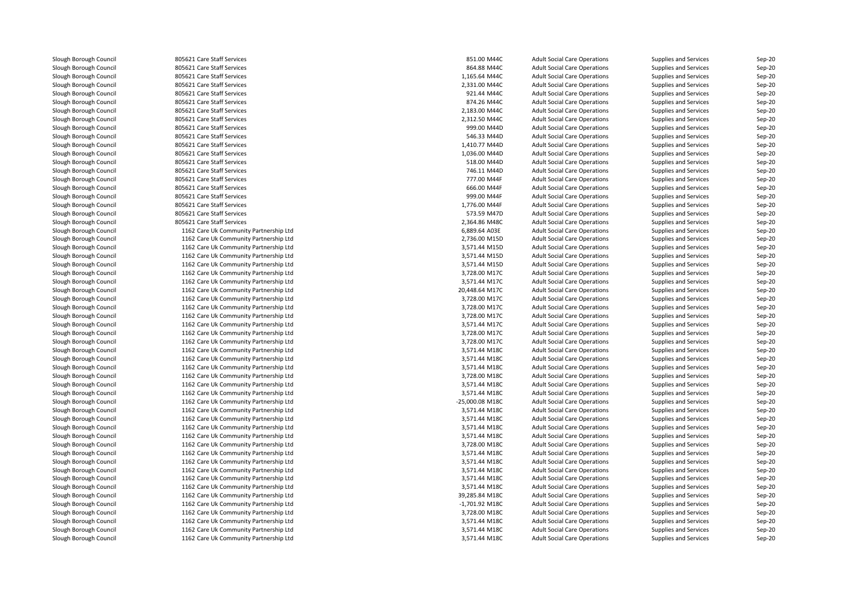| Slough Borough Council | 805621 Care Staff Services             | 851.00 M44C      | <b>Adult Social Care Operations</b> | Supplies and Services        | Sep-20   |
|------------------------|----------------------------------------|------------------|-------------------------------------|------------------------------|----------|
| Slough Borough Council | 805621 Care Staff Services             | 864.88 M44C      | <b>Adult Social Care Operations</b> | Supplies and Services        | Sep-20   |
| Slough Borough Council | 805621 Care Staff Services             | 1,165.64 M44C    | <b>Adult Social Care Operations</b> | Supplies and Services        | Sep-20   |
| Slough Borough Council | 805621 Care Staff Services             | 2,331.00 M44C    | <b>Adult Social Care Operations</b> | Supplies and Services        | Sep-20   |
| Slough Borough Council | 805621 Care Staff Services             | 921.44 M44C      | <b>Adult Social Care Operations</b> | Supplies and Services        | $Sep-20$ |
| Slough Borough Council | 805621 Care Staff Services             | 874.26 M44C      | <b>Adult Social Care Operations</b> | Supplies and Services        | Sep-20   |
| Slough Borough Council | 805621 Care Staff Services             | 2,183.00 M44C    | <b>Adult Social Care Operations</b> | Supplies and Services        | Sep-20   |
| Slough Borough Council | 805621 Care Staff Services             | 2,312.50 M44C    | <b>Adult Social Care Operations</b> | Supplies and Services        | Sep-20   |
| Slough Borough Council | 805621 Care Staff Services             | 999.00 M44D      | <b>Adult Social Care Operations</b> | Supplies and Services        | Sep-20   |
| Slough Borough Council | 805621 Care Staff Services             | 546.33 M44D      | <b>Adult Social Care Operations</b> | Supplies and Services        | Sep-20   |
| Slough Borough Council | 805621 Care Staff Services             | 1,410.77 M44D    | <b>Adult Social Care Operations</b> | Supplies and Services        | $Sep-20$ |
| Slough Borough Council | 805621 Care Staff Services             | 1.036.00 M44D    | <b>Adult Social Care Operations</b> | Supplies and Services        | $Sep-20$ |
| Slough Borough Council | 805621 Care Staff Services             | 518.00 M44D      | <b>Adult Social Care Operations</b> | Supplies and Services        | Sep-20   |
| Slough Borough Council | 805621 Care Staff Services             | 746.11 M44D      | <b>Adult Social Care Operations</b> | Supplies and Services        | $Sep-20$ |
| Slough Borough Council | 805621 Care Staff Services             | 777.00 M44F      | <b>Adult Social Care Operations</b> | Supplies and Services        | Sep-20   |
| Slough Borough Council | 805621 Care Staff Services             | 666.00 M44F      | <b>Adult Social Care Operations</b> | Supplies and Services        | $Sep-20$ |
| Slough Borough Council | 805621 Care Staff Services             | 999.00 M44F      | <b>Adult Social Care Operations</b> | Supplies and Services        | Sep-20   |
| Slough Borough Council | 805621 Care Staff Services             | 1,776.00 M44F    | <b>Adult Social Care Operations</b> | Supplies and Services        | Sep-20   |
| Slough Borough Council | 805621 Care Staff Services             | 573.59 M47D      | <b>Adult Social Care Operations</b> | <b>Supplies and Services</b> | $Sep-20$ |
| Slough Borough Council | 805621 Care Staff Services             | 2,364.86 M48C    | <b>Adult Social Care Operations</b> | Supplies and Services        | $Sep-20$ |
| Slough Borough Council | 1162 Care Uk Community Partnership Ltd | 6,889.64 A03E    | <b>Adult Social Care Operations</b> | Supplies and Services        | Sep-20   |
| Slough Borough Council | 1162 Care Uk Community Partnership Ltd | 2,736.00 M15D    | <b>Adult Social Care Operations</b> | Supplies and Services        | Sep-20   |
| Slough Borough Council | 1162 Care Uk Community Partnership Ltd | 3,571.44 M15D    | <b>Adult Social Care Operations</b> | Supplies and Services        | Sep-20   |
| Slough Borough Council | 1162 Care Uk Community Partnership Ltd | 3,571.44 M15D    | <b>Adult Social Care Operations</b> | Supplies and Services        | Sep-20   |
| Slough Borough Council | 1162 Care Uk Community Partnership Ltd | 3,571.44 M15D    | <b>Adult Social Care Operations</b> | Supplies and Services        | Sep-20   |
| Slough Borough Council | 1162 Care Uk Community Partnership Ltd | 3,728.00 M17C    | <b>Adult Social Care Operations</b> | Supplies and Services        | Sep-20   |
| Slough Borough Council | 1162 Care Uk Community Partnership Ltd | 3,571.44 M17C    | <b>Adult Social Care Operations</b> | Supplies and Services        | Sep-20   |
| Slough Borough Council | 1162 Care Uk Community Partnership Ltd | 20,448.64 M17C   | <b>Adult Social Care Operations</b> | Supplies and Services        | Sep-20   |
| Slough Borough Council | 1162 Care Uk Community Partnership Ltd | 3,728.00 M17C    | <b>Adult Social Care Operations</b> | Supplies and Services        | Sep-20   |
| Slough Borough Council | 1162 Care Uk Community Partnership Ltd | 3,728.00 M17C    | <b>Adult Social Care Operations</b> | Supplies and Services        | Sep-20   |
| Slough Borough Council | 1162 Care Uk Community Partnership Ltd | 3,728.00 M17C    | <b>Adult Social Care Operations</b> | Supplies and Services        | Sep-20   |
| Slough Borough Council | 1162 Care Uk Community Partnership Ltd | 3,571.44 M17C    | <b>Adult Social Care Operations</b> | Supplies and Services        | Sep-20   |
| Slough Borough Council | 1162 Care Uk Community Partnership Ltd | 3,728.00 M17C    | <b>Adult Social Care Operations</b> | Supplies and Services        | Sep-20   |
| Slough Borough Council | 1162 Care Uk Community Partnership Ltd | 3.728.00 M17C    | <b>Adult Social Care Operations</b> | <b>Supplies and Services</b> | Sep-20   |
| Slough Borough Council | 1162 Care Uk Community Partnership Ltd | 3,571.44 M18C    | <b>Adult Social Care Operations</b> | Supplies and Services        | Sep-20   |
| Slough Borough Council | 1162 Care Uk Community Partnership Ltd | 3,571.44 M18C    | <b>Adult Social Care Operations</b> | Supplies and Services        | Sep-20   |
| Slough Borough Council | 1162 Care Uk Community Partnership Ltd | 3,571.44 M18C    | <b>Adult Social Care Operations</b> | Supplies and Services        | Sep-20   |
| Slough Borough Council | 1162 Care Uk Community Partnership Ltd | 3,728.00 M18C    | <b>Adult Social Care Operations</b> | Supplies and Services        | Sep-20   |
| Slough Borough Council | 1162 Care Uk Community Partnership Ltd | 3,571.44 M18C    | <b>Adult Social Care Operations</b> | Supplies and Services        | Sep-20   |
| Slough Borough Council | 1162 Care Uk Community Partnership Ltd | 3,571.44 M18C    | <b>Adult Social Care Operations</b> | Supplies and Services        | Sep-20   |
| Slough Borough Council | 1162 Care Uk Community Partnership Ltd | -25,000.08 M18C  | <b>Adult Social Care Operations</b> | Supplies and Services        | Sep-20   |
| Slough Borough Council | 1162 Care Uk Community Partnership Ltd | 3,571.44 M18C    | <b>Adult Social Care Operations</b> | Supplies and Services        | Sep-20   |
| Slough Borough Council | 1162 Care Uk Community Partnership Ltd | 3,571.44 M18C    | <b>Adult Social Care Operations</b> | Supplies and Services        | Sep-20   |
| Slough Borough Council | 1162 Care Uk Community Partnership Ltd | 3,571.44 M18C    | <b>Adult Social Care Operations</b> | Supplies and Services        | $Sep-20$ |
| Slough Borough Council | 1162 Care Uk Community Partnership Ltd | 3,571.44 M18C    | <b>Adult Social Care Operations</b> | Supplies and Services        | Sep-20   |
| Slough Borough Council | 1162 Care Uk Community Partnership Ltd | 3,728.00 M18C    | <b>Adult Social Care Operations</b> | Supplies and Services        | Sep-20   |
| Slough Borough Council | 1162 Care Uk Community Partnership Ltd | 3,571.44 M18C    | <b>Adult Social Care Operations</b> | Supplies and Services        | Sep-20   |
| Slough Borough Council | 1162 Care Uk Community Partnership Ltd | 3,571.44 M18C    | <b>Adult Social Care Operations</b> | Supplies and Services        | $Sep-20$ |
| Slough Borough Council | 1162 Care Uk Community Partnership Ltd | 3,571.44 M18C    | <b>Adult Social Care Operations</b> | Supplies and Services        | Sep-20   |
| Slough Borough Council | 1162 Care Uk Community Partnership Ltd | 3,571.44 M18C    | <b>Adult Social Care Operations</b> | Supplies and Services        | Sep-20   |
| Slough Borough Council | 1162 Care Uk Community Partnership Ltd | 3,571.44 M18C    | <b>Adult Social Care Operations</b> | Supplies and Services        | $Sep-20$ |
| Slough Borough Council | 1162 Care Uk Community Partnership Ltd | 39,285.84 M18C   | <b>Adult Social Care Operations</b> | Supplies and Services        | Sep-20   |
| Slough Borough Council | 1162 Care Uk Community Partnership Ltd | $-1,701.92$ M18C | <b>Adult Social Care Operations</b> | Supplies and Services        | Sep-20   |
| Slough Borough Council | 1162 Care Uk Community Partnership Ltd | 3,728.00 M18C    | <b>Adult Social Care Operations</b> | Supplies and Services        | $Sep-20$ |
| Slough Borough Council | 1162 Care Uk Community Partnership Ltd | 3,571.44 M18C    | <b>Adult Social Care Operations</b> | Supplies and Services        | $Sep-20$ |
| Slough Borough Council | 1162 Care Uk Community Partnership Ltd | 3,571.44 M18C    | <b>Adult Social Care Operations</b> | Supplies and Services        | $Sep-20$ |
| Slough Borough Council | 1162 Care Uk Community Partnership Ltd | 3.571.44 M18C    | <b>Adult Social Care Operations</b> | Supplies and Services        | $Sen-20$ |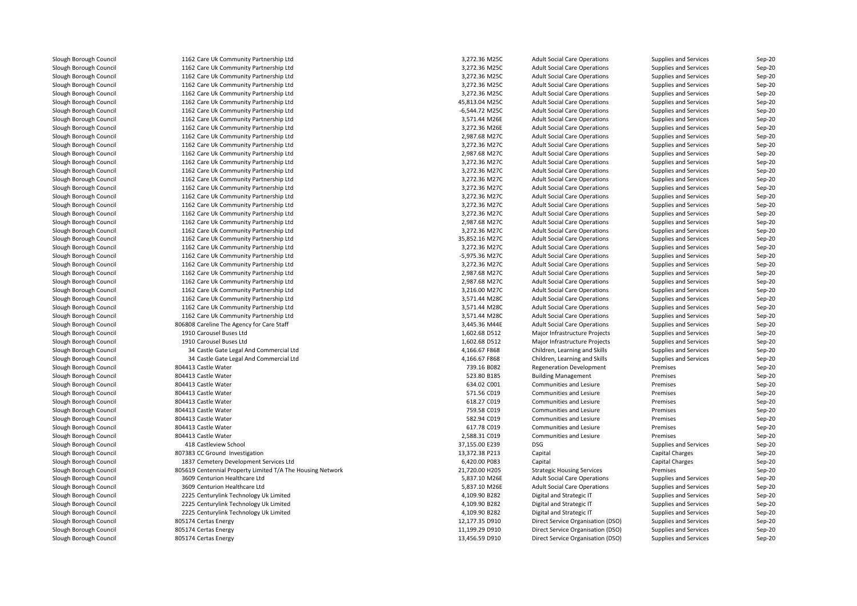| Slough Borough Council | 1162 Care Uk Community Partnership Ltd                     | 3,272.36 M25C  | <b>Adult Social Care Operations</b> | Supplies and Services        | Sep-20 |
|------------------------|------------------------------------------------------------|----------------|-------------------------------------|------------------------------|--------|
| Slough Borough Council | 1162 Care Uk Community Partnership Ltd                     | 3,272.36 M25C  | <b>Adult Social Care Operations</b> | Supplies and Services        | Sep-20 |
| Slough Borough Council | 1162 Care Uk Community Partnership Ltd                     | 3,272.36 M25C  | <b>Adult Social Care Operations</b> | Supplies and Services        | Sep-20 |
| Slough Borough Council | 1162 Care Uk Community Partnership Ltd                     | 3,272.36 M25C  | <b>Adult Social Care Operations</b> | Supplies and Services        | Sep-20 |
| Slough Borough Council | 1162 Care Uk Community Partnership Ltd                     | 3,272.36 M25C  | <b>Adult Social Care Operations</b> | Supplies and Services        | Sep-20 |
| Slough Borough Council | 1162 Care Uk Community Partnership Ltd                     | 45,813.04 M25C | <b>Adult Social Care Operations</b> | Supplies and Services        | Sep-20 |
| Slough Borough Council | 1162 Care Uk Community Partnership Ltd                     | -6,544.72 M25C | <b>Adult Social Care Operations</b> | <b>Supplies and Services</b> | Sep-20 |
| Slough Borough Council | 1162 Care Uk Community Partnership Ltd                     | 3,571.44 M26E  | <b>Adult Social Care Operations</b> | Supplies and Services        | Sep-20 |
| Slough Borough Council | 1162 Care Uk Community Partnership Ltd                     | 3,272.36 M26E  | <b>Adult Social Care Operations</b> | Supplies and Services        | Sep-20 |
| Slough Borough Council | 1162 Care Uk Community Partnership Ltd                     | 2,987.68 M27C  | <b>Adult Social Care Operations</b> | Supplies and Services        | Sep-20 |
| Slough Borough Council | 1162 Care Uk Community Partnership Ltd                     | 3,272.36 M27C  | <b>Adult Social Care Operations</b> | Supplies and Services        | Sep-20 |
| Slough Borough Council | 1162 Care Uk Community Partnership Ltd                     | 2,987.68 M27C  | <b>Adult Social Care Operations</b> | Supplies and Services        | Sep-20 |
| Slough Borough Council | 1162 Care Uk Community Partnership Ltd                     | 3,272.36 M27C  | <b>Adult Social Care Operations</b> | Supplies and Services        | Sep-20 |
| Slough Borough Council | 1162 Care Uk Community Partnership Ltd                     | 3,272.36 M27C  | <b>Adult Social Care Operations</b> | Supplies and Services        | Sep-20 |
| Slough Borough Council | 1162 Care Uk Community Partnership Ltd                     | 3,272.36 M27C  | <b>Adult Social Care Operations</b> | Supplies and Services        | Sep-20 |
| Slough Borough Council | 1162 Care Uk Community Partnership Ltd                     | 3,272.36 M27C  | <b>Adult Social Care Operations</b> | Supplies and Services        | Sep-20 |
| Slough Borough Council | 1162 Care Uk Community Partnership Ltd                     | 3,272.36 M27C  | <b>Adult Social Care Operations</b> | Supplies and Services        | Sep-20 |
| Slough Borough Council | 1162 Care Uk Community Partnership Ltd                     | 3,272.36 M27C  | <b>Adult Social Care Operations</b> | Supplies and Services        | Sep-20 |
| Slough Borough Council | 1162 Care Uk Community Partnership Ltd                     | 3,272.36 M27C  | <b>Adult Social Care Operations</b> | <b>Supplies and Services</b> | Sep-20 |
| Slough Borough Council | 1162 Care Uk Community Partnership Ltd                     | 2,987.68 M27C  | <b>Adult Social Care Operations</b> | Supplies and Services        | Sep-20 |
| Slough Borough Council | 1162 Care Uk Community Partnership Ltd                     | 3,272.36 M27C  | <b>Adult Social Care Operations</b> |                              | Sep-20 |
| Slough Borough Council | 1162 Care Uk Community Partnership Ltd                     | 35,852.16 M27C |                                     | Supplies and Services        | Sep-20 |
|                        |                                                            |                | <b>Adult Social Care Operations</b> | Supplies and Services        |        |
| Slough Borough Council | 1162 Care Uk Community Partnership Ltd                     | 3,272.36 M27C  | <b>Adult Social Care Operations</b> | Supplies and Services        | Sep-20 |
| Slough Borough Council | 1162 Care Uk Community Partnership Ltd                     | -5,975.36 M27C | <b>Adult Social Care Operations</b> | Supplies and Services        | Sep-20 |
| Slough Borough Council | 1162 Care Uk Community Partnership Ltd                     | 3,272.36 M27C  | <b>Adult Social Care Operations</b> | Supplies and Services        | Sep-20 |
| Slough Borough Council | 1162 Care Uk Community Partnership Ltd                     | 2,987.68 M27C  | <b>Adult Social Care Operations</b> | Supplies and Services        | Sep-20 |
| Slough Borough Council | 1162 Care Uk Community Partnership Ltd                     | 2,987.68 M27C  | <b>Adult Social Care Operations</b> | Supplies and Services        | Sep-20 |
| Slough Borough Council | 1162 Care Uk Community Partnership Ltd                     | 3,216.00 M27C  | <b>Adult Social Care Operations</b> | Supplies and Services        | Sep-20 |
| Slough Borough Council | 1162 Care Uk Community Partnership Ltd                     | 3,571.44 M28C  | <b>Adult Social Care Operations</b> | Supplies and Services        | Sep-20 |
| Slough Borough Council | 1162 Care Uk Community Partnership Ltd                     | 3,571.44 M28C  | <b>Adult Social Care Operations</b> | Supplies and Services        | Sep-20 |
| Slough Borough Council | 1162 Care Uk Community Partnership Ltd                     | 3,571.44 M28C  | <b>Adult Social Care Operations</b> | Supplies and Services        | Sep-20 |
| Slough Borough Council | 806808 Careline The Agency for Care Staff                  | 3,445.36 M44E  | <b>Adult Social Care Operations</b> | Supplies and Services        | Sep-20 |
| Slough Borough Council | 1910 Carousel Buses Ltd                                    | 1,602.68 D512  | Major Infrastructure Projects       | Supplies and Services        | Sep-20 |
| Slough Borough Council | 1910 Carousel Buses Ltd                                    | 1,602.68 D512  | Major Infrastructure Projects       | Supplies and Services        | Sep-20 |
| Slough Borough Council | 34 Castle Gate Legal And Commercial Ltd                    | 4,166.67 F868  | Children, Learning and Skills       | Supplies and Services        | Sep-20 |
| Slough Borough Council | 34 Castle Gate Legal And Commercial Ltd                    | 4,166.67 F868  | Children, Learning and Skills       | Supplies and Services        | Sep-20 |
| Slough Borough Council | 804413 Castle Water                                        | 739.16 B082    | <b>Regeneration Development</b>     | Premises                     | Sep-20 |
| Slough Borough Council | 804413 Castle Water                                        | 523.80 B185    | <b>Building Management</b>          | Premises                     | Sep-20 |
| Slough Borough Council | 804413 Castle Water                                        | 634.02 C001    | Communities and Lesiure             | Premises                     | Sep-20 |
| Slough Borough Council | 804413 Castle Water                                        | 571.56 C019    | Communities and Lesiure             | Premises                     | Sep-20 |
| Slough Borough Council | 804413 Castle Water                                        | 618.27 C019    | Communities and Lesiure             | Premises                     | Sep-20 |
| Slough Borough Council | 804413 Castle Water                                        | 759.58 C019    | Communities and Lesiure             | Premises                     | Sep-20 |
| Slough Borough Council | 804413 Castle Water                                        | 582.94 C019    | Communities and Lesiure             | Premises                     | Sep-20 |
| Slough Borough Council | 804413 Castle Water                                        | 617.78 C019    | Communities and Lesiure             | Premises                     | Sep-20 |
| Slough Borough Council | 804413 Castle Water                                        | 2,588.31 C019  | Communities and Lesiure             | Premises                     | Sep-20 |
| Slough Borough Council | 418 Castleview School                                      | 37,155.00 E239 | DSG                                 | Supplies and Services        | Sep-20 |
| Slough Borough Council | 807383 CC Ground Investigation                             | 13,372.38 P213 | Capital                             | Capital Charges              | Sep-20 |
| Slough Borough Council | 1837 Cemetery Development Services Ltd                     | 6,420.00 P083  | Capital                             | Capital Charges              | Sep-20 |
| Slough Borough Council | 805619 Centennial Property Limited T/A The Housing Network | 21,720.00 H205 | <b>Strategic Housing Services</b>   | Premises                     | Sep-20 |
| Slough Borough Council | 3609 Centurion Healthcare Ltd                              | 5,837.10 M26E  | <b>Adult Social Care Operations</b> | Supplies and Services        | Sep-20 |
| Slough Borough Council | 3609 Centurion Healthcare Ltd                              | 5,837.10 M26E  | <b>Adult Social Care Operations</b> | Supplies and Services        | Sep-20 |
| Slough Borough Council | 2225 Centurylink Technology Uk Limited                     | 4,109.90 B282  | Digital and Strategic IT            | Supplies and Services        | Sep-20 |
| Slough Borough Council | 2225 Centurylink Technology Uk Limited                     | 4,109.90 B282  | Digital and Strategic IT            | Supplies and Services        | Sep-20 |
| Slough Borough Council | 2225 Centurylink Technology Uk Limited                     | 4,109.90 B282  | Digital and Strategic IT            | Supplies and Services        | Sep-20 |
| Slough Borough Council | 805174 Certas Energy                                       | 12,177.35 D910 | Direct Service Organisation (DSO)   | Supplies and Services        | Sep-20 |
| Slough Borough Council | 805174 Certas Energy                                       | 11,199.29 D910 | Direct Service Organisation (DSO)   | Supplies and Services        | Sep-20 |
| Slough Borough Council | 805174 Certas Energy                                       | 13,456.59 D910 | Direct Service Organisation (DSO)   | Supplies and Services        | Sep-20 |
|                        |                                                            |                |                                     |                              |        |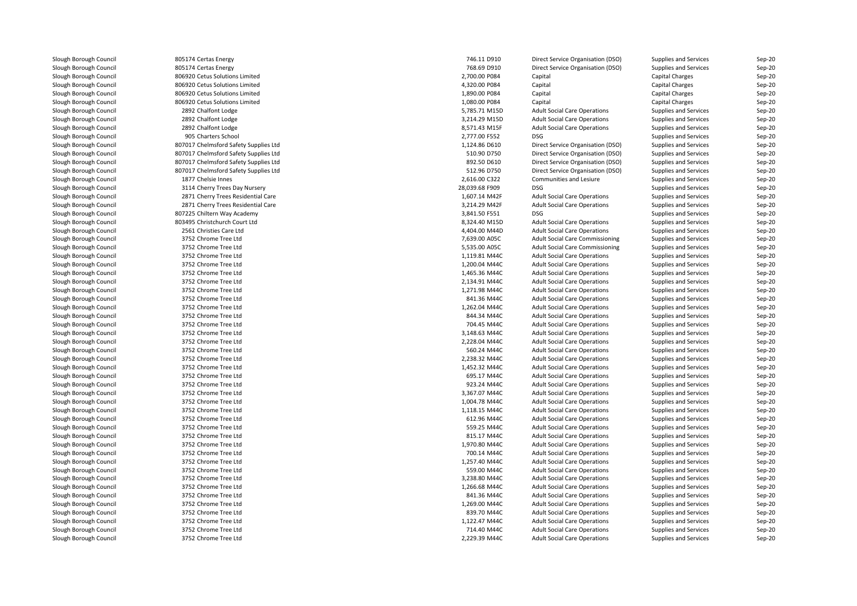| Slough Borough Council | 805174 Certas Energy                  | 746.11 D910    | Direct Service Organisation (DSO)      | Supplies and Services        | Sep-20   |
|------------------------|---------------------------------------|----------------|----------------------------------------|------------------------------|----------|
| Slough Borough Council | 805174 Certas Energy                  | 768.69 D910    | Direct Service Organisation (DSO)      | Supplies and Services        | Sep-20   |
| Slough Borough Council | 806920 Cetus Solutions Limited        | 2,700.00 P084  | Capital                                | Capital Charges              | Sep-20   |
| Slough Borough Council | 806920 Cetus Solutions Limited        | 4,320.00 P084  | Capital                                | Capital Charges              | Sep-20   |
| Slough Borough Council | 806920 Cetus Solutions Limited        | 1,890.00 P084  | Capital                                | Capital Charges              | Sep-20   |
| Slough Borough Council | 806920 Cetus Solutions Limited        | 1,080.00 P084  | Capital                                | Capital Charges              | Sep-20   |
| Slough Borough Council | 2892 Chalfont Lodge                   | 5,785.71 M15D  | <b>Adult Social Care Operations</b>    | <b>Supplies and Services</b> | Sep-20   |
| Slough Borough Council | 2892 Chalfont Lodge                   | 3,214.29 M15D  | <b>Adult Social Care Operations</b>    | Supplies and Services        | $Sep-20$ |
| Slough Borough Council | 2892 Chalfont Lodge                   | 8,571.43 M15F  | <b>Adult Social Care Operations</b>    | Supplies and Services        | Sep-20   |
| Slough Borough Council | 905 Charters School                   | 2,777.00 F552  | <b>DSG</b>                             | Supplies and Services        | Sep-20   |
| Slough Borough Council | 807017 Chelmsford Safety Supplies Ltd | 1,124.86 D610  | Direct Service Organisation (DSO)      | Supplies and Services        | Sep-20   |
| Slough Borough Council | 807017 Chelmsford Safety Supplies Ltd | 510.90 D750    | Direct Service Organisation (DSO)      | Supplies and Services        | Sep-20   |
| Slough Borough Council | 807017 Chelmsford Safety Supplies Ltd | 892.50 D610    | Direct Service Organisation (DSO)      | Supplies and Services        | Sep-20   |
| Slough Borough Council | 807017 Chelmsford Safety Supplies Ltd | 512.96 D750    | Direct Service Organisation (DSO)      | Supplies and Services        | Sep-20   |
| Slough Borough Council | 1877 Chelsie Innes                    | 2,616.00 C322  | Communities and Lesiure                | <b>Supplies and Services</b> | $Sep-20$ |
| Slough Borough Council | 3114 Cherry Trees Day Nursery         | 28,039.68 F909 | <b>DSG</b>                             | Supplies and Services        | Sep-20   |
| Slough Borough Council | 2871 Cherry Trees Residential Care    | 1,607.14 M42F  | <b>Adult Social Care Operations</b>    | Supplies and Services        | Sep-20   |
| Slough Borough Council | 2871 Cherry Trees Residential Care    | 3,214.29 M42F  | <b>Adult Social Care Operations</b>    | Supplies and Services        | Sep-20   |
| Slough Borough Council | 807225 Chiltern Way Academy           | 3,841.50 F551  | <b>DSG</b>                             | Supplies and Services        | Sep-20   |
| Slough Borough Council | 803495 Christchurch Court Ltd         | 8,324.40 M15D  | <b>Adult Social Care Operations</b>    | Supplies and Services        | Sep-20   |
| Slough Borough Council | 2561 Christies Care Ltd               | 4,404.00 M44D  | <b>Adult Social Care Operations</b>    | Supplies and Services        | Sep-20   |
| Slough Borough Council | 3752 Chrome Tree Ltd                  | 7,639.00 A05C  | <b>Adult Social Care Commissioning</b> |                              |          |
| Slough Borough Council |                                       |                |                                        | Supplies and Services        | Sep-20   |
|                        | 3752 Chrome Tree Ltd                  | 5,535.00 A05C  | <b>Adult Social Care Commissioning</b> | Supplies and Services        | Sep-20   |
| Slough Borough Council | 3752 Chrome Tree Ltd                  | 1,119.81 M44C  | <b>Adult Social Care Operations</b>    | Supplies and Services        | Sep-20   |
| Slough Borough Council | 3752 Chrome Tree Ltd                  | 1,200.04 M44C  | <b>Adult Social Care Operations</b>    | Supplies and Services        | Sep-20   |
| Slough Borough Council | 3752 Chrome Tree Ltd                  | 1,465.36 M44C  | <b>Adult Social Care Operations</b>    | Supplies and Services        | Sep-20   |
| Slough Borough Council | 3752 Chrome Tree Ltd                  | 2,134.91 M44C  | <b>Adult Social Care Operations</b>    | Supplies and Services        | $Sep-20$ |
| Slough Borough Council | 3752 Chrome Tree Ltd                  | 1,271.98 M44C  | <b>Adult Social Care Operations</b>    | Supplies and Services        | Sep-20   |
| Slough Borough Council | 3752 Chrome Tree Ltd                  | 841.36 M44C    | <b>Adult Social Care Operations</b>    | Supplies and Services        | Sep-20   |
| Slough Borough Council | 3752 Chrome Tree Ltd                  | 1,262.04 M44C  | <b>Adult Social Care Operations</b>    | Supplies and Services        | Sep-20   |
| Slough Borough Council | 3752 Chrome Tree Ltd                  | 844.34 M44C    | <b>Adult Social Care Operations</b>    | Supplies and Services        | Sep-20   |
| Slough Borough Council | 3752 Chrome Tree Ltd                  | 704.45 M44C    | <b>Adult Social Care Operations</b>    | Supplies and Services        | Sep-20   |
| Slough Borough Council | 3752 Chrome Tree Ltd                  | 3,148.63 M44C  | <b>Adult Social Care Operations</b>    | Supplies and Services        | Sep-20   |
| Slough Borough Council | 3752 Chrome Tree Ltd                  | 2,228.04 M44C  | <b>Adult Social Care Operations</b>    | Supplies and Services        | $Sep-20$ |
| Slough Borough Council | 3752 Chrome Tree Ltd                  | 560.24 M44C    | <b>Adult Social Care Operations</b>    | Supplies and Services        | Sep-20   |
| Slough Borough Council | 3752 Chrome Tree Ltd                  | 2,238.32 M44C  | <b>Adult Social Care Operations</b>    | Supplies and Services        | Sep-20   |
| Slough Borough Council | 3752 Chrome Tree Ltd                  | 1,452.32 M44C  | <b>Adult Social Care Operations</b>    | Supplies and Services        | Sep-20   |
| Slough Borough Council | 3752 Chrome Tree Ltd                  | 695.17 M44C    | <b>Adult Social Care Operations</b>    | Supplies and Services        | Sep-20   |
| Slough Borough Council | 3752 Chrome Tree Ltd                  | 923.24 M44C    | <b>Adult Social Care Operations</b>    | Supplies and Services        | Sep-20   |
| Slough Borough Council | 3752 Chrome Tree Ltd                  | 3,367.07 M44C  | <b>Adult Social Care Operations</b>    | Supplies and Services        | Sep-20   |
| Slough Borough Council | 3752 Chrome Tree Ltd                  | 1,004.78 M44C  | <b>Adult Social Care Operations</b>    | Supplies and Services        | Sep-20   |
| Slough Borough Council | 3752 Chrome Tree Ltd                  | 1,118.15 M44C  | <b>Adult Social Care Operations</b>    | <b>Supplies and Services</b> | $Sep-20$ |
| Slough Borough Council | 3752 Chrome Tree Ltd                  | 612.96 M44C    | <b>Adult Social Care Operations</b>    | Supplies and Services        | $Sep-20$ |
| Slough Borough Council | 3752 Chrome Tree Ltd                  | 559.25 M44C    | <b>Adult Social Care Operations</b>    | Supplies and Services        | Sep-20   |
| Slough Borough Council | 3752 Chrome Tree Ltd                  | 815.17 M44C    | <b>Adult Social Care Operations</b>    | Supplies and Services        | Sep-20   |
| Slough Borough Council | 3752 Chrome Tree Ltd                  | 1,970.80 M44C  | <b>Adult Social Care Operations</b>    | Supplies and Services        | $Sep-20$ |
| Slough Borough Council | 3752 Chrome Tree Ltd                  | 700.14 M44C    | <b>Adult Social Care Operations</b>    | Supplies and Services        | Sep-20   |
| Slough Borough Council | 3752 Chrome Tree Ltd                  | 1,257.40 M44C  | <b>Adult Social Care Operations</b>    | Supplies and Services        | Sep-20   |
| Slough Borough Council | 3752 Chrome Tree Ltd                  | 559.00 M44C    | <b>Adult Social Care Operations</b>    | Supplies and Services        | Sep-20   |
| Slough Borough Council | 3752 Chrome Tree Ltd                  | 3,238.80 M44C  | <b>Adult Social Care Operations</b>    | Supplies and Services        | Sep-20   |
| Slough Borough Council | 3752 Chrome Tree Ltd                  | 1,266.68 M44C  | <b>Adult Social Care Operations</b>    | Supplies and Services        | Sep-20   |
| Slough Borough Council | 3752 Chrome Tree Ltd                  | 841.36 M44C    | <b>Adult Social Care Operations</b>    | Supplies and Services        | Sep-20   |
| Slough Borough Council | 3752 Chrome Tree Ltd                  | 1,269.00 M44C  | <b>Adult Social Care Operations</b>    | Supplies and Services        | Sep-20   |
| Slough Borough Council | 3752 Chrome Tree Ltd                  | 839.70 M44C    | <b>Adult Social Care Operations</b>    | Supplies and Services        | $Sep-20$ |
| Slough Borough Council | 3752 Chrome Tree Ltd                  | 1,122.47 M44C  | <b>Adult Social Care Operations</b>    | Supplies and Services        | Sep-20   |
| Slough Borough Council | 3752 Chrome Tree Ltd                  | 714.40 M44C    | <b>Adult Social Care Operations</b>    | Supplies and Services        | Sep-20   |
| Slough Borough Council | 3752 Chrome Tree Ltd                  | 2,229.39 M44C  | <b>Adult Social Care Operations</b>    | Supplies and Services        | Sep-20   |
|                        |                                       |                |                                        |                              |          |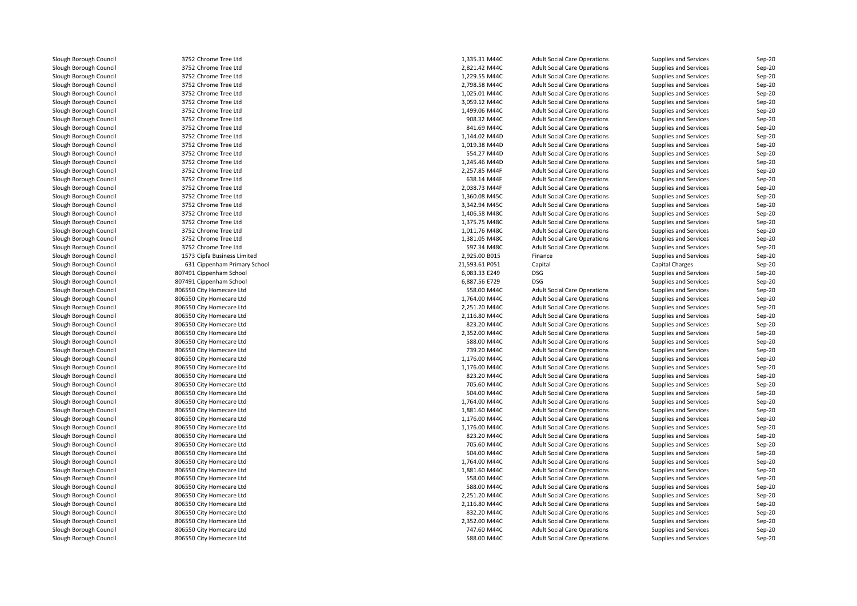| Slough Borough Council | 3752 Chrome Tree Ltd         | 1,335.31 M44C  | <b>Adult Social Care Operations</b> | Supplies and Services        | Sep-20   |
|------------------------|------------------------------|----------------|-------------------------------------|------------------------------|----------|
| Slough Borough Council | 3752 Chrome Tree Ltd         | 2,821.42 M44C  | <b>Adult Social Care Operations</b> | Supplies and Services        | Sep-20   |
| Slough Borough Council | 3752 Chrome Tree Ltd         | 1,229.55 M44C  | <b>Adult Social Care Operations</b> | Supplies and Services        | Sep-20   |
| Slough Borough Council | 3752 Chrome Tree Ltd         | 2,798.58 M44C  | <b>Adult Social Care Operations</b> | Supplies and Services        | Sep-20   |
| Slough Borough Council | 3752 Chrome Tree Ltd         | 1,025.01 M44C  | <b>Adult Social Care Operations</b> | Supplies and Services        | Sep-20   |
| Slough Borough Council | 3752 Chrome Tree Ltd         | 3,059.12 M44C  | <b>Adult Social Care Operations</b> | Supplies and Services        | Sep-20   |
| Slough Borough Council | 3752 Chrome Tree Ltd         | 1,499.06 M44C  | <b>Adult Social Care Operations</b> | Supplies and Services        | Sep-20   |
| Slough Borough Council | 3752 Chrome Tree Ltd         | 908.32 M44C    | <b>Adult Social Care Operations</b> | Supplies and Services        | $Sep-20$ |
| Slough Borough Council | 3752 Chrome Tree Ltd         | 841.69 M44C    | <b>Adult Social Care Operations</b> | Supplies and Services        | Sep-20   |
| Slough Borough Council | 3752 Chrome Tree Ltd         | 1,144.02 M44D  | <b>Adult Social Care Operations</b> | Supplies and Services        | Sep-20   |
| Slough Borough Council | 3752 Chrome Tree Ltd         | 1,019.38 M44D  | <b>Adult Social Care Operations</b> | Supplies and Services        | Sep-20   |
| Slough Borough Council | 3752 Chrome Tree Ltd         | 554.27 M44D    | <b>Adult Social Care Operations</b> | Supplies and Services        | Sep-20   |
| Slough Borough Council | 3752 Chrome Tree Ltd         | 1,245.46 M44D  | <b>Adult Social Care Operations</b> | Supplies and Services        | Sep-20   |
| Slough Borough Council | 3752 Chrome Tree Ltd         | 2,257.85 M44F  | <b>Adult Social Care Operations</b> | Supplies and Services        | Sep-20   |
| Slough Borough Council | 3752 Chrome Tree Ltd         | 638.14 M44F    | <b>Adult Social Care Operations</b> | Supplies and Services        | $Sep-20$ |
| Slough Borough Council | 3752 Chrome Tree Ltd         | 2,038.73 M44F  | <b>Adult Social Care Operations</b> | Supplies and Services        | Sep-20   |
| Slough Borough Council | 3752 Chrome Tree Ltd         | 1,360.08 M45C  | <b>Adult Social Care Operations</b> | Supplies and Services        | Sep-20   |
| Slough Borough Council | 3752 Chrome Tree Ltd         | 3,342.94 M45C  | <b>Adult Social Care Operations</b> | Supplies and Services        | Sep-20   |
| Slough Borough Council | 3752 Chrome Tree Ltd         | 1,406.58 M48C  | <b>Adult Social Care Operations</b> | Supplies and Services        | Sep-20   |
| Slough Borough Council | 3752 Chrome Tree Ltd         | 1,375.75 M48C  | <b>Adult Social Care Operations</b> |                              | Sep-20   |
|                        | 3752 Chrome Tree Ltd         | 1,011.76 M48C  | <b>Adult Social Care Operations</b> | Supplies and Services        | Sep-20   |
| Slough Borough Council |                              |                |                                     | Supplies and Services        |          |
| Slough Borough Council | 3752 Chrome Tree Ltd         | 1,381.05 M48C  | <b>Adult Social Care Operations</b> | Supplies and Services        | Sep-20   |
| Slough Borough Council | 3752 Chrome Tree Ltd         | 597.34 M48C    | <b>Adult Social Care Operations</b> | Supplies and Services        | Sep-20   |
| Slough Borough Council | 1573 Cipfa Business Limited  | 2,925.00 B015  | Finance                             | Supplies and Services        | Sep-20   |
| Slough Borough Council | 631 Cippenham Primary School | 21,593.61 P051 | Capital                             | Capital Charges              | Sep-20   |
| Slough Borough Council | 807491 Cippenham School      | 6,083.33 E249  | <b>DSG</b>                          | Supplies and Services        | Sep-20   |
| Slough Borough Council | 807491 Cippenham School      | 6,887.56 E729  | <b>DSG</b>                          | Supplies and Services        | $Sep-20$ |
| Slough Borough Council | 806550 City Homecare Ltd     | 558.00 M44C    | <b>Adult Social Care Operations</b> | Supplies and Services        | Sep-20   |
| Slough Borough Council | 806550 City Homecare Ltd     | 1,764.00 M44C  | <b>Adult Social Care Operations</b> | Supplies and Services        | Sep-20   |
| Slough Borough Council | 806550 City Homecare Ltd     | 2,251.20 M44C  | <b>Adult Social Care Operations</b> | Supplies and Services        | Sep-20   |
| Slough Borough Council | 806550 City Homecare Ltd     | 2,116.80 M44C  | <b>Adult Social Care Operations</b> | Supplies and Services        | Sep-20   |
| Slough Borough Council | 806550 City Homecare Ltd     | 823.20 M44C    | <b>Adult Social Care Operations</b> | Supplies and Services        | Sep-20   |
| Slough Borough Council | 806550 City Homecare Ltd     | 2,352.00 M44C  | <b>Adult Social Care Operations</b> | Supplies and Services        | Sep-20   |
| Slough Borough Council | 806550 City Homecare Ltd     | 588.00 M44C    | <b>Adult Social Care Operations</b> | Supplies and Services        | $Sep-20$ |
| Slough Borough Council | 806550 City Homecare Ltd     | 739.20 M44C    | <b>Adult Social Care Operations</b> | Supplies and Services        | Sep-20   |
| Slough Borough Council | 806550 City Homecare Ltd     | 1,176.00 M44C  | <b>Adult Social Care Operations</b> | Supplies and Services        | Sep-20   |
| Slough Borough Council | 806550 City Homecare Ltd     | 1,176.00 M44C  | <b>Adult Social Care Operations</b> | Supplies and Services        | Sep-20   |
| Slough Borough Council | 806550 City Homecare Ltd     | 823.20 M44C    | <b>Adult Social Care Operations</b> | Supplies and Services        | Sep-20   |
| Slough Borough Council | 806550 City Homecare Ltd     | 705.60 M44C    | <b>Adult Social Care Operations</b> | Supplies and Services        | Sep-20   |
| Slough Borough Council | 806550 City Homecare Ltd     | 504.00 M44C    | <b>Adult Social Care Operations</b> | Supplies and Services        | Sep-20   |
| Slough Borough Council | 806550 City Homecare Ltd     | 1,764.00 M44C  | <b>Adult Social Care Operations</b> | Supplies and Services        | Sep-20   |
| Slough Borough Council | 806550 City Homecare Ltd     | 1,881.60 M44C  | <b>Adult Social Care Operations</b> | <b>Supplies and Services</b> | Sep-20   |
| Slough Borough Council | 806550 City Homecare Ltd     | 1,176.00 M44C  | <b>Adult Social Care Operations</b> | Supplies and Services        | $Sep-20$ |
| Slough Borough Council | 806550 City Homecare Ltd     | 1,176.00 M44C  | <b>Adult Social Care Operations</b> | Supplies and Services        | Sep-20   |
| Slough Borough Council | 806550 City Homecare Ltd     | 823.20 M44C    | <b>Adult Social Care Operations</b> | Supplies and Services        | Sep-20   |
| Slough Borough Council | 806550 City Homecare Ltd     | 705.60 M44C    | <b>Adult Social Care Operations</b> | Supplies and Services        | $Sep-20$ |
| Slough Borough Council | 806550 City Homecare Ltd     | 504.00 M44C    | <b>Adult Social Care Operations</b> | Supplies and Services        | Sep-20   |
| Slough Borough Council | 806550 City Homecare Ltd     | 1,764.00 M44C  | <b>Adult Social Care Operations</b> | Supplies and Services        | Sep-20   |
| Slough Borough Council | 806550 City Homecare Ltd     | 1,881.60 M44C  | <b>Adult Social Care Operations</b> | Supplies and Services        | Sep-20   |
| Slough Borough Council | 806550 City Homecare Ltd     | 558.00 M44C    | <b>Adult Social Care Operations</b> | Supplies and Services        | $Sep-20$ |
| Slough Borough Council | 806550 City Homecare Ltd     | 588.00 M44C    | <b>Adult Social Care Operations</b> | Supplies and Services        | Sep-20   |
| Slough Borough Council | 806550 City Homecare Ltd     | 2,251.20 M44C  | <b>Adult Social Care Operations</b> | Supplies and Services        | Sep-20   |
| Slough Borough Council | 806550 City Homecare Ltd     | 2,116.80 M44C  | <b>Adult Social Care Operations</b> | Supplies and Services        | Sep-20   |
| Slough Borough Council | 806550 City Homecare Ltd     | 832.20 M44C    | <b>Adult Social Care Operations</b> | Supplies and Services        | $Sep-20$ |
| Slough Borough Council | 806550 City Homecare Ltd     | 2,352.00 M44C  | <b>Adult Social Care Operations</b> | Supplies and Services        | Sep-20   |
| Slough Borough Council | 806550 City Homecare Ltd     | 747.60 M44C    | <b>Adult Social Care Operations</b> | Supplies and Services        | Sep-20   |
| Slough Borough Council | 806550 City Homecare Ltd     | 588.00 M44C    | <b>Adult Social Care Operations</b> | Supplies and Services        | Sep-20   |
|                        |                              |                |                                     |                              |          |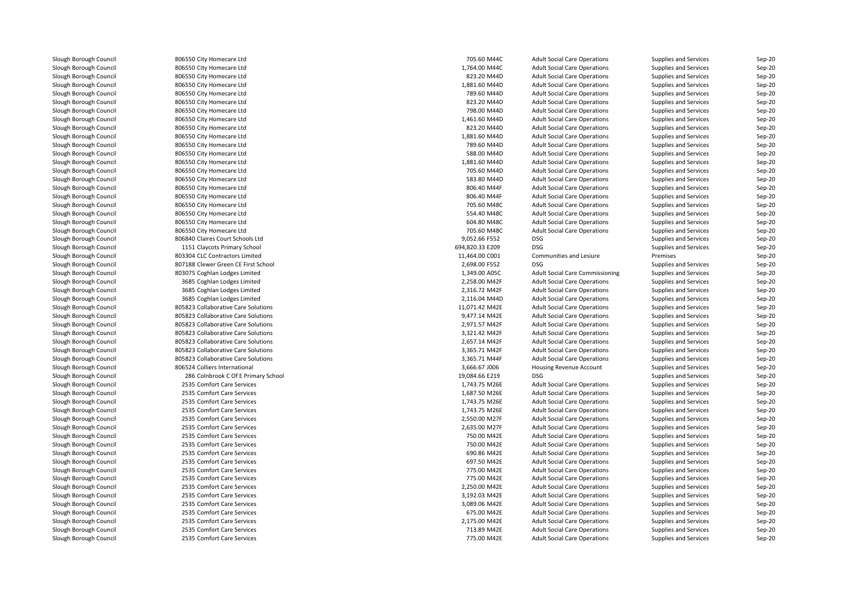| Slough Borough Council | 806550 City Homecare Ltd            | 705.60 M44C                    | <b>Adult Social Care Operations</b>    | Supplies and Services        | Sep-20   |
|------------------------|-------------------------------------|--------------------------------|----------------------------------------|------------------------------|----------|
| Slough Borough Council | 806550 City Homecare Ltd            | 1,764.00 M44C                  | <b>Adult Social Care Operations</b>    | Supplies and Services        | $Sep-20$ |
| Slough Borough Council | 806550 City Homecare Ltd            | 823.20 M44D                    | <b>Adult Social Care Operations</b>    | Supplies and Services        | Sep-20   |
| Slough Borough Council | 806550 City Homecare Ltd            | 1,881.60 M44D                  | <b>Adult Social Care Operations</b>    | Supplies and Services        | Sep-20   |
| Slough Borough Council | 806550 City Homecare Ltd            | 789.60 M44D                    | <b>Adult Social Care Operations</b>    | Supplies and Services        | Sep-20   |
| Slough Borough Council | 806550 City Homecare Ltd            | 823.20 M44D                    | <b>Adult Social Care Operations</b>    | <b>Supplies and Services</b> | $Sep-20$ |
| Slough Borough Council | 806550 City Homecare Ltd            | 798.00 M44D                    | <b>Adult Social Care Operations</b>    | Supplies and Services        | Sep-20   |
| Slough Borough Council | 806550 City Homecare Ltd            | 1,461.60 M44D                  | <b>Adult Social Care Operations</b>    | Supplies and Services        | Sep-20   |
| Slough Borough Council | 806550 City Homecare Ltd            | 823.20 M44D                    | <b>Adult Social Care Operations</b>    | <b>Supplies and Services</b> | $Sep-20$ |
| Slough Borough Council | 806550 City Homecare Ltd            | 1,881.60 M44D                  | <b>Adult Social Care Operations</b>    | Supplies and Services        | $Sep-20$ |
| Slough Borough Council | 806550 City Homecare Ltd            | 789.60 M44D                    | <b>Adult Social Care Operations</b>    | Supplies and Services        | Sep-20   |
| Slough Borough Council | 806550 City Homecare Ltd            | 588.00 M44D                    | <b>Adult Social Care Operations</b>    | Supplies and Services        | Sep-20   |
| Slough Borough Council | 806550 City Homecare Ltd            | 1,881.60 M44D                  | <b>Adult Social Care Operations</b>    | Supplies and Services        | Sep-20   |
| Slough Borough Council | 806550 City Homecare Ltd            | 705.60 M44D                    | <b>Adult Social Care Operations</b>    | Supplies and Services        | $Sep-20$ |
| Slough Borough Council | 806550 City Homecare Ltd            | 583.80 M44D                    | <b>Adult Social Care Operations</b>    | Supplies and Services        | $Sep-20$ |
| Slough Borough Council | 806550 City Homecare Ltd            | 806.40 M44F                    | <b>Adult Social Care Operations</b>    | Supplies and Services        | Sep-20   |
| Slough Borough Council | 806550 City Homecare Ltd            | 806.40 M44F                    | <b>Adult Social Care Operations</b>    | <b>Supplies and Services</b> | $Sep-20$ |
| Slough Borough Council | 806550 City Homecare Ltd            | 705.60 M48C                    | <b>Adult Social Care Operations</b>    | Supplies and Services        | $Sep-20$ |
| Slough Borough Council | 806550 City Homecare Ltd            | 554.40 M48C                    | <b>Adult Social Care Operations</b>    | Supplies and Services        | Sep-20   |
| Slough Borough Council | 806550 City Homecare Ltd            | 604.80 M48C                    | <b>Adult Social Care Operations</b>    | Supplies and Services        | Sep-20   |
| Slough Borough Council | 806550 City Homecare Ltd            | 705.60 M48C                    | <b>Adult Social Care Operations</b>    | Supplies and Services        | $Sep-20$ |
| Slough Borough Council | 806840 Claires Court Schools Ltd    | 9,052.66 F552                  | <b>DSG</b>                             | Supplies and Services        | Sep-20   |
| Slough Borough Council | 1151 Claycots Primary School        | 694,820.33 E209                | <b>DSG</b>                             | Supplies and Services        | $Sep-20$ |
|                        |                                     |                                |                                        |                              |          |
| Slough Borough Council | 803304 CLC Contractors Limited      | 11,464.00 C001                 | Communities and Lesiure                | Premises                     | $Sep-20$ |
| Slough Borough Council | 807188 Clewer Green CE First School | 2,698.00 F552<br>1,349.00 A05C | <b>DSG</b>                             | Supplies and Services        | Sep-20   |
| Slough Borough Council | 803075 Coghlan Lodges Limited       |                                | <b>Adult Social Care Commissioning</b> | Supplies and Services        | Sep-20   |
| Slough Borough Council | 3685 Coghlan Lodges Limited         | 2,258.00 M42F                  | <b>Adult Social Care Operations</b>    | Supplies and Services        | Sep-20   |
| Slough Borough Council | 3685 Coghlan Lodges Limited         | 2,316.72 M42F                  | <b>Adult Social Care Operations</b>    | Supplies and Services        | $Sep-20$ |
| Slough Borough Council | 3685 Coghlan Lodges Limited         | 2,116.04 M44D                  | <b>Adult Social Care Operations</b>    | <b>Supplies and Services</b> | $Sep-20$ |
| Slough Borough Council | 805823 Collaborative Care Solutions | 11,071.42 M42E                 | <b>Adult Social Care Operations</b>    | Supplies and Services        | Sep-20   |
| Slough Borough Council | 805823 Collaborative Care Solutions | 9,477.14 M42E                  | <b>Adult Social Care Operations</b>    | Supplies and Services        | Sep-20   |
| Slough Borough Council | 805823 Collaborative Care Solutions | 2,971.57 M42F                  | <b>Adult Social Care Operations</b>    | Supplies and Services        | $Sep-20$ |
| Slough Borough Council | 805823 Collaborative Care Solutions | 3,321.42 M42F                  | <b>Adult Social Care Operations</b>    | Supplies and Services        | Sep-20   |
| Slough Borough Council | 805823 Collaborative Care Solutions | 2,657.14 M42F                  | <b>Adult Social Care Operations</b>    | Supplies and Services        | Sep-20   |
| Slough Borough Council | 805823 Collaborative Care Solutions | 3,365.71 M42F                  | <b>Adult Social Care Operations</b>    | Supplies and Services        | Sep-20   |
| Slough Borough Council | 805823 Collaborative Care Solutions | 3,365.71 M44F                  | <b>Adult Social Care Operations</b>    | Supplies and Services        | $Sep-20$ |
| Slough Borough Council | 806524 Colliers International       | 3,666.67 J006                  | Housing Revenue Account                | Supplies and Services        | $Sep-20$ |
| Slough Borough Council | 286 Colnbrook C Of E Primary School | 19,084.66 E219                 | <b>DSG</b>                             | Supplies and Services        | $Sep-20$ |
| Slough Borough Council | 2535 Comfort Care Services          | 1,743.75 M26E                  | <b>Adult Social Care Operations</b>    | <b>Supplies and Services</b> | $Sep-20$ |
| Slough Borough Council | 2535 Comfort Care Services          | 1,687.50 M26E                  | <b>Adult Social Care Operations</b>    | Supplies and Services        | $Sep-20$ |
| Slough Borough Council | 2535 Comfort Care Services          | 1,743.75 M26E                  | <b>Adult Social Care Operations</b>    | Supplies and Services        | Sep-20   |
| Slough Borough Council | 2535 Comfort Care Services          | 1,743.75 M26E                  | <b>Adult Social Care Operations</b>    | Supplies and Services        | Sep-20   |
| Slough Borough Council | 2535 Comfort Care Services          | 2,550.00 M27F                  | <b>Adult Social Care Operations</b>    | Supplies and Services        | $Sep-20$ |
| Slough Borough Council | 2535 Comfort Care Services          | 2,635.00 M27F                  | <b>Adult Social Care Operations</b>    | Supplies and Services        | Sep-20   |
| Slough Borough Council | 2535 Comfort Care Services          | 750.00 M42E                    | <b>Adult Social Care Operations</b>    | Supplies and Services        | $Sep-20$ |
| Slough Borough Council | 2535 Comfort Care Services          | 750.00 M42E                    | <b>Adult Social Care Operations</b>    | Supplies and Services        | $Sep-20$ |
| Slough Borough Council | 2535 Comfort Care Services          | 690.86 M42E                    | <b>Adult Social Care Operations</b>    | Supplies and Services        | Sep-20   |
| Slough Borough Council | 2535 Comfort Care Services          | 697.50 M42E                    | <b>Adult Social Care Operations</b>    | Supplies and Services        | Sep-20   |
| Slough Borough Council | 2535 Comfort Care Services          | 775.00 M42E                    | <b>Adult Social Care Operations</b>    | Supplies and Services        | Sep-20   |
| Slough Borough Council | 2535 Comfort Care Services          | 775.00 M42E                    | <b>Adult Social Care Operations</b>    | Supplies and Services        | $Sep-20$ |
| Slough Borough Council | 2535 Comfort Care Services          | 2,250.00 M42E                  | <b>Adult Social Care Operations</b>    | Supplies and Services        | Sep-20   |
| Slough Borough Council | 2535 Comfort Care Services          | 3,192.03 M42E                  | <b>Adult Social Care Operations</b>    | Supplies and Services        | Sep-20   |
| Slough Borough Council | 2535 Comfort Care Services          | 3,089.06 M42E                  | <b>Adult Social Care Operations</b>    | Supplies and Services        | $Sep-20$ |
| Slough Borough Council | 2535 Comfort Care Services          | 675.00 M42E                    | <b>Adult Social Care Operations</b>    | Supplies and Services        | $Sep-20$ |
| Slough Borough Council | 2535 Comfort Care Services          | 2,175.00 M42E                  | <b>Adult Social Care Operations</b>    | Supplies and Services        | Sep-20   |
| Slough Borough Council | 2535 Comfort Care Services          | 713.89 M42E                    | <b>Adult Social Care Operations</b>    | Supplies and Services        | $Sep-20$ |
| Slough Borough Council | 2535 Comfort Care Services          | 775.00 M42E                    | <b>Adult Social Care Operations</b>    | Supplies and Services        | Sep-20   |
|                        |                                     |                                |                                        |                              |          |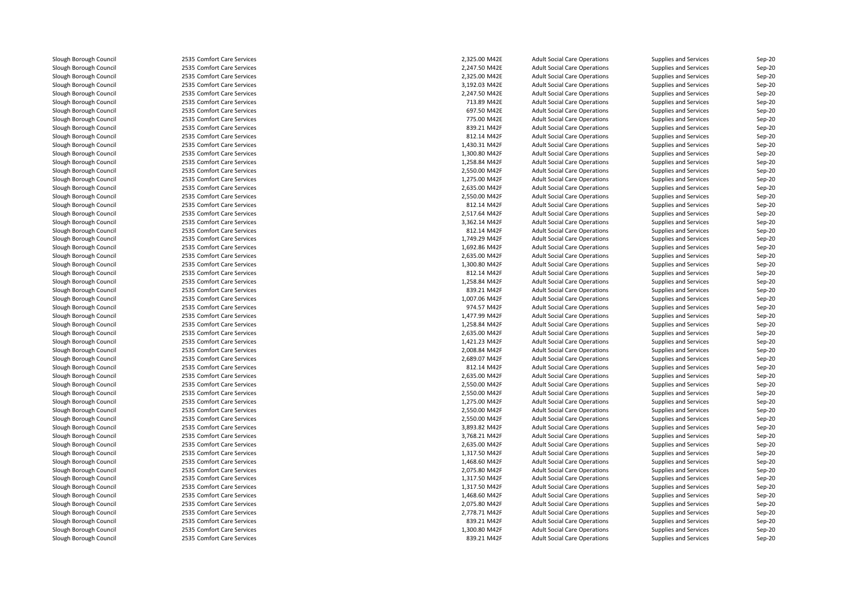| Slough Borough Council | 2535 Comfort Care Services | 2,325.00 M42E | <b>Adult Social Care Operations</b> | Supplies and Services        | Sep-20   |
|------------------------|----------------------------|---------------|-------------------------------------|------------------------------|----------|
| Slough Borough Council | 2535 Comfort Care Services | 2,247.50 M42E | <b>Adult Social Care Operations</b> | Supplies and Services        | Sep-20   |
| Slough Borough Council | 2535 Comfort Care Services | 2,325.00 M42E | <b>Adult Social Care Operations</b> | Supplies and Services        | Sep-20   |
| Slough Borough Council | 2535 Comfort Care Services | 3,192.03 M42E | <b>Adult Social Care Operations</b> | Supplies and Services        | Sep-20   |
| Slough Borough Council | 2535 Comfort Care Services | 2,247.50 M42E | <b>Adult Social Care Operations</b> | Supplies and Services        | Sep-20   |
| Slough Borough Council | 2535 Comfort Care Services | 713.89 M42E   | <b>Adult Social Care Operations</b> | Supplies and Services        | $Sep-20$ |
| Slough Borough Council | 2535 Comfort Care Services | 697.50 M42E   | <b>Adult Social Care Operations</b> | Supplies and Services        | Sep-20   |
| Slough Borough Council | 2535 Comfort Care Services | 775.00 M42E   | <b>Adult Social Care Operations</b> | Supplies and Services        | Sep-20   |
| Slough Borough Council | 2535 Comfort Care Services | 839.21 M42F   | <b>Adult Social Care Operations</b> | Supplies and Services        | $Sep-20$ |
| Slough Borough Council | 2535 Comfort Care Services | 812.14 M42F   | <b>Adult Social Care Operations</b> | <b>Supplies and Services</b> | $Sep-20$ |
| Slough Borough Council | 2535 Comfort Care Services | 1,430.31 M42F | <b>Adult Social Care Operations</b> | Supplies and Services        | Sep-20   |
| Slough Borough Council | 2535 Comfort Care Services | 1,300.80 M42F | <b>Adult Social Care Operations</b> | Supplies and Services        | Sep-20   |
| Slough Borough Council | 2535 Comfort Care Services | 1,258.84 M42F | <b>Adult Social Care Operations</b> | Supplies and Services        | Sep-20   |
| Slough Borough Council | 2535 Comfort Care Services | 2,550.00 M42F | <b>Adult Social Care Operations</b> | Supplies and Services        | $Sep-20$ |
| Slough Borough Council | 2535 Comfort Care Services | 1,275.00 M42F | <b>Adult Social Care Operations</b> | <b>Supplies and Services</b> | Sep-20   |
| Slough Borough Council | 2535 Comfort Care Services | 2,635.00 M42F | <b>Adult Social Care Operations</b> | Supplies and Services        | Sep-20   |
| Slough Borough Council | 2535 Comfort Care Services | 2,550.00 M42F | <b>Adult Social Care Operations</b> | Supplies and Services        | Sep-20   |
| Slough Borough Council | 2535 Comfort Care Services | 812.14 M42F   | <b>Adult Social Care Operations</b> |                              | $Sep-20$ |
| Slough Borough Council | 2535 Comfort Care Services | 2,517.64 M42F |                                     | Supplies and Services        |          |
|                        | 2535 Comfort Care Services | 3,362.14 M42F | <b>Adult Social Care Operations</b> | Supplies and Services        | Sep-20   |
| Slough Borough Council |                            |               | <b>Adult Social Care Operations</b> | Supplies and Services        | Sep-20   |
| Slough Borough Council | 2535 Comfort Care Services | 812.14 M42F   | <b>Adult Social Care Operations</b> | Supplies and Services        | Sep-20   |
| Slough Borough Council | 2535 Comfort Care Services | 1,749.29 M42F | <b>Adult Social Care Operations</b> | <b>Supplies and Services</b> | Sep-20   |
| Slough Borough Council | 2535 Comfort Care Services | 1,692.86 M42F | <b>Adult Social Care Operations</b> | Supplies and Services        | Sep-20   |
| Slough Borough Council | 2535 Comfort Care Services | 2,635.00 M42F | <b>Adult Social Care Operations</b> | Supplies and Services        | Sep-20   |
| Slough Borough Council | 2535 Comfort Care Services | 1,300.80 M42F | <b>Adult Social Care Operations</b> | Supplies and Services        | Sep-20   |
| Slough Borough Council | 2535 Comfort Care Services | 812.14 M42F   | <b>Adult Social Care Operations</b> | <b>Supplies and Services</b> | $Sep-20$ |
| Slough Borough Council | 2535 Comfort Care Services | 1,258.84 M42F | <b>Adult Social Care Operations</b> | Supplies and Services        | Sep-20   |
| Slough Borough Council | 2535 Comfort Care Services | 839.21 M42F   | <b>Adult Social Care Operations</b> | Supplies and Services        | Sep-20   |
| Slough Borough Council | 2535 Comfort Care Services | 1,007.06 M42F | <b>Adult Social Care Operations</b> | <b>Supplies and Services</b> | $Sep-20$ |
| Slough Borough Council | 2535 Comfort Care Services | 974.57 M42F   | <b>Adult Social Care Operations</b> | Supplies and Services        | $Sep-20$ |
| Slough Borough Council | 2535 Comfort Care Services | 1,477.99 M42F | <b>Adult Social Care Operations</b> | Supplies and Services        | Sep-20   |
| Slough Borough Council | 2535 Comfort Care Services | 1,258.84 M42F | <b>Adult Social Care Operations</b> | Supplies and Services        | Sep-20   |
| Slough Borough Council | 2535 Comfort Care Services | 2,635.00 M42F | <b>Adult Social Care Operations</b> | Supplies and Services        | Sep-20   |
| Slough Borough Council | 2535 Comfort Care Services | 1,421.23 M42F | <b>Adult Social Care Operations</b> | Supplies and Services        | Sep-20   |
| Slough Borough Council | 2535 Comfort Care Services | 2,008.84 M42F | <b>Adult Social Care Operations</b> | Supplies and Services        | Sep-20   |
| Slough Borough Council | 2535 Comfort Care Services | 2,689.07 M42F | <b>Adult Social Care Operations</b> | Supplies and Services        | Sep-20   |
| Slough Borough Council | 2535 Comfort Care Services | 812.14 M42F   | <b>Adult Social Care Operations</b> | Supplies and Services        | Sep-20   |
| Slough Borough Council | 2535 Comfort Care Services | 2,635.00 M42F | <b>Adult Social Care Operations</b> | Supplies and Services        | Sep-20   |
| Slough Borough Council | 2535 Comfort Care Services | 2,550.00 M42F | <b>Adult Social Care Operations</b> | Supplies and Services        | Sep-20   |
| Slough Borough Council | 2535 Comfort Care Services | 2,550.00 M42F | <b>Adult Social Care Operations</b> | Supplies and Services        | Sep-20   |
| Slough Borough Council | 2535 Comfort Care Services | 1,275.00 M42F | <b>Adult Social Care Operations</b> | Supplies and Services        | $Sep-20$ |
| Slough Borough Council | 2535 Comfort Care Services | 2,550.00 M42F | <b>Adult Social Care Operations</b> | <b>Supplies and Services</b> | $Sep-20$ |
| Slough Borough Council | 2535 Comfort Care Services | 2,550.00 M42F | <b>Adult Social Care Operations</b> | Supplies and Services        | Sep-20   |
| Slough Borough Council | 2535 Comfort Care Services | 3,893.82 M42F | <b>Adult Social Care Operations</b> | Supplies and Services        | Sep-20   |
| Slough Borough Council | 2535 Comfort Care Services | 3,768.21 M42F | <b>Adult Social Care Operations</b> | Supplies and Services        | Sep-20   |
| Slough Borough Council | 2535 Comfort Care Services | 2,635.00 M42F | <b>Adult Social Care Operations</b> | Supplies and Services        | Sep-20   |
| Slough Borough Council | 2535 Comfort Care Services | 1,317.50 M42F | <b>Adult Social Care Operations</b> | Supplies and Services        | Sep-20   |
| Slough Borough Council | 2535 Comfort Care Services | 1,468.60 M42F | <b>Adult Social Care Operations</b> | Supplies and Services        | Sep-20   |
| Slough Borough Council | 2535 Comfort Care Services | 2,075.80 M42F | <b>Adult Social Care Operations</b> | Supplies and Services        | Sep-20   |
| Slough Borough Council | 2535 Comfort Care Services | 1,317.50 M42F | <b>Adult Social Care Operations</b> | <b>Supplies and Services</b> | Sep-20   |
| Slough Borough Council | 2535 Comfort Care Services | 1,317.50 M42F | <b>Adult Social Care Operations</b> | Supplies and Services        | Sep-20   |
| Slough Borough Council | 2535 Comfort Care Services | 1,468.60 M42F | <b>Adult Social Care Operations</b> | Supplies and Services        | Sep-20   |
| Slough Borough Council | 2535 Comfort Care Services | 2,075.80 M42F | <b>Adult Social Care Operations</b> | Supplies and Services        | Sep-20   |
| Slough Borough Council | 2535 Comfort Care Services | 2,778.71 M42F | <b>Adult Social Care Operations</b> | Supplies and Services        | $Sep-20$ |
| Slough Borough Council | 2535 Comfort Care Services | 839.21 M42F   | <b>Adult Social Care Operations</b> | Supplies and Services        | Sep-20   |
| Slough Borough Council | 2535 Comfort Care Services | 1,300.80 M42F | <b>Adult Social Care Operations</b> | Supplies and Services        | $Sep-20$ |
| Slough Borough Council | 2535 Comfort Care Services | 839.21 M42F   | <b>Adult Social Care Operations</b> | Supplies and Services        | Sep-20   |
|                        |                            |               |                                     |                              |          |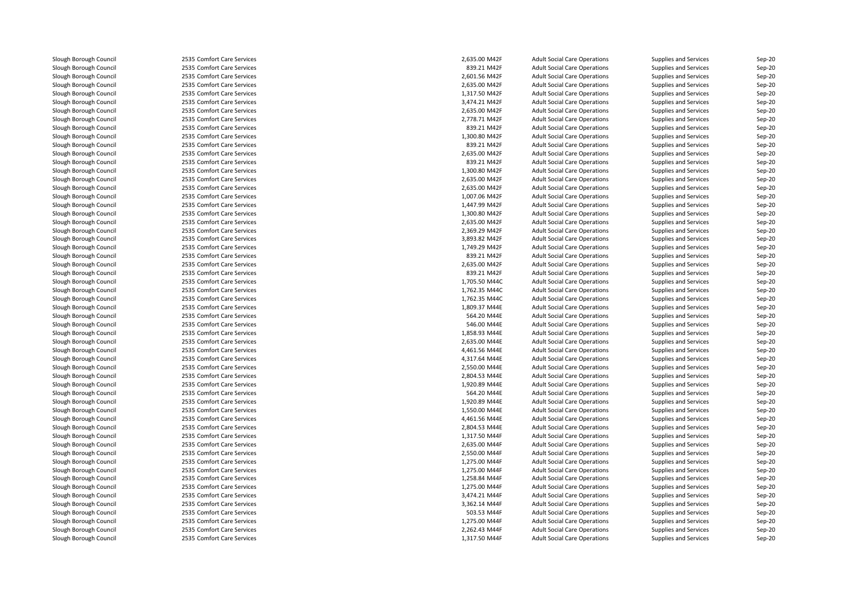| Slough Borough Council | 2535 Comfort Care Services | 2,635.00 M42F | <b>Adult Social Care Operations</b> | Supplies and Services        | Sep-20   |
|------------------------|----------------------------|---------------|-------------------------------------|------------------------------|----------|
| Slough Borough Council | 2535 Comfort Care Services | 839.21 M42F   | <b>Adult Social Care Operations</b> | Supplies and Services        | Sep-20   |
| Slough Borough Council | 2535 Comfort Care Services | 2,601.56 M42F | <b>Adult Social Care Operations</b> | Supplies and Services        | Sep-20   |
| Slough Borough Council | 2535 Comfort Care Services | 2,635.00 M42F | <b>Adult Social Care Operations</b> | Supplies and Services        | Sep-20   |
| Slough Borough Council | 2535 Comfort Care Services | 1,317.50 M42F | <b>Adult Social Care Operations</b> | Supplies and Services        | Sep-20   |
| Slough Borough Council | 2535 Comfort Care Services | 3,474.21 M42F | <b>Adult Social Care Operations</b> | Supplies and Services        | Sep-20   |
| Slough Borough Council | 2535 Comfort Care Services | 2,635.00 M42F | <b>Adult Social Care Operations</b> | Supplies and Services        | $Sep-20$ |
| Slough Borough Council | 2535 Comfort Care Services | 2,778.71 M42F | <b>Adult Social Care Operations</b> | Supplies and Services        | Sep-20   |
| Slough Borough Council | 2535 Comfort Care Services | 839.21 M42F   | <b>Adult Social Care Operations</b> | Supplies and Services        | Sep-20   |
| Slough Borough Council | 2535 Comfort Care Services | 1,300.80 M42F | <b>Adult Social Care Operations</b> | Supplies and Services        | Sep-20   |
| Slough Borough Council | 2535 Comfort Care Services | 839.21 M42F   | <b>Adult Social Care Operations</b> | Supplies and Services        | Sep-20   |
| Slough Borough Council | 2535 Comfort Care Services | 2,635.00 M42F | <b>Adult Social Care Operations</b> | Supplies and Services        | Sep-20   |
| Slough Borough Council | 2535 Comfort Care Services | 839.21 M42F   | <b>Adult Social Care Operations</b> | Supplies and Services        | Sep-20   |
| Slough Borough Council | 2535 Comfort Care Services | 1,300.80 M42F | <b>Adult Social Care Operations</b> | Supplies and Services        | $Sep-20$ |
| Slough Borough Council | 2535 Comfort Care Services | 2,635.00 M42F | <b>Adult Social Care Operations</b> | Supplies and Services        | Sep-20   |
| Slough Borough Council | 2535 Comfort Care Services | 2,635.00 M42F | <b>Adult Social Care Operations</b> | Supplies and Services        | Sep-20   |
| Slough Borough Council | 2535 Comfort Care Services | 1,007.06 M42F | <b>Adult Social Care Operations</b> | Supplies and Services        | Sep-20   |
| Slough Borough Council | 2535 Comfort Care Services | 1,447.99 M42F | <b>Adult Social Care Operations</b> | Supplies and Services        | Sep-20   |
| Slough Borough Council | 2535 Comfort Care Services | 1.300.80 M42F | <b>Adult Social Care Operations</b> | Supplies and Services        | Sep-20   |
| Slough Borough Council | 2535 Comfort Care Services | 2,635.00 M42F | <b>Adult Social Care Operations</b> | Supplies and Services        | Sep-20   |
| Slough Borough Council | 2535 Comfort Care Services | 2,369.29 M42F | <b>Adult Social Care Operations</b> | Supplies and Services        | Sep-20   |
| Slough Borough Council | 2535 Comfort Care Services | 3,893.82 M42F | <b>Adult Social Care Operations</b> | Supplies and Services        | $Sep-20$ |
| Slough Borough Council | 2535 Comfort Care Services | 1,749.29 M42F | <b>Adult Social Care Operations</b> | Supplies and Services        | $Sep-20$ |
| Slough Borough Council | 2535 Comfort Care Services | 839.21 M42F   | <b>Adult Social Care Operations</b> | Supplies and Services        | $Sep-20$ |
| Slough Borough Council | 2535 Comfort Care Services | 2,635.00 M42F | <b>Adult Social Care Operations</b> | Supplies and Services        | Sep-20   |
| Slough Borough Council | 2535 Comfort Care Services | 839.21 M42F   | <b>Adult Social Care Operations</b> | Supplies and Services        | Sep-20   |
| Slough Borough Council | 2535 Comfort Care Services | 1.705.50 M44C | <b>Adult Social Care Operations</b> | Supplies and Services        | Sep-20   |
| Slough Borough Council | 2535 Comfort Care Services | 1,762.35 M44C | <b>Adult Social Care Operations</b> | Supplies and Services        | Sep-20   |
| Slough Borough Council | 2535 Comfort Care Services | 1,762.35 M44C | <b>Adult Social Care Operations</b> | Supplies and Services        | Sep-20   |
| Slough Borough Council | 2535 Comfort Care Services | 1,809.37 M44E | <b>Adult Social Care Operations</b> | Supplies and Services        | $Sep-20$ |
| Slough Borough Council | 2535 Comfort Care Services | 564.20 M44E   | <b>Adult Social Care Operations</b> | Supplies and Services        | Sep-20   |
| Slough Borough Council | 2535 Comfort Care Services | 546.00 M44E   | <b>Adult Social Care Operations</b> | Supplies and Services        | Sep-20   |
| Slough Borough Council | 2535 Comfort Care Services | 1,858.93 M44E | <b>Adult Social Care Operations</b> | Supplies and Services        | Sep-20   |
| Slough Borough Council | 2535 Comfort Care Services | 2,635.00 M44E | <b>Adult Social Care Operations</b> | Supplies and Services        | Sep-20   |
| Slough Borough Council | 2535 Comfort Care Services | 4,461.56 M44E | <b>Adult Social Care Operations</b> | Supplies and Services        | Sep-20   |
| Slough Borough Council | 2535 Comfort Care Services | 4,317.64 M44E | <b>Adult Social Care Operations</b> | Supplies and Services        | Sep-20   |
| Slough Borough Council | 2535 Comfort Care Services | 2,550.00 M44E | <b>Adult Social Care Operations</b> | Supplies and Services        | Sep-20   |
| Slough Borough Council | 2535 Comfort Care Services | 2,804.53 M44E | <b>Adult Social Care Operations</b> | Supplies and Services        | $Sep-20$ |
| Slough Borough Council | 2535 Comfort Care Services | 1,920.89 M44E | <b>Adult Social Care Operations</b> | Supplies and Services        | Sep-20   |
| Slough Borough Council | 2535 Comfort Care Services | 564.20 M44E   | <b>Adult Social Care Operations</b> | Supplies and Services        | Sep-20   |
| Slough Borough Council | 2535 Comfort Care Services | 1,920.89 M44E | <b>Adult Social Care Operations</b> | Supplies and Services        | Sep-20   |
| Slough Borough Council | 2535 Comfort Care Services | 1,550.00 M44E | <b>Adult Social Care Operations</b> | <b>Supplies and Services</b> | Sep-20   |
| Slough Borough Council | 2535 Comfort Care Services | 4,461.56 M44E | <b>Adult Social Care Operations</b> | Supplies and Services        | Sep-20   |
| Slough Borough Council | 2535 Comfort Care Services | 2,804.53 M44E | <b>Adult Social Care Operations</b> | Supplies and Services        | Sep-20   |
| Slough Borough Council | 2535 Comfort Care Services | 1,317.50 M44F | <b>Adult Social Care Operations</b> | Supplies and Services        | Sep-20   |
| Slough Borough Council | 2535 Comfort Care Services | 2,635.00 M44F | <b>Adult Social Care Operations</b> | Supplies and Services        | $Sep-20$ |
| Slough Borough Council | 2535 Comfort Care Services | 2,550.00 M44F | <b>Adult Social Care Operations</b> | Supplies and Services        | Sep-20   |
| Slough Borough Council | 2535 Comfort Care Services | 1,275.00 M44F | <b>Adult Social Care Operations</b> | Supplies and Services        | Sep-20   |
| Slough Borough Council | 2535 Comfort Care Services | 1,275.00 M44F | <b>Adult Social Care Operations</b> | Supplies and Services        | Sep-20   |
| Slough Borough Council | 2535 Comfort Care Services | 1,258.84 M44F | <b>Adult Social Care Operations</b> | Supplies and Services        | Sep-20   |
| Slough Borough Council | 2535 Comfort Care Services | 1,275.00 M44F | <b>Adult Social Care Operations</b> | Supplies and Services        | Sep-20   |
| Slough Borough Council | 2535 Comfort Care Services | 3,474.21 M44F | <b>Adult Social Care Operations</b> | Supplies and Services        | Sep-20   |
| Slough Borough Council | 2535 Comfort Care Services | 3,362.14 M44F | <b>Adult Social Care Operations</b> | Supplies and Services        | Sep-20   |
| Slough Borough Council | 2535 Comfort Care Services | 503.53 M44F   | <b>Adult Social Care Operations</b> | Supplies and Services        | $Sep-20$ |
| Slough Borough Council | 2535 Comfort Care Services | 1,275.00 M44F | <b>Adult Social Care Operations</b> | Supplies and Services        | Sep-20   |
| Slough Borough Council | 2535 Comfort Care Services | 2,262.43 M44F | <b>Adult Social Care Operations</b> | Supplies and Services        | $Sep-20$ |
| Slough Borough Council | 2535 Comfort Care Services | 1,317.50 M44F | <b>Adult Social Care Operations</b> | Supplies and Services        | Sep-20   |
|                        |                            |               |                                     |                              |          |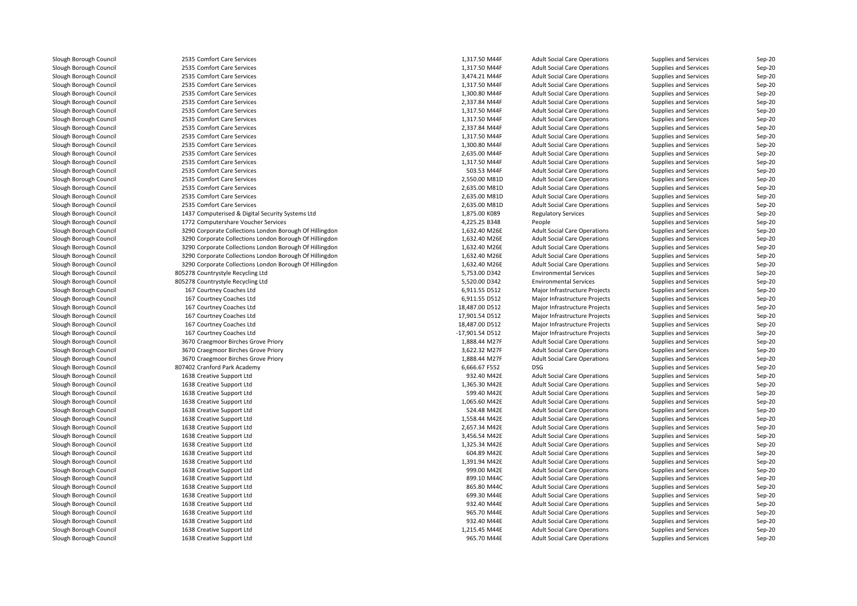| Slough Borough Council | 2535 Comfort Care Services                              | 1,317.50 M44F   | <b>Adult Social Care Operations</b> | Supplies and Services | Sep-20 |
|------------------------|---------------------------------------------------------|-----------------|-------------------------------------|-----------------------|--------|
| Slough Borough Council | 2535 Comfort Care Services                              | 1,317.50 M44F   | <b>Adult Social Care Operations</b> | Supplies and Services | Sep-20 |
| Slough Borough Council | 2535 Comfort Care Services                              | 3,474.21 M44F   | <b>Adult Social Care Operations</b> | Supplies and Services | Sep-20 |
| Slough Borough Council | 2535 Comfort Care Services                              | 1,317.50 M44F   | <b>Adult Social Care Operations</b> | Supplies and Services | Sep-20 |
| Slough Borough Council | 2535 Comfort Care Services                              | 1,300.80 M44F   | <b>Adult Social Care Operations</b> | Supplies and Services | Sep-20 |
| Slough Borough Council | 2535 Comfort Care Services                              | 2,337.84 M44F   | <b>Adult Social Care Operations</b> | Supplies and Services | Sep-20 |
| Slough Borough Council | 2535 Comfort Care Services                              | 1,317.50 M44F   | <b>Adult Social Care Operations</b> | Supplies and Services | Sep-20 |
| Slough Borough Council | 2535 Comfort Care Services                              | 1,317.50 M44F   | <b>Adult Social Care Operations</b> | Supplies and Services | Sep-20 |
| Slough Borough Council | 2535 Comfort Care Services                              | 2,337.84 M44F   | <b>Adult Social Care Operations</b> | Supplies and Services | Sep-20 |
| Slough Borough Council | 2535 Comfort Care Services                              | 1,317.50 M44F   | <b>Adult Social Care Operations</b> | Supplies and Services | Sep-20 |
| Slough Borough Council | 2535 Comfort Care Services                              | 1,300.80 M44F   | <b>Adult Social Care Operations</b> | Supplies and Services | Sep-20 |
| Slough Borough Council | 2535 Comfort Care Services                              | 2,635.00 M44F   | <b>Adult Social Care Operations</b> | Supplies and Services | Sep-20 |
| Slough Borough Council | 2535 Comfort Care Services                              | 1,317.50 M44F   | <b>Adult Social Care Operations</b> | Supplies and Services | Sep-20 |
| Slough Borough Council | 2535 Comfort Care Services                              | 503.53 M44F     | <b>Adult Social Care Operations</b> | Supplies and Services | Sep-20 |
| Slough Borough Council | 2535 Comfort Care Services                              | 2,550.00 M81D   | <b>Adult Social Care Operations</b> | Supplies and Services | Sep-20 |
| Slough Borough Council | 2535 Comfort Care Services                              | 2,635.00 M81D   | <b>Adult Social Care Operations</b> | Supplies and Services | Sep-20 |
| Slough Borough Council | 2535 Comfort Care Services                              | 2,635.00 M81D   | <b>Adult Social Care Operations</b> | Supplies and Services | Sep-20 |
| Slough Borough Council | 2535 Comfort Care Services                              | 2,635.00 M81D   | <b>Adult Social Care Operations</b> | Supplies and Services | Sep-20 |
| Slough Borough Council | 1437 Computerised & Digital Security Systems Ltd        | 1,875.00 K089   | <b>Regulatory Services</b>          | Supplies and Services | Sep-20 |
| Slough Borough Council | 1772 Computershare Voucher Services                     | 4,225.25 B348   | People                              | Supplies and Services | Sep-20 |
| Slough Borough Council | 3290 Corporate Collections London Borough Of Hillingdon | 1,632.40 M26E   | <b>Adult Social Care Operations</b> | Supplies and Services | Sep-20 |
| Slough Borough Council | 3290 Corporate Collections London Borough Of Hillingdon | 1,632.40 M26E   | <b>Adult Social Care Operations</b> | Supplies and Services | Sep-20 |
| Slough Borough Council | 3290 Corporate Collections London Borough Of Hillingdon | 1,632.40 M26E   | <b>Adult Social Care Operations</b> | Supplies and Services | Sep-20 |
| Slough Borough Council | 3290 Corporate Collections London Borough Of Hillingdon | 1,632.40 M26E   | <b>Adult Social Care Operations</b> | Supplies and Services | Sep-20 |
| Slough Borough Council | 3290 Corporate Collections London Borough Of Hillingdon | 1,632.40 M26E   | <b>Adult Social Care Operations</b> | Supplies and Services | Sep-20 |
| Slough Borough Council | 805278 Countrystyle Recycling Ltd                       | 5,753.00 D342   | <b>Environmental Services</b>       | Supplies and Services | Sep-20 |
|                        |                                                         |                 |                                     |                       |        |
| Slough Borough Council | 805278 Countrystyle Recycling Ltd                       | 5,520.00 D342   | <b>Environmental Services</b>       | Supplies and Services | Sep-20 |
| Slough Borough Council | 167 Courtney Coaches Ltd                                | 6,911.55 D512   | Major Infrastructure Projects       | Supplies and Services | Sep-20 |
| Slough Borough Council | 167 Courtney Coaches Ltd                                | 6,911.55 D512   | Major Infrastructure Projects       | Supplies and Services | Sep-20 |
| Slough Borough Council | 167 Courtney Coaches Ltd                                | 18,487.00 D512  | Major Infrastructure Projects       | Supplies and Services | Sep-20 |
| Slough Borough Council | 167 Courtney Coaches Ltd                                | 17,901.54 D512  | Major Infrastructure Projects       | Supplies and Services | Sep-20 |
| Slough Borough Council | 167 Courtney Coaches Ltd                                | 18,487.00 D512  | Major Infrastructure Projects       | Supplies and Services | Sep-20 |
| Slough Borough Council | 167 Courtney Coaches Ltd                                | -17,901.54 D512 | Major Infrastructure Projects       | Supplies and Services | Sep-20 |
| Slough Borough Council | 3670 Craegmoor Birches Grove Priory                     | 1,888.44 M27F   | <b>Adult Social Care Operations</b> | Supplies and Services | Sep-20 |
| Slough Borough Council | 3670 Craegmoor Birches Grove Priory                     | 3,622.32 M27F   | <b>Adult Social Care Operations</b> | Supplies and Services | Sep-20 |
| Slough Borough Council | 3670 Craegmoor Birches Grove Priory                     | 1,888.44 M27F   | <b>Adult Social Care Operations</b> | Supplies and Services | Sep-20 |
| Slough Borough Council | 807402 Cranford Park Academy                            | 6,666.67 F552   | <b>DSG</b>                          | Supplies and Services | Sep-20 |
| Slough Borough Council | 1638 Creative Support Ltd                               | 932.40 M42E     | <b>Adult Social Care Operations</b> | Supplies and Services | Sep-20 |
| Slough Borough Council | 1638 Creative Support Ltd                               | 1,365.30 M42E   | <b>Adult Social Care Operations</b> | Supplies and Services | Sep-20 |
| Slough Borough Council | 1638 Creative Support Ltd                               | 599.40 M42E     | <b>Adult Social Care Operations</b> | Supplies and Services | Sep-20 |
| Slough Borough Council | 1638 Creative Support Ltd                               | 1,065.60 M42E   | <b>Adult Social Care Operations</b> | Supplies and Services | Sep-20 |
| Slough Borough Council | 1638 Creative Support Ltd                               | 524.48 M42E     | <b>Adult Social Care Operations</b> | Supplies and Services | Sep-20 |
| Slough Borough Council | 1638 Creative Support Ltd                               | 1,558.44 M42E   | <b>Adult Social Care Operations</b> | Supplies and Services | Sep-20 |
| Slough Borough Council | 1638 Creative Support Ltd                               | 2,657.34 M42E   | <b>Adult Social Care Operations</b> | Supplies and Services | Sep-20 |
| Slough Borough Council | 1638 Creative Support Ltd                               | 3,456.54 M42E   | <b>Adult Social Care Operations</b> | Supplies and Services | Sep-20 |
| Slough Borough Council | 1638 Creative Support Ltd                               | 1,325.34 M42E   | <b>Adult Social Care Operations</b> | Supplies and Services | Sep-20 |
| Slough Borough Council | 1638 Creative Support Ltd                               | 604.89 M42E     | <b>Adult Social Care Operations</b> | Supplies and Services | Sep-20 |
| Slough Borough Council | 1638 Creative Support Ltd                               | 1,391.94 M42E   | <b>Adult Social Care Operations</b> | Supplies and Services | Sep-20 |
| Slough Borough Council | 1638 Creative Support Ltd                               | 999.00 M42E     | <b>Adult Social Care Operations</b> | Supplies and Services | Sep-20 |
| Slough Borough Council | 1638 Creative Support Ltd                               | 899.10 M44C     | <b>Adult Social Care Operations</b> | Supplies and Services | Sep-20 |
| Slough Borough Council | 1638 Creative Support Ltd                               | 865.80 M44C     | <b>Adult Social Care Operations</b> | Supplies and Services | Sep-20 |
| Slough Borough Council | 1638 Creative Support Ltd                               | 699.30 M44E     | <b>Adult Social Care Operations</b> | Supplies and Services | Sep-20 |
| Slough Borough Council | 1638 Creative Support Ltd                               | 932.40 M44E     | <b>Adult Social Care Operations</b> | Supplies and Services | Sep-20 |
| Slough Borough Council | 1638 Creative Support Ltd                               | 965.70 M44E     | <b>Adult Social Care Operations</b> | Supplies and Services | Sep-20 |
| Slough Borough Council | 1638 Creative Support Ltd                               | 932.40 M44E     | <b>Adult Social Care Operations</b> | Supplies and Services | Sep-20 |
| Slough Borough Council | 1638 Creative Support Ltd                               | 1,215.45 M44E   | <b>Adult Social Care Operations</b> | Supplies and Services | Sep-20 |
| Slough Borough Council | 1638 Creative Support Ltd                               | 965.70 M44E     | <b>Adult Social Care Operations</b> | Supplies and Services | Sep-20 |
|                        |                                                         |                 |                                     |                       |        |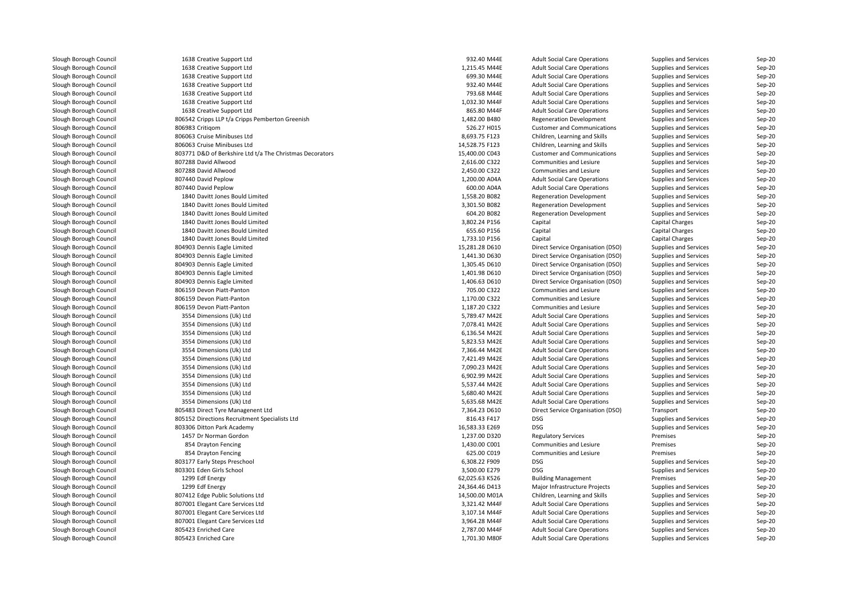| Slough Borough Council | 1638 Creative Support Ltd                                | 932.40 M44E    | <b>Adult Social Care Operations</b> | Supplies and Services | Sep-20   |
|------------------------|----------------------------------------------------------|----------------|-------------------------------------|-----------------------|----------|
| Slough Borough Council | 1638 Creative Support Ltd                                | 1,215.45 M44E  | <b>Adult Social Care Operations</b> | Supplies and Services | Sep-20   |
| Slough Borough Council | 1638 Creative Support Ltd                                | 699.30 M44E    | <b>Adult Social Care Operations</b> | Supplies and Services | Sep-20   |
| Slough Borough Council | 1638 Creative Support Ltd                                | 932.40 M44E    | <b>Adult Social Care Operations</b> | Supplies and Services | Sep-20   |
| Slough Borough Council | 1638 Creative Support Ltd                                | 793.68 M44E    | <b>Adult Social Care Operations</b> | Supplies and Services | Sep-20   |
| Slough Borough Council | 1638 Creative Support Ltd                                | 1,032.30 M44F  | <b>Adult Social Care Operations</b> | Supplies and Services | Sep-20   |
| Slough Borough Council | 1638 Creative Support Ltd                                | 865.80 M44F    | <b>Adult Social Care Operations</b> | Supplies and Services | $Sep-20$ |
| Slough Borough Council | 806542 Cripps LLP t/a Cripps Pemberton Greenish          | 1,482.00 B480  | <b>Regeneration Development</b>     | Supplies and Services | Sep-20   |
| Slough Borough Council | 806983 Critigom                                          | 526.27 H015    | <b>Customer and Communications</b>  | Supplies and Services | Sep-20   |
| Slough Borough Council | 806063 Cruise Minibuses Ltd                              | 8,693.75 F123  | Children, Learning and Skills       | Supplies and Services | Sep-20   |
| Slough Borough Council | 806063 Cruise Minibuses Ltd                              | 14,528.75 F123 | Children, Learning and Skills       | Supplies and Services | Sep-20   |
| Slough Borough Council | 803771 D&D of Berkshire Ltd t/a The Christmas Decorators | 15,400.00 C043 | <b>Customer and Communications</b>  | Supplies and Services | Sep-20   |
| Slough Borough Council | 807288 David Allwood                                     | 2,616.00 C322  | Communities and Lesiure             | Supplies and Services | Sep-20   |
| Slough Borough Council | 807288 David Allwood                                     | 2,450.00 C322  | Communities and Lesiure             | Supplies and Services | Sep-20   |
| Slough Borough Council | 807440 David Peplow                                      | 1,200.00 A04A  | <b>Adult Social Care Operations</b> | Supplies and Services | Sep-20   |
| Slough Borough Council | 807440 David Peplow                                      | 600.00 A04A    | <b>Adult Social Care Operations</b> | Supplies and Services | Sep-20   |
| Slough Borough Council | 1840 Davitt Jones Bould Limited                          | 1,558.20 B082  | <b>Regeneration Development</b>     | Supplies and Services | Sep-20   |
| Slough Borough Council | 1840 Davitt Jones Bould Limited                          | 3,301.50 B082  | <b>Regeneration Development</b>     | Supplies and Services | Sep-20   |
| Slough Borough Council | 1840 Davitt Jones Bould Limited                          | 604.20 B082    | <b>Regeneration Development</b>     | Supplies and Services | Sep-20   |
| Slough Borough Council | 1840 Davitt Jones Bould Limited                          | 3,802.24 P156  | Capital                             | Capital Charges       | Sep-20   |
| Slough Borough Council | 1840 Davitt Jones Bould Limited                          | 655.60 P156    | Capital                             | Capital Charges       | $Sep-20$ |
| Slough Borough Council | 1840 Davitt Jones Bould Limited                          | 1,733.10 P156  | Capital                             | Capital Charges       | $Sep-20$ |
| Slough Borough Council | 804903 Dennis Eagle Limited                              | 15,281.28 D610 | Direct Service Organisation (DSO)   | Supplies and Services | $Sep-20$ |
| Slough Borough Council | 804903 Dennis Eagle Limited                              | 1,441.30 D630  | Direct Service Organisation (DSO)   | Supplies and Services | $Sep-20$ |
| Slough Borough Council | 804903 Dennis Eagle Limited                              | 1,305.45 D610  | Direct Service Organisation (DSO)   | Supplies and Services | Sep-20   |
| Slough Borough Council | 804903 Dennis Eagle Limited                              | 1,401.98 D610  | Direct Service Organisation (DSO)   | Supplies and Services | Sep-20   |
| Slough Borough Council | 804903 Dennis Eagle Limited                              | 1,406.63 D610  | Direct Service Organisation (DSO)   | Supplies and Services | Sep-20   |
| Slough Borough Council | 806159 Devon Piatt-Panton                                | 705.00 C322    | Communities and Lesiure             | Supplies and Services | Sep-20   |
| Slough Borough Council | 806159 Devon Piatt-Panton                                | 1,170.00 C322  | Communities and Lesiure             | Supplies and Services | Sep-20   |
| Slough Borough Council | 806159 Devon Piatt-Panton                                | 1,187.20 C322  | Communities and Lesiure             | Supplies and Services | Sep-20   |
| Slough Borough Council | 3554 Dimensions (Uk) Ltd                                 | 5,789.47 M42E  | <b>Adult Social Care Operations</b> | Supplies and Services | Sep-20   |
| Slough Borough Council | 3554 Dimensions (Uk) Ltd                                 | 7,078.41 M42E  | <b>Adult Social Care Operations</b> | Supplies and Services | Sep-20   |
| Slough Borough Council | 3554 Dimensions (Uk) Ltd                                 | 6,136.54 M42E  | <b>Adult Social Care Operations</b> | Supplies and Services | Sep-20   |
| Slough Borough Council | 3554 Dimensions (Uk) Ltd                                 | 5,823.53 M42E  | <b>Adult Social Care Operations</b> | Supplies and Services | $Sep-20$ |
| Slough Borough Council | 3554 Dimensions (Uk) Ltd                                 | 7,366.44 M42E  | <b>Adult Social Care Operations</b> | Supplies and Services | Sep-20   |
| Slough Borough Council | 3554 Dimensions (Uk) Ltd                                 | 7,421.49 M42E  | <b>Adult Social Care Operations</b> | Supplies and Services | Sep-20   |
| Slough Borough Council | 3554 Dimensions (Uk) Ltd                                 | 7,090.23 M42E  | <b>Adult Social Care Operations</b> | Supplies and Services | Sep-20   |
| Slough Borough Council | 3554 Dimensions (Uk) Ltd                                 | 6,902.99 M42E  | <b>Adult Social Care Operations</b> | Supplies and Services | $Sep-20$ |
| Slough Borough Council | 3554 Dimensions (Uk) Ltd                                 | 5,537.44 M42E  | <b>Adult Social Care Operations</b> | Supplies and Services | Sep-20   |
| Slough Borough Council | 3554 Dimensions (Uk) Ltd                                 | 5,680.40 M42E  | <b>Adult Social Care Operations</b> | Supplies and Services | Sep-20   |
| Slough Borough Council | 3554 Dimensions (Uk) Ltd                                 | 5,635.68 M42E  | <b>Adult Social Care Operations</b> | Supplies and Services | Sep-20   |
| Slough Borough Council | 805483 Direct Tyre Managenent Ltd                        | 7,364.23 D610  | Direct Service Organisation (DSO)   | Transport             | Sep-20   |
| Slough Borough Council | 805152 Directions Recruitment Specialists Ltd            | 816.43 F417    | <b>DSG</b>                          | Supplies and Services | $Sep-20$ |
| Slough Borough Council | 803306 Ditton Park Academy                               | 16,583.33 E269 | <b>DSG</b>                          | Supplies and Services | Sep-20   |
| Slough Borough Council | 1457 Dr Norman Gordon                                    | 1,237.00 D320  | <b>Regulatory Services</b>          | Premises              | Sep-20   |
| Slough Borough Council | 854 Drayton Fencing                                      | 1,430.00 C001  | Communities and Lesiure             | Premises              | $Sep-20$ |
| Slough Borough Council | 854 Drayton Fencing                                      | 625.00 C019    | Communities and Lesiure             | Premises              | Sep-20   |
| Slough Borough Council | 803177 Early Steps Preschool                             | 6,308.22 F909  | <b>DSG</b>                          | Supplies and Services | Sep-20   |
| Slough Borough Council | 803301 Eden Girls School                                 | 3,500.00 E279  | <b>DSG</b>                          | Supplies and Services | Sep-20   |
| Slough Borough Council | 1299 Edf Energy                                          | 62,025.63 K526 | <b>Building Management</b>          | Premises              | Sep-20   |
| Slough Borough Council | 1299 Edf Energy                                          | 24,364.46 D413 | Major Infrastructure Projects       | Supplies and Services | Sep-20   |
| Slough Borough Council | 807412 Edge Public Solutions Ltd                         | 14,500.00 M01A | Children, Learning and Skills       | Supplies and Services | Sep-20   |
| Slough Borough Council | 807001 Elegant Care Services Ltd                         | 3,321.42 M44F  | <b>Adult Social Care Operations</b> | Supplies and Services | Sep-20   |
| Slough Borough Council | 807001 Elegant Care Services Ltd                         | 3,107.14 M44F  | <b>Adult Social Care Operations</b> | Supplies and Services | $Sep-20$ |
| Slough Borough Council | 807001 Elegant Care Services Ltd                         | 3,964.28 M44F  | <b>Adult Social Care Operations</b> | Supplies and Services | Sep-20   |
| Slough Borough Council | 805423 Enriched Care                                     | 2,787.00 M44F  | <b>Adult Social Care Operations</b> | Supplies and Services | Sep-20   |
| Slough Borough Council | 805423 Enriched Care                                     | 1,701.30 M80F  | <b>Adult Social Care Operations</b> | Supplies and Services | Sep-20   |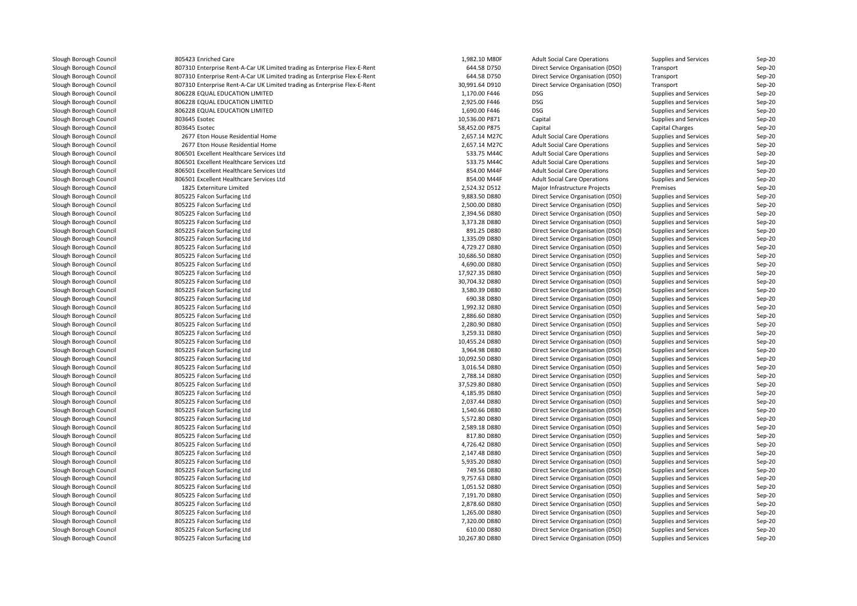| Slough Borough Council                           | 805423 Enriched Care                                                      | 1,982.10 M80F                  | <b>Adult Social Care Operations</b> | Supplies and Services | Sep-20           |
|--------------------------------------------------|---------------------------------------------------------------------------|--------------------------------|-------------------------------------|-----------------------|------------------|
| Slough Borough Council                           | 807310 Enterprise Rent-A-Car UK Limited trading as Enterprise Flex-E-Rent | 644.58 D750                    | Direct Service Organisation (DSO)   | Transport             | Sep-20           |
| Slough Borough Council                           | 807310 Enterprise Rent-A-Car UK Limited trading as Enterprise Flex-E-Rent | 644.58 D750                    | Direct Service Organisation (DSO)   | Transport             | Sep-20           |
| Slough Borough Council                           | 807310 Enterprise Rent-A-Car UK Limited trading as Enterprise Flex-E-Rent | 30,991.64 D910                 | Direct Service Organisation (DSO)   | Transport             | Sep-20           |
| Slough Borough Council                           | 806228 EQUAL EDUCATION LIMITED                                            | 1,170.00 F446                  | <b>DSG</b>                          | Supplies and Services | Sep-20           |
| Slough Borough Council                           | 806228 EQUAL EDUCATION LIMITED                                            | 2,925.00 F446                  | DSG                                 | Supplies and Services | Sep-20           |
| Slough Borough Council                           | 806228 EQUAL EDUCATION LIMITED                                            | 1,690.00 F446                  | <b>DSG</b>                          | Supplies and Services | Sep-20           |
| Slough Borough Council                           | 803645 Esotec                                                             | 10,536.00 P871                 | Capital                             | Supplies and Services | Sep-20           |
| Slough Borough Council                           | 803645 Esotec                                                             | 58,452.00 P875                 | Capital                             | Capital Charges       | Sep-20           |
| Slough Borough Council                           | 2677 Eton House Residential Home                                          | 2,657.14 M27C                  | <b>Adult Social Care Operations</b> | Supplies and Services | Sep-20           |
| Slough Borough Council                           | 2677 Eton House Residential Home                                          | 2,657.14 M27C                  | <b>Adult Social Care Operations</b> | Supplies and Services | Sep-20           |
| Slough Borough Council                           | 806501 Excellent Healthcare Services Ltd                                  | 533.75 M44C                    | <b>Adult Social Care Operations</b> | Supplies and Services | Sep-20           |
| Slough Borough Council                           | 806501 Excellent Healthcare Services Ltd                                  | 533.75 M44C                    | <b>Adult Social Care Operations</b> | Supplies and Services | Sep-20           |
| Slough Borough Council                           | 806501 Excellent Healthcare Services Ltd                                  | 854.00 M44F                    | <b>Adult Social Care Operations</b> | Supplies and Services | Sep-20           |
| Slough Borough Council                           | 806501 Excellent Healthcare Services Ltd                                  | 854.00 M44F                    | <b>Adult Social Care Operations</b> | Supplies and Services | Sep-20           |
| Slough Borough Council                           | 1825 Externiture Limited                                                  | 2,524.32 D512                  | Major Infrastructure Projects       | Premises              | Sep-20           |
| Slough Borough Council                           | 805225 Falcon Surfacing Ltd                                               | 9,883.50 D880                  | Direct Service Organisation (DSO)   | Supplies and Services | Sep-20           |
| Slough Borough Council                           | 805225 Falcon Surfacing Ltd                                               | 2,500.00 D880                  | Direct Service Organisation (DSO)   | Supplies and Services | Sep-20           |
| Slough Borough Council                           | 805225 Falcon Surfacing Ltd                                               | 2,394.56 D880                  | Direct Service Organisation (DSO)   | Supplies and Services | Sep-20           |
| Slough Borough Council                           | 805225 Falcon Surfacing Ltd                                               | 3,373.28 D880                  | Direct Service Organisation (DSO)   | Supplies and Services | Sep-20           |
| Slough Borough Council                           | 805225 Falcon Surfacing Ltd                                               | 891.25 D880                    | Direct Service Organisation (DSO)   | Supplies and Services | Sep-20           |
| Slough Borough Council                           | 805225 Falcon Surfacing Ltd                                               | 1,335.09 D880                  | Direct Service Organisation (DSO)   | Supplies and Services | Sep-20           |
| Slough Borough Council                           | 805225 Falcon Surfacing Ltd                                               | 4,729.27 D880                  | Direct Service Organisation (DSO)   | Supplies and Services | Sep-20           |
| Slough Borough Council                           | 805225 Falcon Surfacing Ltd                                               | 10,686.50 D880                 | Direct Service Organisation (DSO)   | Supplies and Services | Sep-20           |
| Slough Borough Council                           | 805225 Falcon Surfacing Ltd                                               | 4,690.00 D880                  | Direct Service Organisation (DSO)   | Supplies and Services | Sep-20           |
| Slough Borough Council                           | 805225 Falcon Surfacing Ltd                                               | 17,927.35 D880                 | Direct Service Organisation (DSO)   | Supplies and Services | Sep-20           |
| Slough Borough Council                           | 805225 Falcon Surfacing Ltd                                               | 30,704.32 D880                 | Direct Service Organisation (DSO)   | Supplies and Services | Sep-20           |
| Slough Borough Council                           | 805225 Falcon Surfacing Ltd                                               | 3,580.39 D880                  | Direct Service Organisation (DSO)   | Supplies and Services | $Sep-20$         |
| Slough Borough Council                           | 805225 Falcon Surfacing Ltd                                               | 690.38 D880                    | Direct Service Organisation (DSO)   | Supplies and Services | Sep-20           |
| Slough Borough Council                           | 805225 Falcon Surfacing Ltd                                               | 1,992.32 D880                  | Direct Service Organisation (DSO)   | Supplies and Services | Sep-20           |
| Slough Borough Council                           | 805225 Falcon Surfacing Ltd                                               | 2,886.60 D880                  | Direct Service Organisation (DSO)   | Supplies and Services | Sep-20           |
| Slough Borough Council                           | 805225 Falcon Surfacing Ltd                                               | 2,280.90 D880                  | Direct Service Organisation (DSO)   | Supplies and Services | Sep-20           |
| Slough Borough Council                           | 805225 Falcon Surfacing Ltd                                               | 3,259.31 D880                  | Direct Service Organisation (DSO)   | Supplies and Services | Sep-20           |
| Slough Borough Council                           | 805225 Falcon Surfacing Ltd                                               | 10,455.24 D880                 | Direct Service Organisation (DSO)   | Supplies and Services | Sep-20           |
| Slough Borough Council                           | 805225 Falcon Surfacing Ltd                                               | 3,964.98 D880                  | Direct Service Organisation (DSO)   | Supplies and Services | Sep-20           |
| Slough Borough Council                           | 805225 Falcon Surfacing Ltd                                               | 10,092.50 D880                 | Direct Service Organisation (DSO)   | Supplies and Services | Sep-20           |
| Slough Borough Council                           | 805225 Falcon Surfacing Ltd                                               | 3,016.54 D880                  | Direct Service Organisation (DSO)   | Supplies and Services | Sep-20           |
| Slough Borough Council                           | 805225 Falcon Surfacing Ltd                                               | 2,788.14 D880                  | Direct Service Organisation (DSO)   | Supplies and Services | Sep-20           |
| Slough Borough Council                           | 805225 Falcon Surfacing Ltd                                               | 37,529.80 D880                 | Direct Service Organisation (DSO)   | Supplies and Services | Sep-20           |
| Slough Borough Council                           | 805225 Falcon Surfacing Ltd                                               | 4,185.95 D880                  | Direct Service Organisation (DSO)   | Supplies and Services | Sep-20           |
| Slough Borough Council                           | 805225 Falcon Surfacing Ltd                                               | 2,037.44 D880                  | Direct Service Organisation (DSO)   | Supplies and Services | Sep-20           |
| Slough Borough Council                           | 805225 Falcon Surfacing Ltd                                               | 1,540.66 D880                  | Direct Service Organisation (DSO)   | Supplies and Services | Sep-20           |
| Slough Borough Council                           | 805225 Falcon Surfacing Ltd                                               | 5,572.80 D880                  | Direct Service Organisation (DSO)   | Supplies and Services | Sep-20           |
| Slough Borough Council                           | 805225 Falcon Surfacing Ltd                                               | 2,589.18 D880                  | Direct Service Organisation (DSO)   | Supplies and Services | Sep-20           |
| Slough Borough Council                           | 805225 Falcon Surfacing Ltd                                               | 817.80 D880                    | Direct Service Organisation (DSO)   | Supplies and Services | Sep-20           |
| Slough Borough Council                           | 805225 Falcon Surfacing Ltd                                               | 4,726.42 D880                  | Direct Service Organisation (DSO)   | Supplies and Services | Sep-20           |
| Slough Borough Council                           | 805225 Falcon Surfacing Ltd                                               | 2,147.48 D880                  | Direct Service Organisation (DSO)   | Supplies and Services | Sep-20           |
| Slough Borough Council                           | 805225 Falcon Surfacing Ltd                                               | 5,935.20 D880                  | Direct Service Organisation (DSO)   | Supplies and Services | Sep-20           |
| Slough Borough Council                           | 805225 Falcon Surfacing Ltd                                               | 749.56 D880                    | Direct Service Organisation (DSO)   | Supplies and Services | Sep-20           |
| Slough Borough Council                           | 805225 Falcon Surfacing Ltd                                               | 9,757.63 D880                  | Direct Service Organisation (DSO)   | Supplies and Services | Sep-20           |
| Slough Borough Council                           | 805225 Falcon Surfacing Ltd                                               | 1,051.52 D880                  | Direct Service Organisation (DSO)   | Supplies and Services | Sep-20           |
|                                                  |                                                                           |                                |                                     |                       |                  |
| Slough Borough Council<br>Slough Borough Council | 805225 Falcon Surfacing Ltd<br>805225 Falcon Surfacing Ltd                | 7,191.70 D880<br>2,878.60 D880 | Direct Service Organisation (DSO)   | Supplies and Services | Sep-20<br>Sep-20 |
| Slough Borough Council                           |                                                                           |                                | Direct Service Organisation (DSO)   | Supplies and Services |                  |
|                                                  | 805225 Falcon Surfacing Ltd                                               | 1,265.00 D880                  | Direct Service Organisation (DSO)   | Supplies and Services | Sep-20           |
| Slough Borough Council                           | 805225 Falcon Surfacing Ltd                                               | 7,320.00 D880                  | Direct Service Organisation (DSO)   | Supplies and Services | Sep-20           |
| Slough Borough Council                           | 805225 Falcon Surfacing Ltd                                               | 610.00 D880                    | Direct Service Organisation (DSO)   | Supplies and Services | Sep-20           |
| Slough Borough Council                           | 805225 Falcon Surfacing Ltd                                               | 10,267.80 D880                 | Direct Service Organisation (DSO)   | Supplies and Services | Sep-20           |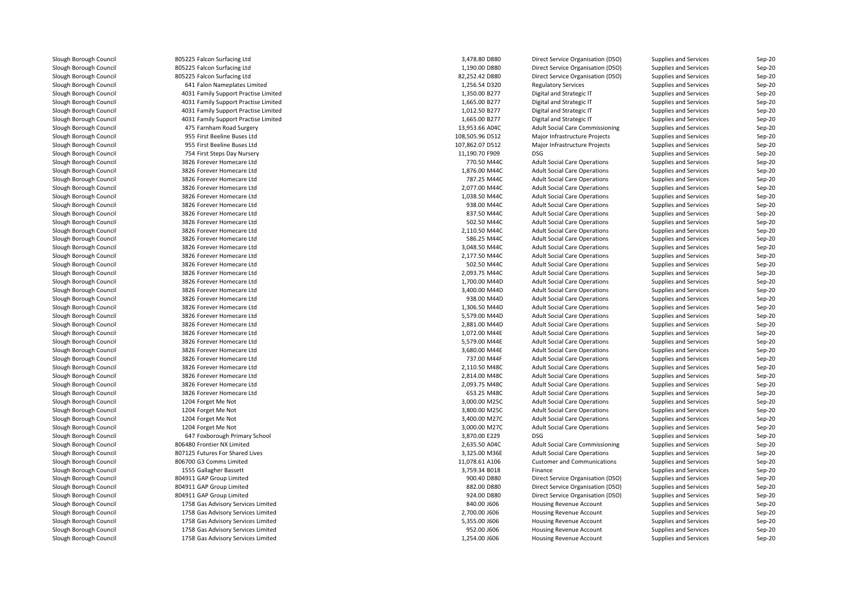| Slough Borough Council | 805225 Falcon Surfacing Ltd          | 3,478.80 D880   | Direct Service Organisation (DSO)      | Supplies and Services        | Sep-20   |
|------------------------|--------------------------------------|-----------------|----------------------------------------|------------------------------|----------|
| Slough Borough Council | 805225 Falcon Surfacing Ltd          | 1,190.00 D880   | Direct Service Organisation (DSO)      | Supplies and Services        | Sep-20   |
| Slough Borough Council | 805225 Falcon Surfacing Ltd          | 82,252.42 D880  | Direct Service Organisation (DSO)      | Supplies and Services        | Sep-20   |
| Slough Borough Council | 641 Falon Nameplates Limited         | 1,256.54 D320   | <b>Regulatory Services</b>             | Supplies and Services        | $Sep-20$ |
| Slough Borough Council | 4031 Family Support Practise Limited | 1,350.00 B277   | Digital and Strategic IT               | Supplies and Services        | $Sep-20$ |
| Slough Borough Council | 4031 Family Support Practise Limited | 1,665.00 B277   | Digital and Strategic IT               | Supplies and Services        | Sep-20   |
| Slough Borough Council | 4031 Family Support Practise Limited | 1,012.50 B277   | Digital and Strategic IT               | Supplies and Services        | Sep-20   |
| Slough Borough Council | 4031 Family Support Practise Limited | 1,665.00 B277   | Digital and Strategic IT               | Supplies and Services        | Sep-20   |
| Slough Borough Council | 475 Farnham Road Surgery             | 13,953.66 A04C  | Adult Social Care Commissioning        | Supplies and Services        | Sep-20   |
| Slough Borough Council | 955 First Beeline Buses Ltd          | 108,505.96 D512 | Major Infrastructure Projects          | Supplies and Services        | Sep-20   |
| Slough Borough Council | 955 First Beeline Buses Ltd          | 107,862.07 D512 | Major Infrastructure Projects          | Supplies and Services        | Sep-20   |
| Slough Borough Council | 754 First Steps Day Nursery          | 11,190.70 F909  | <b>DSG</b>                             | Supplies and Services        | Sep-20   |
| Slough Borough Council | 3826 Forever Homecare Ltd            | 770.50 M44C     | <b>Adult Social Care Operations</b>    | Supplies and Services        | Sep-20   |
| Slough Borough Council | 3826 Forever Homecare Ltd            | 1,876.00 M44C   | <b>Adult Social Care Operations</b>    | Supplies and Services        | Sep-20   |
| Slough Borough Council | 3826 Forever Homecare Ltd            | 787.25 M44C     | <b>Adult Social Care Operations</b>    | Supplies and Services        | Sep-20   |
| Slough Borough Council | 3826 Forever Homecare Ltd            | 2,077.00 M44C   | <b>Adult Social Care Operations</b>    | Supplies and Services        | $Sep-20$ |
| Slough Borough Council | 3826 Forever Homecare Ltd            | 1,038.50 M44C   | <b>Adult Social Care Operations</b>    | Supplies and Services        | Sep-20   |
| Slough Borough Council | 3826 Forever Homecare Ltd            | 938.00 M44C     | <b>Adult Social Care Operations</b>    | Supplies and Services        | Sep-20   |
| Slough Borough Council | 3826 Forever Homecare Ltd            | 837.50 M44C     | <b>Adult Social Care Operations</b>    | Supplies and Services        | $Sep-20$ |
| Slough Borough Council | 3826 Forever Homecare Ltd            | 502.50 M44C     | <b>Adult Social Care Operations</b>    | Supplies and Services        | Sep-20   |
| Slough Borough Council | 3826 Forever Homecare Ltd            | 2,110.50 M44C   | <b>Adult Social Care Operations</b>    | Supplies and Services        | $Sep-20$ |
| Slough Borough Council | 3826 Forever Homecare Ltd            | 586.25 M44C     | <b>Adult Social Care Operations</b>    | Supplies and Services        | Sep-20   |
| Slough Borough Council | 3826 Forever Homecare Ltd            | 3,048.50 M44C   | <b>Adult Social Care Operations</b>    | Supplies and Services        | Sep-20   |
|                        | 3826 Forever Homecare Ltd            |                 |                                        |                              |          |
| Slough Borough Council |                                      | 2,177.50 M44C   | <b>Adult Social Care Operations</b>    | Supplies and Services        | $Sep-20$ |
| Slough Borough Council | 3826 Forever Homecare Ltd            | 502.50 M44C     | <b>Adult Social Care Operations</b>    | Supplies and Services        | Sep-20   |
| Slough Borough Council | 3826 Forever Homecare Ltd            | 2,093.75 M44C   | <b>Adult Social Care Operations</b>    | Supplies and Services        | Sep-20   |
| Slough Borough Council | 3826 Forever Homecare Ltd            | 1,700.00 M44D   | <b>Adult Social Care Operations</b>    | Supplies and Services        | Sep-20   |
| Slough Borough Council | 3826 Forever Homecare Ltd            | 3,400.00 M44D   | <b>Adult Social Care Operations</b>    | Supplies and Services        | Sep-20   |
| Slough Borough Council | 3826 Forever Homecare Ltd            | 938.00 M44D     | <b>Adult Social Care Operations</b>    | Supplies and Services        | Sep-20   |
| Slough Borough Council | 3826 Forever Homecare Ltd            | 1,306.50 M44D   | <b>Adult Social Care Operations</b>    | Supplies and Services        | Sep-20   |
| Slough Borough Council | 3826 Forever Homecare Ltd            | 5,579.00 M44D   | <b>Adult Social Care Operations</b>    | Supplies and Services        | Sep-20   |
| Slough Borough Council | 3826 Forever Homecare Ltd            | 2,881.00 M44D   | <b>Adult Social Care Operations</b>    | <b>Supplies and Services</b> | Sep-20   |
| Slough Borough Council | 3826 Forever Homecare Ltd            | 1,072.00 M44E   | <b>Adult Social Care Operations</b>    | Supplies and Services        | Sep-20   |
| Slough Borough Council | 3826 Forever Homecare Ltd            | 5,579.00 M44E   | <b>Adult Social Care Operations</b>    | Supplies and Services        | Sep-20   |
| Slough Borough Council | 3826 Forever Homecare Ltd            | 3,680.00 M44E   | <b>Adult Social Care Operations</b>    | Supplies and Services        | Sep-20   |
| Slough Borough Council | 3826 Forever Homecare Ltd            | 737.00 M44F     | <b>Adult Social Care Operations</b>    | Supplies and Services        | Sep-20   |
| Slough Borough Council | 3826 Forever Homecare Ltd            | 2,110.50 M48C   | <b>Adult Social Care Operations</b>    | Supplies and Services        | Sep-20   |
| Slough Borough Council | 3826 Forever Homecare Ltd            | 2,814.00 M48C   | <b>Adult Social Care Operations</b>    | Supplies and Services        | Sep-20   |
| Slough Borough Council | 3826 Forever Homecare Ltd            | 2,093.75 M48C   | <b>Adult Social Care Operations</b>    | <b>Supplies and Services</b> | $Sep-20$ |
| Slough Borough Council | 3826 Forever Homecare Ltd            | 653.25 M48C     | <b>Adult Social Care Operations</b>    | Supplies and Services        | Sep-20   |
| Slough Borough Council | 1204 Forget Me Not                   | 3,000.00 M25C   | <b>Adult Social Care Operations</b>    | Supplies and Services        | Sep-20   |
| Slough Borough Council | 1204 Forget Me Not                   | 3,800.00 M25C   | <b>Adult Social Care Operations</b>    | Supplies and Services        | Sep-20   |
| Slough Borough Council | 1204 Forget Me Not                   | 3,400.00 M27C   | <b>Adult Social Care Operations</b>    | Supplies and Services        | $Sep-20$ |
| Slough Borough Council | 1204 Forget Me Not                   | 3,000.00 M27C   | <b>Adult Social Care Operations</b>    | Supplies and Services        | Sep-20   |
| Slough Borough Council | 647 Foxborough Primary School        | 3,870.00 E229   | <b>DSG</b>                             | Supplies and Services        | Sep-20   |
| Slough Borough Council | 806480 Frontier NX Limited           | 2,635.50 A04C   | <b>Adult Social Care Commissioning</b> | Supplies and Services        | Sep-20   |
| Slough Borough Council | 807125 Futures For Shared Lives      | 3,325.00 M36E   | <b>Adult Social Care Operations</b>    | Supplies and Services        | Sep-20   |
| Slough Borough Council | 806700 G3 Comms Limited              | 11,078.61 A106  | <b>Customer and Communications</b>     | Supplies and Services        | Sep-20   |
| Slough Borough Council | 1555 Gallagher Bassett               | 3,759.34 B018   | Finance                                | Supplies and Services        | Sep-20   |
| Slough Borough Council | 804911 GAP Group Limited             | 900.40 D880     | Direct Service Organisation (DSO)      | Supplies and Services        | $Sep-20$ |
| Slough Borough Council | 804911 GAP Group Limited             | 882.00 D880     | Direct Service Organisation (DSO)      | Supplies and Services        | Sep-20   |
| Slough Borough Council | 804911 GAP Group Limited             | 924.00 D880     | Direct Service Organisation (DSO)      | Supplies and Services        | Sep-20   |
| Slough Borough Council | 1758 Gas Advisory Services Limited   | 840.00 J606     | Housing Revenue Account                | Supplies and Services        | Sep-20   |
| Slough Borough Council | 1758 Gas Advisory Services Limited   | 2,700.00 J606   | Housing Revenue Account                | Supplies and Services        | $Sep-20$ |
| Slough Borough Council | 1758 Gas Advisory Services Limited   | 5,355.00 J606   | Housing Revenue Account                | Supplies and Services        | Sep-20   |
| Slough Borough Council | 1758 Gas Advisory Services Limited   | 952.00 J606     | Housing Revenue Account                | Supplies and Services        | Sep-20   |
| Slough Borough Council | 1758 Gas Advisory Services Limited   | 1,254.00 J606   | Housing Revenue Account                | Supplies and Services        | Sep-20   |
|                        |                                      |                 |                                        |                              |          |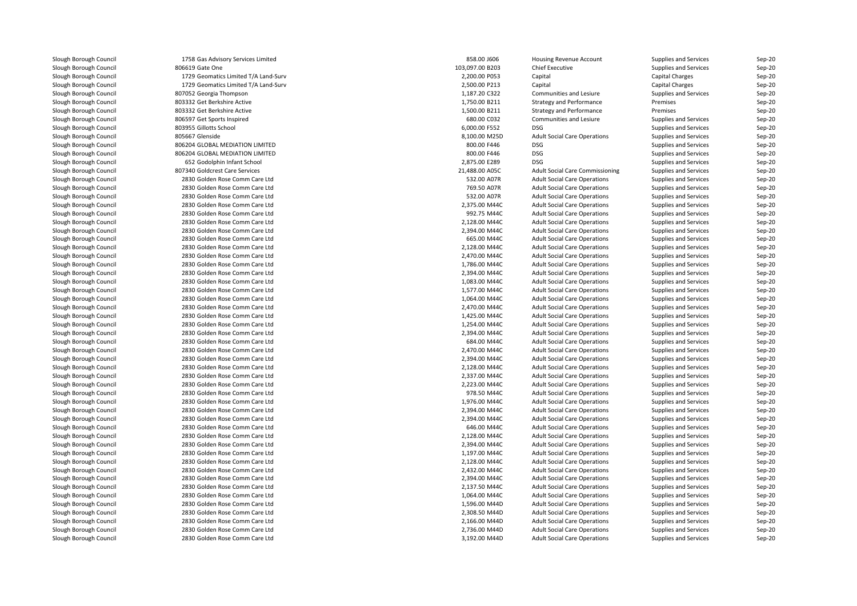| Slough Borough Council | 1758 Gas Advisory Services Limited   | 858.00 J606     | Housing Revenue Account                | Supplies and Services        | $Sep-20$ |
|------------------------|--------------------------------------|-----------------|----------------------------------------|------------------------------|----------|
| Slough Borough Council | 806619 Gate One                      | 103,097.00 B203 | <b>Chief Executive</b>                 | Supplies and Services        | Sep-20   |
| Slough Borough Council | 1729 Geomatics Limited T/A Land-Surv | 2,200.00 P053   | Capital                                | Capital Charges              | Sep-20   |
| Slough Borough Council | 1729 Geomatics Limited T/A Land-Surv | 2,500.00 P213   | Capital                                | <b>Capital Charges</b>       | Sep-20   |
| Slough Borough Council | 807052 Georgia Thompson              | 1,187.20 C322   | Communities and Lesiure                | <b>Supplies and Services</b> | Sep-20   |
| Slough Borough Council | 803332 Get Berkshire Active          | 1,750.00 B211   | <b>Strategy and Performance</b>        | Premises                     | Sep-20   |
| Slough Borough Council | 803332 Get Berkshire Active          | 1,500.00 B211   | Strategy and Performance               | Premises                     | Sep-20   |
| Slough Borough Council | 806597 Get Sports Inspired           | 680.00 C032     | Communities and Lesiure                | Supplies and Services        | $Sep-20$ |
| Slough Borough Council | 803955 Gillotts School               | 6.000.00 F552   | <b>DSG</b>                             | Supplies and Services        | Sep-20   |
| Slough Borough Council | 805667 Glenside                      | 8,100.00 M25D   | <b>Adult Social Care Operations</b>    | Supplies and Services        | Sep-20   |
| Slough Borough Council | 806204 GLOBAL MEDIATION LIMITED      | 800.00 F446     | <b>DSG</b>                             | Supplies and Services        | Sep-20   |
| Slough Borough Council | 806204 GLOBAL MEDIATION LIMITED      | 800.00 F446     | <b>DSG</b>                             | Supplies and Services        | $Sep-20$ |
| Slough Borough Council | 652 Godolphin Infant School          | 2,875.00 E289   | <b>DSG</b>                             | Supplies and Services        | $Sep-20$ |
| Slough Borough Council | 807340 Goldcrest Care Services       | 21,488.00 A05C  | <b>Adult Social Care Commissioning</b> | Supplies and Services        | Sep-20   |
| Slough Borough Council | 2830 Golden Rose Comm Care Ltd       | 532.00 A07R     | <b>Adult Social Care Operations</b>    | Supplies and Services        | Sep-20   |
| Slough Borough Council | 2830 Golden Rose Comm Care Ltd       | 769.50 A07R     | <b>Adult Social Care Operations</b>    | Supplies and Services        | Sep-20   |
| Slough Borough Council | 2830 Golden Rose Comm Care Ltd       | 532.00 A07R     | <b>Adult Social Care Operations</b>    | Supplies and Services        | $Sep-20$ |
| Slough Borough Council | 2830 Golden Rose Comm Care Ltd       | 2,375.00 M44C   | <b>Adult Social Care Operations</b>    | Supplies and Services        | Sep-20   |
| Slough Borough Council | 2830 Golden Rose Comm Care Ltd       | 992.75 M44C     | <b>Adult Social Care Operations</b>    | Supplies and Services        | Sep-20   |
| Slough Borough Council | 2830 Golden Rose Comm Care Ltd       | 2,128.00 M44C   | <b>Adult Social Care Operations</b>    | Supplies and Services        | Sep-20   |
| Slough Borough Council | 2830 Golden Rose Comm Care Ltd       | 2,394.00 M44C   | <b>Adult Social Care Operations</b>    | Supplies and Services        | Sep-20   |
| Slough Borough Council | 2830 Golden Rose Comm Care Ltd       | 665.00 M44C     | <b>Adult Social Care Operations</b>    | Supplies and Services        | Sep-20   |
| Slough Borough Council | 2830 Golden Rose Comm Care Ltd       | 2,128.00 M44C   | <b>Adult Social Care Operations</b>    | Supplies and Services        | Sep-20   |
| Slough Borough Council | 2830 Golden Rose Comm Care Ltd       | 2,470.00 M44C   | <b>Adult Social Care Operations</b>    | <b>Supplies and Services</b> | $Sep-20$ |
| Slough Borough Council | 2830 Golden Rose Comm Care Ltd       | 1,786.00 M44C   | <b>Adult Social Care Operations</b>    | <b>Supplies and Services</b> | Sep-20   |
| Slough Borough Council | 2830 Golden Rose Comm Care Ltd       | 2,394.00 M44C   | <b>Adult Social Care Operations</b>    | Supplies and Services        | Sep-20   |
| Slough Borough Council | 2830 Golden Rose Comm Care Ltd       | 1,083.00 M44C   | <b>Adult Social Care Operations</b>    | Supplies and Services        | Sep-20   |
| Slough Borough Council | 2830 Golden Rose Comm Care Ltd       | 1,577.00 M44C   | <b>Adult Social Care Operations</b>    | Supplies and Services        | Sep-20   |
| Slough Borough Council | 2830 Golden Rose Comm Care Ltd       | 1,064.00 M44C   | <b>Adult Social Care Operations</b>    | Supplies and Services        | Sep-20   |
| Slough Borough Council | 2830 Golden Rose Comm Care Ltd       | 2,470.00 M44C   | <b>Adult Social Care Operations</b>    | Supplies and Services        | Sep-20   |
| Slough Borough Council | 2830 Golden Rose Comm Care Ltd       | 1,425.00 M44C   | <b>Adult Social Care Operations</b>    | Supplies and Services        | Sep-20   |
| Slough Borough Council | 2830 Golden Rose Comm Care Ltd       | 1,254.00 M44C   | <b>Adult Social Care Operations</b>    | Supplies and Services        | Sep-20   |
| Slough Borough Council | 2830 Golden Rose Comm Care Ltd       | 2,394.00 M44C   | <b>Adult Social Care Operations</b>    | Supplies and Services        | $Sep-20$ |
| Slough Borough Council | 2830 Golden Rose Comm Care Ltd       | 684.00 M44C     | <b>Adult Social Care Operations</b>    | Supplies and Services        | Sep-20   |
| Slough Borough Council | 2830 Golden Rose Comm Care Ltd       | 2,470.00 M44C   | <b>Adult Social Care Operations</b>    | Supplies and Services        | Sep-20   |
| Slough Borough Council | 2830 Golden Rose Comm Care Ltd       | 2,394.00 M44C   | <b>Adult Social Care Operations</b>    | Supplies and Services        | Sep-20   |
| Slough Borough Council | 2830 Golden Rose Comm Care Ltd       | 2,128.00 M44C   | <b>Adult Social Care Operations</b>    | <b>Supplies and Services</b> | Sep-20   |
| Slough Borough Council | 2830 Golden Rose Comm Care Ltd       | 2,337.00 M44C   | <b>Adult Social Care Operations</b>    | Supplies and Services        | Sep-20   |
| Slough Borough Council | 2830 Golden Rose Comm Care Ltd       | 2,223.00 M44C   | <b>Adult Social Care Operations</b>    | Supplies and Services        | Sep-20   |
| Slough Borough Council | 2830 Golden Rose Comm Care Ltd       | 978.50 M44C     | <b>Adult Social Care Operations</b>    | Supplies and Services        | Sep-20   |
| Slough Borough Council | 2830 Golden Rose Comm Care Ltd       | 1,976.00 M44C   | <b>Adult Social Care Operations</b>    | Supplies and Services        | Sep-20   |
| Slough Borough Council | 2830 Golden Rose Comm Care Ltd       | 2.394.00 M44C   | <b>Adult Social Care Operations</b>    | Supplies and Services        | Sep-20   |
| Slough Borough Council | 2830 Golden Rose Comm Care Ltd       | 2,394.00 M44C   | <b>Adult Social Care Operations</b>    | Supplies and Services        | Sep-20   |
| Slough Borough Council | 2830 Golden Rose Comm Care Ltd       | 646.00 M44C     | <b>Adult Social Care Operations</b>    | Supplies and Services        | Sep-20   |
| Slough Borough Council | 2830 Golden Rose Comm Care Ltd       | 2,128.00 M44C   | <b>Adult Social Care Operations</b>    | Supplies and Services        | Sep-20   |
| Slough Borough Council | 2830 Golden Rose Comm Care Ltd       | 2,394.00 M44C   | <b>Adult Social Care Operations</b>    | Supplies and Services        | Sep-20   |
| Slough Borough Council | 2830 Golden Rose Comm Care Ltd       | 1,197.00 M44C   | <b>Adult Social Care Operations</b>    | Supplies and Services        | Sep-20   |
| Slough Borough Council | 2830 Golden Rose Comm Care Ltd       | 2,128.00 M44C   | <b>Adult Social Care Operations</b>    | Supplies and Services        | Sep-20   |
| Slough Borough Council | 2830 Golden Rose Comm Care Ltd       | 2,432.00 M44C   | <b>Adult Social Care Operations</b>    | Supplies and Services        | $Sep-20$ |
| Slough Borough Council | 2830 Golden Rose Comm Care Ltd       | 2,394.00 M44C   | <b>Adult Social Care Operations</b>    | Supplies and Services        | Sep-20   |
| Slough Borough Council | 2830 Golden Rose Comm Care Ltd       | 2,137.50 M44C   | <b>Adult Social Care Operations</b>    | Supplies and Services        | Sep-20   |
| Slough Borough Council | 2830 Golden Rose Comm Care Ltd       | 1,064.00 M44C   | <b>Adult Social Care Operations</b>    | Supplies and Services        | Sep-20   |
| Slough Borough Council | 2830 Golden Rose Comm Care Ltd       | 1,596.00 M44D   | <b>Adult Social Care Operations</b>    | Supplies and Services        | Sep-20   |
| Slough Borough Council | 2830 Golden Rose Comm Care Ltd       | 2,308.50 M44D   | <b>Adult Social Care Operations</b>    | Supplies and Services        | Sep-20   |
| Slough Borough Council | 2830 Golden Rose Comm Care Ltd       | 2,166.00 M44D   | <b>Adult Social Care Operations</b>    | Supplies and Services        | Sep-20   |
| Slough Borough Council | 2830 Golden Rose Comm Care Ltd       | 2,736.00 M44D   | <b>Adult Social Care Operations</b>    | Supplies and Services        | Sep-20   |
| Slough Borough Council | 2830 Golden Rose Comm Care Ltd       | 3,192.00 M44D   | <b>Adult Social Care Operations</b>    | Supplies and Services        | Sep-20   |
|                        |                                      |                 |                                        |                              |          |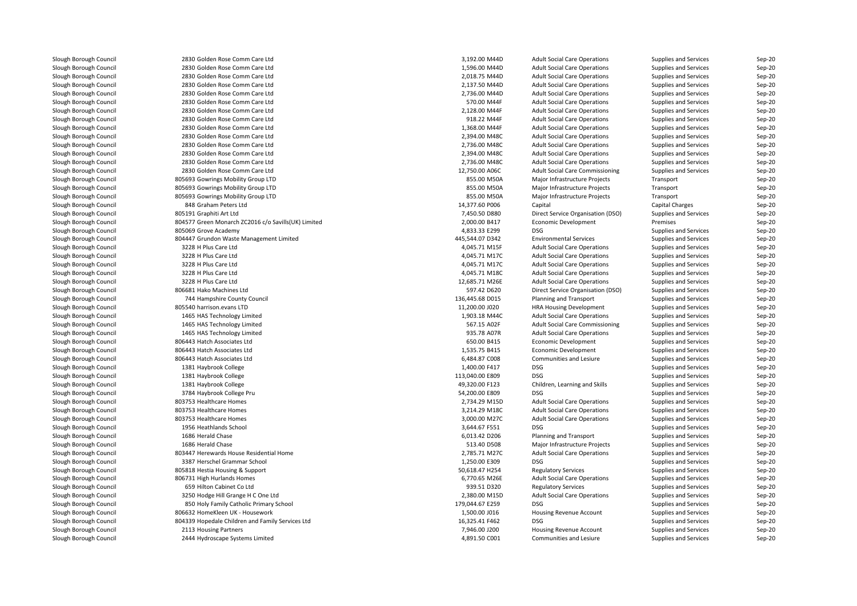| Slough Borough Council | 2830 Golden Rose Comm Care Ltd                      | 3,192.00 M44D   | <b>Adult Social Care Operations</b> | Supplies and Services        | Sep-20 |
|------------------------|-----------------------------------------------------|-----------------|-------------------------------------|------------------------------|--------|
| Slough Borough Council | 2830 Golden Rose Comm Care Ltd                      | 1,596.00 M44D   | <b>Adult Social Care Operations</b> | Supplies and Services        | Sep-20 |
| Slough Borough Council | 2830 Golden Rose Comm Care Ltd                      | 2,018.75 M44D   | <b>Adult Social Care Operations</b> | Supplies and Services        | Sep-20 |
| Slough Borough Council | 2830 Golden Rose Comm Care Ltd                      | 2,137.50 M44D   | <b>Adult Social Care Operations</b> | <b>Supplies and Services</b> | Sep-20 |
| Slough Borough Council | 2830 Golden Rose Comm Care Ltd                      | 2,736.00 M44D   | <b>Adult Social Care Operations</b> | Supplies and Services        | Sep-20 |
| Slough Borough Council | 2830 Golden Rose Comm Care Ltd                      | 570.00 M44F     | <b>Adult Social Care Operations</b> | Supplies and Services        | Sep-20 |
| Slough Borough Council | 2830 Golden Rose Comm Care Ltd                      | 2,128.00 M44F   | <b>Adult Social Care Operations</b> | Supplies and Services        | Sep-20 |
| Slough Borough Council | 2830 Golden Rose Comm Care Ltd                      | 918.22 M44F     | <b>Adult Social Care Operations</b> | Supplies and Services        | Sep-20 |
| Slough Borough Council | 2830 Golden Rose Comm Care Ltd                      | 1,368.00 M44F   | <b>Adult Social Care Operations</b> | Supplies and Services        | Sep-20 |
| Slough Borough Council | 2830 Golden Rose Comm Care Ltd                      | 2,394.00 M48C   | <b>Adult Social Care Operations</b> | Supplies and Services        | Sep-20 |
| Slough Borough Council | 2830 Golden Rose Comm Care Ltd                      | 2,736.00 M48C   | <b>Adult Social Care Operations</b> | Supplies and Services        | Sep-20 |
| Slough Borough Council | 2830 Golden Rose Comm Care Ltd                      | 2,394.00 M48C   | <b>Adult Social Care Operations</b> | Supplies and Services        | Sep-20 |
| Slough Borough Council | 2830 Golden Rose Comm Care Ltd                      | 2,736.00 M48C   | <b>Adult Social Care Operations</b> | Supplies and Services        | Sep-20 |
| Slough Borough Council | 2830 Golden Rose Comm Care Ltd                      | 12,750.00 A06C  | Adult Social Care Commissioning     | Supplies and Services        | Sep-20 |
| Slough Borough Council | 805693 Gowrings Mobility Group LTD                  | 855.00 M50A     | Major Infrastructure Projects       | Transport                    | Sep-20 |
| Slough Borough Council | 805693 Gowrings Mobility Group LTD                  | 855.00 M50A     | Major Infrastructure Projects       | Transport                    | Sep-20 |
| Slough Borough Council | 805693 Gowrings Mobility Group LTD                  | 855.00 M50A     | Major Infrastructure Projects       | Transport                    | Sep-20 |
| Slough Borough Council | 848 Graham Peters Ltd                               | 14,377.60 P006  | Capital                             | Capital Charges              | Sep-20 |
| Slough Borough Council | 805191 Graphiti Art Ltd                             | 7,450.50 D880   | Direct Service Organisation (DSO)   | Supplies and Services        | Sep-20 |
| Slough Borough Council | 804577 Green Monarch ZC2016 c/o Savills(UK) Limited | 2,000.00 B417   | Economic Development                | Premises                     | Sep-20 |
| Slough Borough Council | 805069 Grove Academy                                | 4,833.33 E299   | DSG                                 | Supplies and Services        | Sep-20 |
| Slough Borough Council | 804447 Grundon Waste Management Limited             | 445,544.07 D342 | <b>Environmental Services</b>       | Supplies and Services        | Sep-20 |
| Slough Borough Council | 3228 H Plus Care Ltd                                | 4,045.71 M15F   | <b>Adult Social Care Operations</b> | Supplies and Services        | Sep-20 |
|                        |                                                     |                 |                                     |                              |        |
| Slough Borough Council | 3228 H Plus Care Ltd                                | 4,045.71 M17C   | <b>Adult Social Care Operations</b> | Supplies and Services        | Sep-20 |
| Slough Borough Council | 3228 H Plus Care Ltd                                | 4,045.71 M17C   | <b>Adult Social Care Operations</b> | Supplies and Services        | Sep-20 |
| Slough Borough Council | 3228 H Plus Care Ltd                                | 4,045.71 M18C   | <b>Adult Social Care Operations</b> | Supplies and Services        | Sep-20 |
| Slough Borough Council | 3228 H Plus Care Ltd                                | 12,685.71 M26E  | <b>Adult Social Care Operations</b> | Supplies and Services        | Sep-20 |
| Slough Borough Council | 806681 Hako Machines Ltd                            | 597.42 D620     | Direct Service Organisation (DSO)   | Supplies and Services        | Sep-20 |
| Slough Borough Council | 744 Hampshire County Council                        | 136,445.68 D015 | Planning and Transport              | Supplies and Services        | Sep-20 |
| Slough Borough Council | 805540 harrison.evans LTD                           | 11,200.00 J020  | <b>HRA Housing Development</b>      | Supplies and Services        | Sep-20 |
| Slough Borough Council | 1465 HAS Technology Limited                         | 1,903.18 M44C   | <b>Adult Social Care Operations</b> | Supplies and Services        | Sep-20 |
| Slough Borough Council | 1465 HAS Technology Limited                         | 567.15 A02F     | Adult Social Care Commissioning     | Supplies and Services        | Sep-20 |
| Slough Borough Council | 1465 HAS Technology Limited                         | 935.78 A07R     | <b>Adult Social Care Operations</b> | Supplies and Services        | Sep-20 |
| Slough Borough Council | 806443 Hatch Associates Ltd                         | 650.00 B415     | <b>Economic Development</b>         | Supplies and Services        | Sep-20 |
| Slough Borough Council | 806443 Hatch Associates Ltd                         | 1,535.75 B415   | Economic Development                | Supplies and Services        | Sep-20 |
| Slough Borough Council | 806443 Hatch Associates Ltd                         | 6,484.87 C008   | Communities and Lesiure             | Supplies and Services        | Sep-20 |
| Slough Borough Council | 1381 Haybrook College                               | 1,400.00 F417   | DSG                                 | Supplies and Services        | Sep-20 |
| Slough Borough Council | 1381 Haybrook College                               | 113,040.00 E809 | DSG                                 | Supplies and Services        | Sep-20 |
| Slough Borough Council | 1381 Haybrook College                               | 49,320.00 F123  | Children, Learning and Skills       | Supplies and Services        | Sep-20 |
| Slough Borough Council | 3784 Haybrook College Pru                           | 54,200.00 E809  | <b>DSG</b>                          | Supplies and Services        | Sep-20 |
| Slough Borough Council | 803753 Healthcare Homes                             | 2,734.29 M15D   | <b>Adult Social Care Operations</b> | Supplies and Services        | Sep-20 |
| Slough Borough Council | 803753 Healthcare Homes                             | 3,214.29 M18C   | <b>Adult Social Care Operations</b> | Supplies and Services        | Sep-20 |
| Slough Borough Council | 803753 Healthcare Homes                             | 3,000.00 M27C   | <b>Adult Social Care Operations</b> | Supplies and Services        | Sep-20 |
| Slough Borough Council | 1956 Heathlands School                              | 3,644.67 F551   | <b>DSG</b>                          | Supplies and Services        | Sep-20 |
| Slough Borough Council | 1686 Herald Chase                                   | 6,013.42 D206   | Planning and Transport              | Supplies and Services        | Sep-20 |
| Slough Borough Council | 1686 Herald Chase                                   | 513.40 D508     | Major Infrastructure Projects       | Supplies and Services        | Sep-20 |
| Slough Borough Council | 803447 Herewards House Residential Home             | 2,785.71 M27C   | <b>Adult Social Care Operations</b> | Supplies and Services        | Sep-20 |
| Slough Borough Council | 3387 Herschel Grammar School                        | 1,250.00 E309   | <b>DSG</b>                          | Supplies and Services        | Sep-20 |
| Slough Borough Council | 805818 Hestia Housing & Support                     | 50,618.47 H254  | <b>Regulatory Services</b>          | Supplies and Services        | Sep-20 |
| Slough Borough Council | 806731 High Hurlands Homes                          | 6,770.65 M26E   | <b>Adult Social Care Operations</b> | Supplies and Services        | Sep-20 |
| Slough Borough Council | 659 Hilton Cabinet Co Ltd                           | 939.51 D320     | <b>Regulatory Services</b>          | Supplies and Services        | Sep-20 |
| Slough Borough Council | 3250 Hodge Hill Grange H C One Ltd                  | 2,380.00 M15D   | <b>Adult Social Care Operations</b> | Supplies and Services        | Sep-20 |
| Slough Borough Council | 850 Holy Family Catholic Primary School             | 179,044.67 E259 | DSG                                 | Supplies and Services        | Sep-20 |
| Slough Borough Council | 806632 HomeKleen UK - Housework                     | 1,500.00 J016   | Housing Revenue Account             | Supplies and Services        | Sep-20 |
| Slough Borough Council | 804339 Hopedale Children and Family Services Ltd    | 16,325.41 F462  | <b>DSG</b>                          | Supplies and Services        | Sep-20 |
| Slough Borough Council | 2113 Housing Partners                               | 7,946.00 J200   | Housing Revenue Account             | Supplies and Services        | Sep-20 |
| Slough Borough Council | 2444 Hydroscape Systems Limited                     | 4,891.50 C001   | Communities and Lesiure             | Supplies and Services        | Sep-20 |
|                        |                                                     |                 |                                     |                              |        |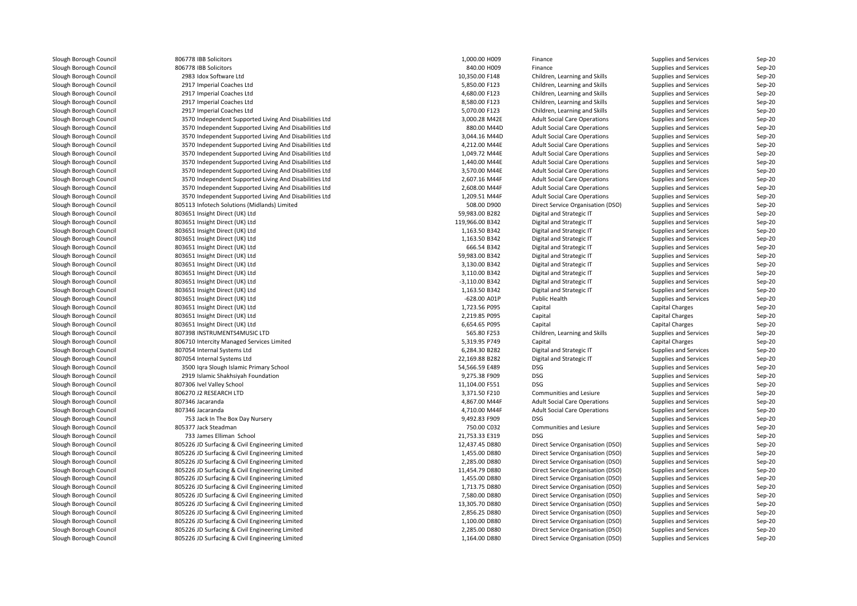| Slough Borough Council | 806778 IBB Solicitors                                  | 1,000.00 H009   | Finance                             | Supplies and Services        | $Sep-20$ |
|------------------------|--------------------------------------------------------|-----------------|-------------------------------------|------------------------------|----------|
| Slough Borough Council | 806778 IBB Solicitors                                  | 840.00 H009     | Finance                             | Supplies and Services        | Sep-20   |
| Slough Borough Council | 2983 Idox Software Ltd                                 | 10,350.00 F148  | Children, Learning and Skills       | Supplies and Services        | Sep-20   |
| Slough Borough Council | 2917 Imperial Coaches Ltd                              | 5,850.00 F123   | Children, Learning and Skills       | Supplies and Services        | $Sep-20$ |
| Slough Borough Council | 2917 Imperial Coaches Ltd                              | 4,680.00 F123   | Children, Learning and Skills       | Supplies and Services        | $Sep-20$ |
| Slough Borough Council | 2917 Imperial Coaches Ltd                              | 8,580.00 F123   | Children, Learning and Skills       | Supplies and Services        | Sep-20   |
| Slough Borough Council | 2917 Imperial Coaches Ltd                              | 5,070.00 F123   | Children, Learning and Skills       | Supplies and Services        | Sep-20   |
| Slough Borough Council | 3570 Independent Supported Living And Disabilities Ltd | 3,000.28 M42E   | <b>Adult Social Care Operations</b> | Supplies and Services        | Sep-20   |
| Slough Borough Council | 3570 Independent Supported Living And Disabilities Ltd | 880.00 M44D     | <b>Adult Social Care Operations</b> | Supplies and Services        | Sep-20   |
| Slough Borough Council | 3570 Independent Supported Living And Disabilities Ltd | 3,044.16 M44D   | <b>Adult Social Care Operations</b> | Supplies and Services        | Sep-20   |
| Slough Borough Council | 3570 Independent Supported Living And Disabilities Ltd | 4,212.00 M44E   | <b>Adult Social Care Operations</b> | Supplies and Services        | Sep-20   |
| Slough Borough Council | 3570 Independent Supported Living And Disabilities Ltd | 1,049.72 M44E   | <b>Adult Social Care Operations</b> | <b>Supplies and Services</b> | Sep-20   |
| Slough Borough Council | 3570 Independent Supported Living And Disabilities Ltd | 1,440.00 M44E   | <b>Adult Social Care Operations</b> | Supplies and Services        | $Sep-20$ |
| Slough Borough Council | 3570 Independent Supported Living And Disabilities Ltd | 3,570.00 M44E   | <b>Adult Social Care Operations</b> | Supplies and Services        | Sep-20   |
| Slough Borough Council | 3570 Independent Supported Living And Disabilities Ltd | 2,607.16 M44F   | <b>Adult Social Care Operations</b> | Supplies and Services        | Sep-20   |
| Slough Borough Council | 3570 Independent Supported Living And Disabilities Ltd | 2,608.00 M44F   | <b>Adult Social Care Operations</b> | Supplies and Services        | $Sep-20$ |
| Slough Borough Council | 3570 Independent Supported Living And Disabilities Ltd | 1,209.51 M44F   | <b>Adult Social Care Operations</b> | Supplies and Services        | Sep-20   |
| Slough Borough Council | 805113 Infotech Solutions (Midlands) Limited           | 508.00 D900     | Direct Service Organisation (DSO)   | Supplies and Services        | Sep-20   |
| Slough Borough Council | 803651 Insight Direct (UK) Ltd                         | 59,983.00 B282  | Digital and Strategic IT            | Supplies and Services        | $Sep-20$ |
| Slough Borough Council | 803651 Insight Direct (UK) Ltd                         | 119,966.00 B342 | Digital and Strategic IT            | Supplies and Services        | Sep-20   |
| Slough Borough Council | 803651 Insight Direct (UK) Ltd                         | 1,163.50 B342   | Digital and Strategic IT            | Supplies and Services        | $Sep-20$ |
| Slough Borough Council | 803651 Insight Direct (UK) Ltd                         | 1,163.50 B342   | Digital and Strategic IT            | Supplies and Services        | Sep-20   |
| Slough Borough Council | 803651 Insight Direct (UK) Ltd                         | 666.54 B342     | Digital and Strategic IT            | Supplies and Services        | Sep-20   |
| Slough Borough Council | 803651 Insight Direct (UK) Ltd                         | 59.983.00 B342  | Digital and Strategic IT            | Supplies and Services        | $Sep-20$ |
| Slough Borough Council | 803651 Insight Direct (UK) Ltd                         | 3,130.00 B342   | Digital and Strategic IT            | Supplies and Services        | Sep-20   |
| Slough Borough Council | 803651 Insight Direct (UK) Ltd                         | 3,110.00 B342   | Digital and Strategic IT            |                              | Sep-20   |
|                        |                                                        |                 |                                     | Supplies and Services        |          |
| Slough Borough Council | 803651 Insight Direct (UK) Ltd                         | -3,110.00 B342  | Digital and Strategic IT            | Supplies and Services        | Sep-20   |
| Slough Borough Council | 803651 Insight Direct (UK) Ltd                         | 1,163.50 B342   | Digital and Strategic IT            | Supplies and Services        | Sep-20   |
| Slough Borough Council | 803651 Insight Direct (UK) Ltd                         | $-628.00$ A01P  | Public Health                       | Supplies and Services        | Sep-20   |
| Slough Borough Council | 803651 Insight Direct (UK) Ltd                         | 1,723.56 P095   | Capital                             | Capital Charges              | Sep-20   |
| Slough Borough Council | 803651 Insight Direct (UK) Ltd                         | 2,219.85 P095   | Capital                             | Capital Charges              | Sep-20   |
| Slough Borough Council | 803651 Insight Direct (UK) Ltd                         | 6,654.65 P095   | Capital                             | <b>Capital Charges</b>       | Sep-20   |
| Slough Borough Council | 807398 INSTRUMENTS4MUSIC LTD                           | 565.80 F253     | Children, Learning and Skills       | Supplies and Services        | Sep-20   |
| Slough Borough Council | 806710 Intercity Managed Services Limited              | 5,319.95 P749   | Capital                             | Capital Charges              | Sep-20   |
| Slough Borough Council | 807054 Internal Systems Ltd                            | 6,284.30 B282   | Digital and Strategic IT            | Supplies and Services        | Sep-20   |
| Slough Borough Council | 807054 Internal Systems Ltd                            | 22,169.88 B282  | Digital and Strategic IT            | Supplies and Services        | Sep-20   |
| Slough Borough Council | 3500 Iqra Slough Islamic Primary School                | 54,566.59 E489  | <b>DSG</b>                          | Supplies and Services        | Sep-20   |
| Slough Borough Council | 2919 Islamic Shakhsiyah Foundation                     | 9,275.38 F909   | <b>DSG</b>                          | Supplies and Services        | Sep-20   |
| Slough Borough Council | 807306 Ivel Valley School                              | 11,104.00 F551  | <b>DSG</b>                          | Supplies and Services        | Sep-20   |
| Slough Borough Council | 806270 J2 RESEARCH LTD                                 | 3,371.50 F210   | Communities and Lesiure             | Supplies and Services        | Sep-20   |
| Slough Borough Council | 807346 Jacaranda                                       | 4,867.00 M44F   | <b>Adult Social Care Operations</b> | Supplies and Services        | Sep-20   |
| Slough Borough Council | 807346 Jacaranda                                       | 4,710.00 M44F   | <b>Adult Social Care Operations</b> | Supplies and Services        | Sep-20   |
| Slough Borough Council | 753 Jack In The Box Day Nursery                        | 9,492.83 F909   | <b>DSG</b>                          | Supplies and Services        | Sep-20   |
| Slough Borough Council | 805377 Jack Steadman                                   | 750.00 C032     | Communities and Lesiure             | Supplies and Services        | Sep-20   |
| Slough Borough Council | 733 James Elliman School                               | 21,753.33 E319  | <b>DSG</b>                          | Supplies and Services        | Sep-20   |
| Slough Borough Council | 805226 JD Surfacing & Civil Engineering Limited        | 12,437.45 D880  | Direct Service Organisation (DSO)   | Supplies and Services        | Sep-20   |
| Slough Borough Council | 805226 JD Surfacing & Civil Engineering Limited        | 1,455.00 D880   | Direct Service Organisation (DSO)   | Supplies and Services        | Sep-20   |
| Slough Borough Council | 805226 JD Surfacing & Civil Engineering Limited        | 2,285.00 D880   | Direct Service Organisation (DSO)   | Supplies and Services        | Sep-20   |
| Slough Borough Council | 805226 JD Surfacing & Civil Engineering Limited        | 11,454.79 D880  | Direct Service Organisation (DSO)   | Supplies and Services        | Sep-20   |
| Slough Borough Council | 805226 JD Surfacing & Civil Engineering Limited        | 1,455.00 D880   | Direct Service Organisation (DSO)   | Supplies and Services        | $Sep-20$ |
| Slough Borough Council | 805226 JD Surfacing & Civil Engineering Limited        | 1,713.75 D880   | Direct Service Organisation (DSO)   | Supplies and Services        | Sep-20   |
| Slough Borough Council | 805226 JD Surfacing & Civil Engineering Limited        | 7,580.00 D880   | Direct Service Organisation (DSO)   | Supplies and Services        | Sep-20   |
| Slough Borough Council | 805226 JD Surfacing & Civil Engineering Limited        | 13,305.70 D880  | Direct Service Organisation (DSO)   | Supplies and Services        | Sep-20   |
| Slough Borough Council | 805226 JD Surfacing & Civil Engineering Limited        | 2,856.25 D880   | Direct Service Organisation (DSO)   | Supplies and Services        | $Sep-20$ |
| Slough Borough Council | 805226 JD Surfacing & Civil Engineering Limited        | 1,100.00 D880   | Direct Service Organisation (DSO)   | Supplies and Services        | Sep-20   |
| Slough Borough Council | 805226 JD Surfacing & Civil Engineering Limited        | 2,285.00 D880   | Direct Service Organisation (DSO)   | Supplies and Services        | Sep-20   |
| Slough Borough Council | 805226 JD Surfacing & Civil Engineering Limited        | 1,164.00 D880   | Direct Service Organisation (DSO)   | Supplies and Services        | Sep-20   |
|                        |                                                        |                 |                                     |                              |          |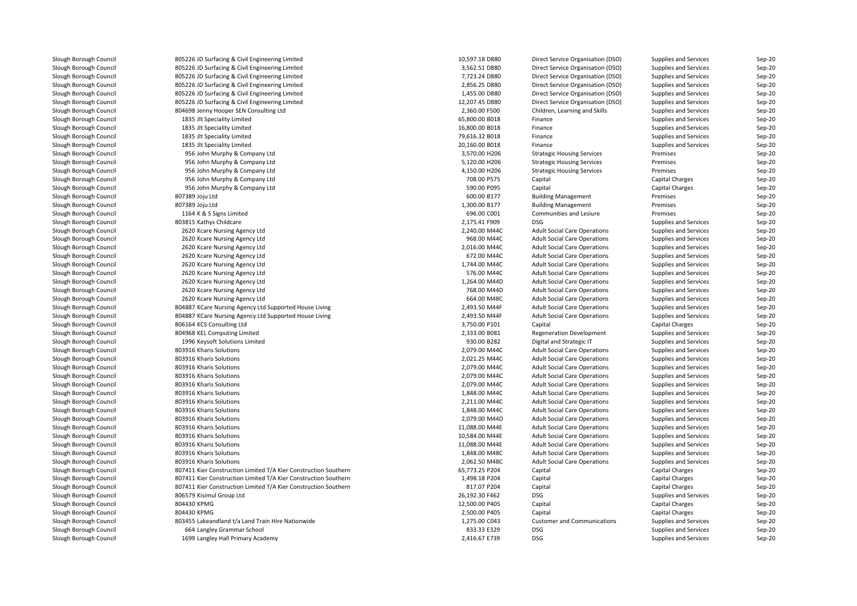| Slough Borough Council | 805226 JD Surfacing & Civil Engineering Limited                 | 10,597.18 D880 | Direct Service Organisation (DSO)   | Supplies and Services | Sep-20 |
|------------------------|-----------------------------------------------------------------|----------------|-------------------------------------|-----------------------|--------|
| Slough Borough Council | 805226 JD Surfacing & Civil Engineering Limited                 | 3,562.51 D880  | Direct Service Organisation (DSO)   | Supplies and Services | Sep-20 |
| Slough Borough Council | 805226 JD Surfacing & Civil Engineering Limited                 | 7,723.24 D880  | Direct Service Organisation (DSO)   | Supplies and Services | Sep-20 |
| Slough Borough Council | 805226 JD Surfacing & Civil Engineering Limited                 | 2,856.25 D880  | Direct Service Organisation (DSO)   | Supplies and Services | Sep-20 |
| Slough Borough Council | 805226 JD Surfacing & Civil Engineering Limited                 | 1,455.00 D880  | Direct Service Organisation (DSO)   | Supplies and Services | Sep-20 |
| Slough Borough Council | 805226 JD Surfacing & Civil Engineering Limited                 | 12,207.45 D880 | Direct Service Organisation (DSO)   | Supplies and Services | Sep-20 |
| Slough Borough Council | 804698 Jenny Hooper SEN Consulting Ltd                          | 2,360.00 F500  | Children, Learning and Skills       | Supplies and Services | Sep-20 |
| Slough Borough Council | 1835 Jlt Speciality Limited                                     | 65,800.00 B018 | Finance                             | Supplies and Services | Sep-20 |
| Slough Borough Council | 1835 Jlt Speciality Limited                                     | 16,800.00 B018 | Finance                             | Supplies and Services | Sep-20 |
| Slough Borough Council | 1835 Jlt Speciality Limited                                     | 79,616.32 B018 | Finance                             | Supplies and Services | Sep-20 |
| Slough Borough Council | 1835 Jlt Speciality Limited                                     | 20,160.00 B018 | Finance                             | Supplies and Services | Sep-20 |
| Slough Borough Council | 956 John Murphy & Company Ltd                                   | 3,570.00 H206  | <b>Strategic Housing Services</b>   | Premises              | Sep-20 |
| Slough Borough Council | 956 John Murphy & Company Ltd                                   | 5,120.00 H206  | <b>Strategic Housing Services</b>   | Premises              | Sep-20 |
| Slough Borough Council | 956 John Murphy & Company Ltd                                   | 4,150.00 H206  | <b>Strategic Housing Services</b>   | Premises              | Sep-20 |
| Slough Borough Council | 956 John Murphy & Company Ltd                                   | 708.00 P575    | Capital                             | Capital Charges       | Sep-20 |
| Slough Borough Council | 956 John Murphy & Company Ltd                                   | 590.00 P095    | Capital                             | Capital Charges       | Sep-20 |
| Slough Borough Council | 807389 Joju Ltd                                                 | 600.00 B177    | <b>Building Management</b>          | Premises              | Sep-20 |
| Slough Borough Council | 807389 Joju Ltd                                                 | 1,300.00 B177  | <b>Building Management</b>          | Premises              | Sep-20 |
| Slough Borough Council | 1164 K & S Signs Limited                                        | 696.00 C001    | Communities and Lesiure             | Premises              | Sep-20 |
|                        |                                                                 | 2,175.41 F909  | <b>DSG</b>                          |                       | Sep-20 |
| Slough Borough Council | 803815 Kathys Childcare                                         |                |                                     | Supplies and Services |        |
| Slough Borough Council | 2620 Kcare Nursing Agency Ltd                                   | 2,240.00 M44C  | <b>Adult Social Care Operations</b> | Supplies and Services | Sep-20 |
| Slough Borough Council | 2620 Kcare Nursing Agency Ltd                                   | 968.00 M44C    | <b>Adult Social Care Operations</b> | Supplies and Services | Sep-20 |
| Slough Borough Council | 2620 Kcare Nursing Agency Ltd                                   | 2,016.00 M44C  | <b>Adult Social Care Operations</b> | Supplies and Services | Sep-20 |
| Slough Borough Council | 2620 Kcare Nursing Agency Ltd                                   | 672.00 M44C    | <b>Adult Social Care Operations</b> | Supplies and Services | Sep-20 |
| Slough Borough Council | 2620 Kcare Nursing Agency Ltd                                   | 1,744.00 M44C  | <b>Adult Social Care Operations</b> | Supplies and Services | Sep-20 |
| Slough Borough Council | 2620 Kcare Nursing Agency Ltd                                   | 576.00 M44C    | <b>Adult Social Care Operations</b> | Supplies and Services | Sep-20 |
| Slough Borough Council | 2620 Kcare Nursing Agency Ltd                                   | 1,264.00 M44D  | <b>Adult Social Care Operations</b> | Supplies and Services | Sep-20 |
| Slough Borough Council | 2620 Kcare Nursing Agency Ltd                                   | 768.00 M44D    | <b>Adult Social Care Operations</b> | Supplies and Services | Sep-20 |
| Slough Borough Council | 2620 Kcare Nursing Agency Ltd                                   | 664.00 M48C    | <b>Adult Social Care Operations</b> | Supplies and Services | Sep-20 |
| Slough Borough Council | 804887 KCare Nursing Agency Ltd Supported House Living          | 2,493.50 M44F  | <b>Adult Social Care Operations</b> | Supplies and Services | Sep-20 |
| Slough Borough Council | 804887 KCare Nursing Agency Ltd Supported House Living          | 2,493.50 M44F  | <b>Adult Social Care Operations</b> | Supplies and Services | Sep-20 |
| Slough Borough Council | 806164 KCS Consulting Ltd                                       | 3,750.00 P101  | Capital                             | Capital Charges       | Sep-20 |
| Slough Borough Council | 804968 KEL Computing Limited                                    | 2,333.00 B081  | <b>Regeneration Development</b>     | Supplies and Services | Sep-20 |
| Slough Borough Council | 1996 Keysoft Solutions Limited                                  | 930.00 B282    | Digital and Strategic IT            | Supplies and Services | Sep-20 |
| Slough Borough Council | 803916 Kharis Solutions                                         | 2,079.00 M44C  | <b>Adult Social Care Operations</b> | Supplies and Services | Sep-20 |
| Slough Borough Council | 803916 Kharis Solutions                                         | 2,021.25 M44C  | <b>Adult Social Care Operations</b> | Supplies and Services | Sep-20 |
| Slough Borough Council | 803916 Kharis Solutions                                         | 2,079.00 M44C  | <b>Adult Social Care Operations</b> | Supplies and Services | Sep-20 |
| Slough Borough Council | 803916 Kharis Solutions                                         | 2,079.00 M44C  | <b>Adult Social Care Operations</b> | Supplies and Services | Sep-20 |
| Slough Borough Council | 803916 Kharis Solutions                                         | 2,079.00 M44C  | <b>Adult Social Care Operations</b> | Supplies and Services | Sep-20 |
| Slough Borough Council | 803916 Kharis Solutions                                         | 1,848.00 M44C  | <b>Adult Social Care Operations</b> | Supplies and Services | Sep-20 |
| Slough Borough Council | 803916 Kharis Solutions                                         | 2,211.00 M44C  | <b>Adult Social Care Operations</b> | Supplies and Services | Sep-20 |
| Slough Borough Council | 803916 Kharis Solutions                                         | 1,848.00 M44C  | <b>Adult Social Care Operations</b> | Supplies and Services | Sep-20 |
| Slough Borough Council | 803916 Kharis Solutions                                         | 2,079.00 M44D  | <b>Adult Social Care Operations</b> | Supplies and Services | Sep-20 |
| Slough Borough Council | 803916 Kharis Solutions                                         | 11,088.00 M44E | <b>Adult Social Care Operations</b> | Supplies and Services | Sep-20 |
| Slough Borough Council | 803916 Kharis Solutions                                         | 10,584.00 M44E | <b>Adult Social Care Operations</b> | Supplies and Services | Sep-20 |
| Slough Borough Council | 803916 Kharis Solutions                                         | 11,088.00 M44E | <b>Adult Social Care Operations</b> | Supplies and Services | Sep-20 |
| Slough Borough Council | 803916 Kharis Solutions                                         | 1,848.00 M48C  | <b>Adult Social Care Operations</b> | Supplies and Services | Sep-20 |
| Slough Borough Council | 803916 Kharis Solutions                                         | 2,062.50 M48C  | <b>Adult Social Care Operations</b> | Supplies and Services | Sep-20 |
| Slough Borough Council | 807411 Kier Construction Limited T/A Kier Construction Southern | 65,773.25 P204 | Capital                             | Capital Charges       | Sep-20 |
| Slough Borough Council | 807411 Kier Construction Limited T/A Kier Construction Southern | 1,498.18 P204  | Capital                             | Capital Charges       | Sep-20 |
| Slough Borough Council | 807411 Kier Construction Limited T/A Kier Construction Southern | 817.07 P204    | Capital                             | Capital Charges       | Sep-20 |
| Slough Borough Council | 806579 Kisimul Group Ltd                                        | 26,192.30 F462 | DSG                                 | Supplies and Services | Sep-20 |
|                        | 804430 KPMG                                                     | 12,500.00 P405 | Capital                             |                       |        |
| Slough Borough Council |                                                                 |                |                                     | Capital Charges       | Sep-20 |
| Slough Borough Council | 804430 KPMG                                                     | 2,500.00 P405  | Capital                             | Capital Charges       | Sep-20 |
| Slough Borough Council | 803455 Lakeandland t/a Land Train Hire Nationwide               | 1,275.00 C043  | <b>Customer and Communications</b>  | Supplies and Services | Sep-20 |
| Slough Borough Council | 664 Langley Grammar School                                      | 833.33 E329    | <b>DSG</b>                          | Supplies and Services | Sep-20 |
| Slough Borough Council | 1699 Langley Hall Primary Academy                               | 2,416.67 E739  | DSG                                 | Supplies and Services | Sep-20 |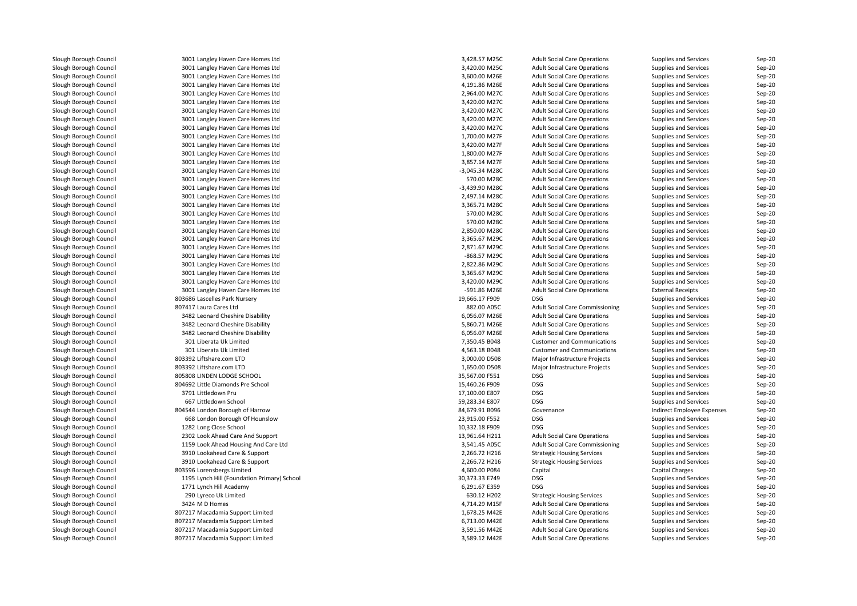| Slough Borough Council | 3001 Langley Haven Care Homes Ltd           | 3,428.57 M25C  | <b>Adult Social Care Operations</b>    | Supplies and Services        | Sep-20           |
|------------------------|---------------------------------------------|----------------|----------------------------------------|------------------------------|------------------|
| Slough Borough Council | 3001 Langley Haven Care Homes Ltd           | 3,420.00 M25C  | <b>Adult Social Care Operations</b>    | Supplies and Services        | $Sep-20$         |
| Slough Borough Council | 3001 Langley Haven Care Homes Ltd           | 3,600.00 M26E  | <b>Adult Social Care Operations</b>    | Supplies and Services        | Sep-20           |
| Slough Borough Council | 3001 Langley Haven Care Homes Ltd           | 4,191.86 M26E  | <b>Adult Social Care Operations</b>    | Supplies and Services        | Sep-20           |
| Slough Borough Council | 3001 Langley Haven Care Homes Ltd           | 2,964.00 M27C  | <b>Adult Social Care Operations</b>    | Supplies and Services        | Sep-20           |
| Slough Borough Council | 3001 Langley Haven Care Homes Ltd           | 3,420.00 M27C  | <b>Adult Social Care Operations</b>    | Supplies and Services        | $Sep-20$         |
| Slough Borough Council | 3001 Langley Haven Care Homes Ltd           | 3,420.00 M27C  | <b>Adult Social Care Operations</b>    | Supplies and Services        | Sep-20           |
| Slough Borough Council | 3001 Langley Haven Care Homes Ltd           | 3,420.00 M27C  | <b>Adult Social Care Operations</b>    | Supplies and Services        | Sep-20           |
| Slough Borough Council | 3001 Langley Haven Care Homes Ltd           | 3,420.00 M27C  | <b>Adult Social Care Operations</b>    | Supplies and Services        | $Sep-20$         |
| Slough Borough Council | 3001 Langley Haven Care Homes Ltd           | 1,700.00 M27F  | <b>Adult Social Care Operations</b>    | Supplies and Services        | $Sep-20$         |
| Slough Borough Council | 3001 Langley Haven Care Homes Ltd           | 3,420.00 M27F  | <b>Adult Social Care Operations</b>    | Supplies and Services        | Sep-20           |
| Slough Borough Council | 3001 Langley Haven Care Homes Ltd           | 1,800.00 M27F  | <b>Adult Social Care Operations</b>    | Supplies and Services        | Sep-20           |
| Slough Borough Council | 3001 Langley Haven Care Homes Ltd           | 3,857.14 M27F  | <b>Adult Social Care Operations</b>    | Supplies and Services        | Sep-20           |
| Slough Borough Council | 3001 Langley Haven Care Homes Ltd           | -3,045.34 M28C | <b>Adult Social Care Operations</b>    | Supplies and Services        | Sep-20           |
| Slough Borough Council | 3001 Langley Haven Care Homes Ltd           | 570.00 M28C    | <b>Adult Social Care Operations</b>    | Supplies and Services        | $Sep-20$         |
| Slough Borough Council | 3001 Langley Haven Care Homes Ltd           | -3,439.90 M28C | <b>Adult Social Care Operations</b>    | Supplies and Services        | Sep-20           |
| Slough Borough Council | 3001 Langley Haven Care Homes Ltd           | 2,497.14 M28C  | <b>Adult Social Care Operations</b>    | <b>Supplies and Services</b> | Sep-20           |
| Slough Borough Council | 3001 Langley Haven Care Homes Ltd           | 3,365.71 M28C  | <b>Adult Social Care Operations</b>    | Supplies and Services        | $Sep-20$         |
| Slough Borough Council | 3001 Langley Haven Care Homes Ltd           | 570.00 M28C    | <b>Adult Social Care Operations</b>    | Supplies and Services        | Sep-20           |
| Slough Borough Council | 3001 Langley Haven Care Homes Ltd           | 570.00 M28C    | <b>Adult Social Care Operations</b>    | Supplies and Services        | Sep-20           |
| Slough Borough Council | 3001 Langley Haven Care Homes Ltd           | 2,850.00 M28C  | <b>Adult Social Care Operations</b>    | Supplies and Services        | $Sep-20$         |
| Slough Borough Council | 3001 Langley Haven Care Homes Ltd           | 3,365.67 M29C  | <b>Adult Social Care Operations</b>    | Supplies and Services        | Sep-20           |
| Slough Borough Council | 3001 Langley Haven Care Homes Ltd           | 2,871.67 M29C  | <b>Adult Social Care Operations</b>    | Supplies and Services        | Sep-20           |
| Slough Borough Council | 3001 Langley Haven Care Homes Ltd           | -868.57 M29C   | <b>Adult Social Care Operations</b>    | Supplies and Services        | $Sep-20$         |
| Slough Borough Council |                                             | 2,822.86 M29C  |                                        |                              |                  |
| Slough Borough Council | 3001 Langley Haven Care Homes Ltd           | 3,365.67 M29C  | <b>Adult Social Care Operations</b>    | Supplies and Services        | Sep-20<br>Sep-20 |
|                        | 3001 Langley Haven Care Homes Ltd           |                | <b>Adult Social Care Operations</b>    | Supplies and Services        |                  |
| Slough Borough Council | 3001 Langley Haven Care Homes Ltd           | 3,420.00 M29C  | <b>Adult Social Care Operations</b>    | Supplies and Services        | Sep-20           |
| Slough Borough Council | 3001 Langley Haven Care Homes Ltd           | -591.86 M26E   | <b>Adult Social Care Operations</b>    | <b>External Receipts</b>     | $Sep-20$         |
| Slough Borough Council | 803686 Lascelles Park Nursery               | 19,666.17 F909 | <b>DSG</b>                             | Supplies and Services        | Sep-20           |
| Slough Borough Council | 807417 Laura Cares Ltd                      | 882.00 A05C    | <b>Adult Social Care Commissioning</b> | Supplies and Services        | Sep-20           |
| Slough Borough Council | 3482 Leonard Cheshire Disability            | 6,056.07 M26E  | <b>Adult Social Care Operations</b>    | Supplies and Services        | Sep-20           |
| Slough Borough Council | 3482 Leonard Cheshire Disability            | 5,860.71 M26E  | <b>Adult Social Care Operations</b>    | Supplies and Services        | $Sep-20$         |
| Slough Borough Council | 3482 Leonard Cheshire Disability            | 6,056.07 M26E  | <b>Adult Social Care Operations</b>    | Supplies and Services        | Sep-20           |
| Slough Borough Council | 301 Liberata Uk Limited                     | 7,350.45 B048  | <b>Customer and Communications</b>     | Supplies and Services        | Sep-20           |
| Slough Borough Council | 301 Liberata Uk Limited                     | 4,563.18 B048  | <b>Customer and Communications</b>     | Supplies and Services        | Sep-20           |
| Slough Borough Council | 803392 Liftshare.com LTD                    | 3,000.00 D508  | Major Infrastructure Projects          | Supplies and Services        | Sep-20           |
| Slough Borough Council | 803392 Liftshare.com LTD                    | 1,650.00 D508  | Major Infrastructure Projects          | Supplies and Services        | $Sep-20$         |
| Slough Borough Council | 805808 LINDEN LODGE SCHOOL                  | 35,567.00 F551 | <b>DSG</b>                             | Supplies and Services        | Sep-20           |
| Slough Borough Council | 804692 Little Diamonds Pre School           | 15,460.26 F909 | <b>DSG</b>                             | Supplies and Services        | Sep-20           |
| Slough Borough Council | 3791 Littledown Pru                         | 17,100.00 E807 | <b>DSG</b>                             | Supplies and Services        | $Sep-20$         |
| Slough Borough Council | 667 Littledown School                       | 59,283.34 E807 | <b>DSG</b>                             | Supplies and Services        | Sep-20           |
| Slough Borough Council | 804544 London Borough of Harrow             | 84,679.91 B096 | Governance                             | Indirect Employee Expenses   | Sep-20           |
| Slough Borough Council | 668 London Borough Of Hounslow              | 23,915.00 F552 | <b>DSG</b>                             | Supplies and Services        | $Sep-20$         |
| Slough Borough Council | 1282 Long Close School                      | 10,332.18 F909 | <b>DSG</b>                             | Supplies and Services        | Sep-20           |
| Slough Borough Council | 2302 Look Ahead Care And Support            | 13,961.64 H211 | <b>Adult Social Care Operations</b>    | Supplies and Services        | $Sep-20$         |
| Slough Borough Council | 1159 Look Ahead Housing And Care Ltd        | 3,541.45 A05C  | <b>Adult Social Care Commissioning</b> | Supplies and Services        | $Sep-20$         |
| Slough Borough Council | 3910 Lookahead Care & Support               | 2,266.72 H216  | <b>Strategic Housing Services</b>      | Supplies and Services        | Sep-20           |
| Slough Borough Council | 3910 Lookahead Care & Support               | 2,266.72 H216  | <b>Strategic Housing Services</b>      | Supplies and Services        | Sep-20           |
| Slough Borough Council | 803596 Lorensbergs Limited                  | 4,600.00 P084  | Capital                                | Capital Charges              | Sep-20           |
| Slough Borough Council | 1195 Lynch Hill (Foundation Primary) School | 30,373.33 E749 | <b>DSG</b>                             | Supplies and Services        | $Sep-20$         |
| Slough Borough Council | 1771 Lynch Hill Academy                     | 6,291.67 E359  | <b>DSG</b>                             | Supplies and Services        | Sep-20           |
| Slough Borough Council | 290 Lyreco Uk Limited                       | 630.12 H202    | <b>Strategic Housing Services</b>      | Supplies and Services        | Sep-20           |
| Slough Borough Council | 3424 M D Homes                              | 4,714.29 M15F  | <b>Adult Social Care Operations</b>    | Supplies and Services        | $Sep-20$         |
| Slough Borough Council | 807217 Macadamia Support Limited            | 1,678.25 M42E  | <b>Adult Social Care Operations</b>    | Supplies and Services        | $Sep-20$         |
| Slough Borough Council | 807217 Macadamia Support Limited            | 6,713.00 M42E  | <b>Adult Social Care Operations</b>    | Supplies and Services        | Sep-20           |
| Slough Borough Council | 807217 Macadamia Support Limited            | 3,591.56 M42E  | <b>Adult Social Care Operations</b>    | Supplies and Services        | Sep-20           |
| Slough Borough Council | 807217 Macadamia Support Limited            | 3,589.12 M42E  | <b>Adult Social Care Operations</b>    | Supplies and Services        | Sep-20           |
|                        |                                             |                |                                        |                              |                  |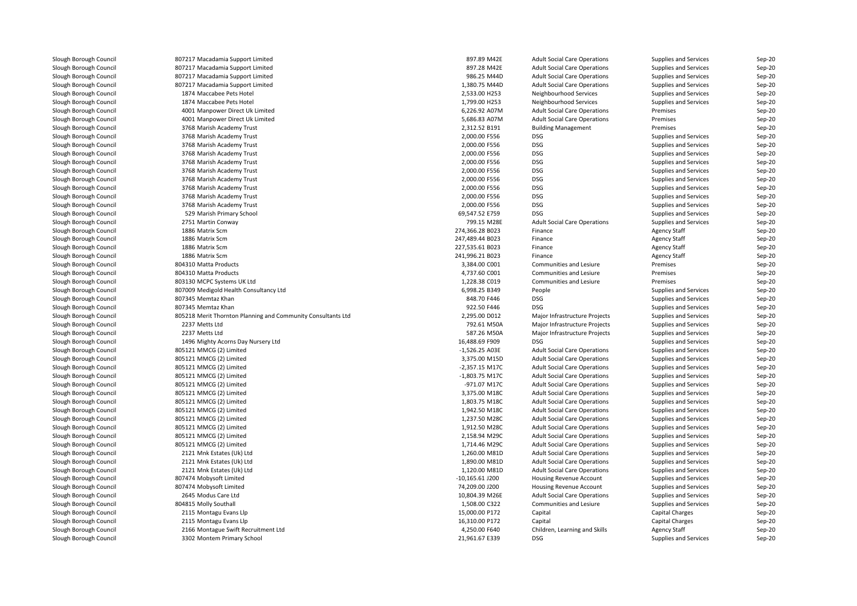| Slough Borough Council | 807217 Macadamia Support Limited                             | 897.89 M42E       | <b>Adult Social Care Operations</b> | Supplies and Services        | Sep-20   |
|------------------------|--------------------------------------------------------------|-------------------|-------------------------------------|------------------------------|----------|
| Slough Borough Council | 807217 Macadamia Support Limited                             | 897.28 M42E       | <b>Adult Social Care Operations</b> | Supplies and Services        | Sep-20   |
| Slough Borough Council | 807217 Macadamia Support Limited                             | 986.25 M44D       | <b>Adult Social Care Operations</b> | Supplies and Services        | Sep-20   |
| Slough Borough Council | 807217 Macadamia Support Limited                             | 1,380.75 M44D     | <b>Adult Social Care Operations</b> | Supplies and Services        | $Sep-20$ |
| Slough Borough Council | 1874 Maccabee Pets Hotel                                     | 2,533.00 H253     | Neighbourhood Services              | Supplies and Services        | Sep-20   |
| Slough Borough Council | 1874 Maccabee Pets Hotel                                     | 1,799.00 H253     | Neighbourhood Services              | Supplies and Services        | Sep-20   |
| Slough Borough Council | 4001 Manpower Direct Uk Limited                              | 6,226.92 A07M     | <b>Adult Social Care Operations</b> | Premises                     | Sep-20   |
| Slough Borough Council | 4001 Manpower Direct Uk Limited                              | 5,686.83 A07M     | <b>Adult Social Care Operations</b> | Premises                     | Sep-20   |
| Slough Borough Council | 3768 Marish Academy Trust                                    | 2,312.52 B191     | <b>Building Management</b>          | Premises                     | Sep-20   |
| Slough Borough Council | 3768 Marish Academy Trust                                    | 2,000.00 F556     | <b>DSG</b>                          | Supplies and Services        | Sep-20   |
| Slough Borough Council | 3768 Marish Academy Trust                                    | 2,000.00 F556     | <b>DSG</b>                          | Supplies and Services        | Sep-20   |
| Slough Borough Council | 3768 Marish Academy Trust                                    | 2,000.00 F556     | <b>DSG</b>                          | Supplies and Services        | Sep-20   |
| Slough Borough Council | 3768 Marish Academy Trust                                    | 2,000.00 F556     | <b>DSG</b>                          | Supplies and Services        | Sep-20   |
| Slough Borough Council | 3768 Marish Academy Trust                                    | 2,000.00 F556     | <b>DSG</b>                          | Supplies and Services        | Sep-20   |
| Slough Borough Council | 3768 Marish Academy Trust                                    | 2,000.00 F556     | <b>DSG</b>                          | Supplies and Services        | Sep-20   |
| Slough Borough Council | 3768 Marish Academy Trust                                    | 2,000.00 F556     | <b>DSG</b>                          | Supplies and Services        | $Sep-20$ |
| Slough Borough Council | 3768 Marish Academy Trust                                    | 2,000.00 F556     | <b>DSG</b>                          | Supplies and Services        | Sep-20   |
| Slough Borough Council | 3768 Marish Academy Trust                                    | 2,000.00 F556     | <b>DSG</b>                          | Supplies and Services        | $Sep-20$ |
| Slough Borough Council | 529 Marish Primary School                                    | 69,547.52 E759    | <b>DSG</b>                          | Supplies and Services        | $Sep-20$ |
| Slough Borough Council | 2751 Martin Conway                                           | 799.15 M28E       | <b>Adult Social Care Operations</b> | Supplies and Services        | $Sep-20$ |
| Slough Borough Council | 1886 Matrix Scm                                              | 274,366.28 B023   | Finance                             | <b>Agency Staff</b>          | Sep-20   |
| Slough Borough Council | 1886 Matrix Scm                                              | 247,489.44 B023   | Finance                             | <b>Agency Staff</b>          | Sep-20   |
| Slough Borough Council | 1886 Matrix Scm                                              | 227,535.61 B023   | Finance                             | <b>Agency Staff</b>          | Sep-20   |
| Slough Borough Council | 1886 Matrix Scm                                              | 241,996.21 B023   | Finance                             | <b>Agency Staff</b>          | $Sep-20$ |
| Slough Borough Council | 804310 Matta Products                                        | 3,384.00 C001     | Communities and Lesiure             | Premises                     | Sep-20   |
| Slough Borough Council | 804310 Matta Products                                        | 4,737.60 C001     | Communities and Lesiure             | Premises                     | Sep-20   |
| Slough Borough Council | 803130 MCPC Systems UK Ltd                                   | 1,228.38 C019     | Communities and Lesiure             | Premises                     | Sep-20   |
| Slough Borough Council | 807009 Medigold Health Consultancy Ltd                       | 6,998.25 B349     | People                              | <b>Supplies and Services</b> | $Sep-20$ |
| Slough Borough Council | 807345 Memtaz Khan                                           | 848.70 F446       | <b>DSG</b>                          | Supplies and Services        | Sep-20   |
| Slough Borough Council | 807345 Memtaz Khan                                           | 922.50 F446       | <b>DSG</b>                          | Supplies and Services        | Sep-20   |
| Slough Borough Council | 805218 Merit Thornton Planning and Community Consultants Ltd | 2,295.00 D012     | Major Infrastructure Projects       | Supplies and Services        | Sep-20   |
| Slough Borough Council | 2237 Metts Ltd                                               | 792.61 M50A       | Major Infrastructure Projects       | Supplies and Services        | $Sep-20$ |
| Slough Borough Council | 2237 Metts Ltd                                               | 587.26 M50A       | Major Infrastructure Projects       | Supplies and Services        | Sep-20   |
| Slough Borough Council | 1496 Mighty Acorns Day Nursery Ltd                           | 16,488.69 F909    | <b>DSG</b>                          | Supplies and Services        | Sep-20   |
| Slough Borough Council | 805121 MMCG (2) Limited                                      | $-1,526.25$ A03E  | <b>Adult Social Care Operations</b> | Supplies and Services        | Sep-20   |
| Slough Borough Council | 805121 MMCG (2) Limited                                      | 3,375.00 M15D     | <b>Adult Social Care Operations</b> | Supplies and Services        | $Sep-20$ |
| Slough Borough Council | 805121 MMCG (2) Limited                                      | $-2,357.15$ M17C  | <b>Adult Social Care Operations</b> | Supplies and Services        | Sep-20   |
| Slough Borough Council | 805121 MMCG (2) Limited                                      | -1,803.75 M17C    | <b>Adult Social Care Operations</b> | Supplies and Services        | Sep-20   |
| Slough Borough Council | 805121 MMCG (2) Limited                                      | -971.07 M17C      | <b>Adult Social Care Operations</b> | <b>Supplies and Services</b> | $Sep-20$ |
| Slough Borough Council | 805121 MMCG (2) Limited                                      | 3,375.00 M18C     | <b>Adult Social Care Operations</b> | Supplies and Services        | $Sep-20$ |
| Slough Borough Council | 805121 MMCG (2) Limited                                      | 1,803.75 M18C     | <b>Adult Social Care Operations</b> | Supplies and Services        | Sep-20   |
| Slough Borough Council | 805121 MMCG (2) Limited                                      | 1,942.50 M18C     | <b>Adult Social Care Operations</b> | Supplies and Services        | Sep-20   |
| Slough Borough Council | 805121 MMCG (2) Limited                                      | 1,237.50 M28C     | <b>Adult Social Care Operations</b> | Supplies and Services        | Sep-20   |
| Slough Borough Council | 805121 MMCG (2) Limited                                      | 1,912.50 M28C     | <b>Adult Social Care Operations</b> | Supplies and Services        | Sep-20   |
| Slough Borough Council | 805121 MMCG (2) Limited                                      | 2,158.94 M29C     | <b>Adult Social Care Operations</b> | Supplies and Services        | Sep-20   |
| Slough Borough Council | 805121 MMCG (2) Limited                                      | 1,714.46 M29C     | <b>Adult Social Care Operations</b> | Supplies and Services        | Sep-20   |
| Slough Borough Council | 2121 Mnk Estates (Uk) Ltd                                    | 1,260.00 M81D     | <b>Adult Social Care Operations</b> | Supplies and Services        | $Sep-20$ |
| Slough Borough Council | 2121 Mnk Estates (Uk) Ltd                                    | 1,890.00 M81D     | <b>Adult Social Care Operations</b> | Supplies and Services        | Sep-20   |
| Slough Borough Council | 2121 Mnk Estates (Uk) Ltd                                    | 1,120.00 M81D     | <b>Adult Social Care Operations</b> | Supplies and Services        | Sep-20   |
| Slough Borough Council | 807474 Mobysoft Limited                                      | $-10,165.61$ J200 | Housing Revenue Account             | Supplies and Services        | Sep-20   |
| Slough Borough Council | 807474 Mobysoft Limited                                      | 74,209.00 J200    | Housing Revenue Account             | Supplies and Services        | Sep-20   |
| Slough Borough Council | 2645 Modus Care Ltd                                          | 10,804.39 M26E    | <b>Adult Social Care Operations</b> | Supplies and Services        | Sep-20   |
| Slough Borough Council | 804815 Molly Southall                                        | 1,508.00 C322     | Communities and Lesiure             | Supplies and Services        | $Sep-20$ |
| Slough Borough Council | 2115 Montagu Evans Llp                                       | 15,000.00 P172    | Capital                             | Capital Charges              | Sep-20   |
| Slough Borough Council | 2115 Montagu Evans Llp                                       | 16,310.00 P172    | Capital                             | Capital Charges              | $Sep-20$ |
| Slough Borough Council | 2166 Montague Swift Recruitment Ltd                          | 4,250.00 F640     | Children, Learning and Skills       | <b>Agency Staff</b>          | $Sep-20$ |
| Slough Borough Council | 3302 Montem Primary School                                   | 21,961.67 E339    | <b>DSG</b>                          | Supplies and Services        | Sep-20   |
|                        |                                                              |                   |                                     |                              |          |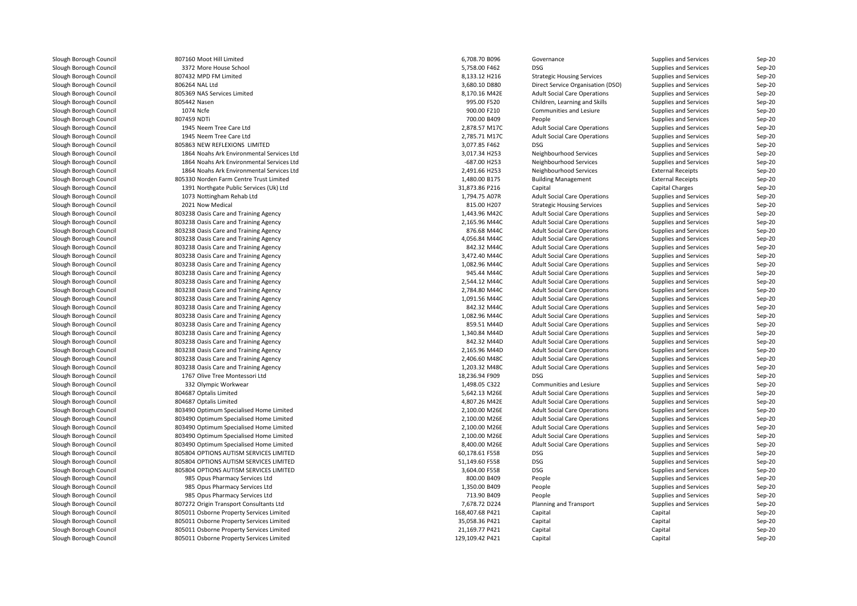| Slough Borough Council | 807160 Moot Hill Limited                  | 6,708.70 B096   | Governance                          | Supplies and Services    | $Sep-20$ |
|------------------------|-------------------------------------------|-----------------|-------------------------------------|--------------------------|----------|
| Slough Borough Council | 3372 More House School                    | 5.758.00 F462   | <b>DSG</b>                          | Supplies and Services    | Sep-20   |
| Slough Borough Council | 807432 MPD FM Limited                     | 8,133.12 H216   | <b>Strategic Housing Services</b>   | Supplies and Services    | Sep-20   |
| Slough Borough Council | 806264 NAL Ltd                            | 3,680.10 D880   | Direct Service Organisation (DSO)   | Supplies and Services    | Sep-20   |
| Slough Borough Council | 805369 NAS Services Limited               | 8,170.16 M42E   | <b>Adult Social Care Operations</b> | Supplies and Services    | Sep-20   |
| Slough Borough Council | 805442 Nasen                              | 995.00 F520     | Children, Learning and Skills       | Supplies and Services    | Sep-20   |
| Slough Borough Council | 1074 Ncfe                                 | 900.00 F210     | Communities and Lesiure             | Supplies and Services    | Sep-20   |
| Slough Borough Council | 807459 NDTi                               | 700.00 B409     | People                              | Supplies and Services    | Sep-20   |
| Slough Borough Council | 1945 Neem Tree Care Ltd                   | 2,878.57 M17C   | <b>Adult Social Care Operations</b> | Supplies and Services    | Sep-20   |
| Slough Borough Council | 1945 Neem Tree Care Ltd                   | 2,785.71 M17C   | <b>Adult Social Care Operations</b> | Supplies and Services    | Sep-20   |
| Slough Borough Council | 805863 NEW REFLEXIONS LIMITED             | 3,077.85 F462   | <b>DSG</b>                          | Supplies and Services    | Sep-20   |
| Slough Borough Council | 1864 Noahs Ark Environmental Services Ltd | 3,017.34 H253   | Neighbourhood Services              | Supplies and Services    | Sep-20   |
| Slough Borough Council | 1864 Noahs Ark Environmental Services Ltd | -687.00 H253    | Neighbourhood Services              | Supplies and Services    | Sep-20   |
| Slough Borough Council | 1864 Noahs Ark Environmental Services Ltd | 2,491.66 H253   | Neighbourhood Services              | <b>External Receipts</b> | Sep-20   |
| Slough Borough Council | 805330 Norden Farm Centre Trust Limited   | 1,480.00 B175   | <b>Building Management</b>          | <b>External Receipts</b> | Sep-20   |
| Slough Borough Council | 1391 Northgate Public Services (Uk) Ltd   | 31,873.86 P216  | Capital                             | Capital Charges          | Sep-20   |
| Slough Borough Council | 1073 Nottingham Rehab Ltd                 | 1,794.75 A07R   | <b>Adult Social Care Operations</b> | Supplies and Services    | Sep-20   |
| Slough Borough Council | 2021 Now Medical                          | 815.00 H207     | <b>Strategic Housing Services</b>   | Supplies and Services    | Sep-20   |
| Slough Borough Council |                                           |                 |                                     |                          |          |
|                        | 803238 Oasis Care and Training Agency     | 1,443.96 M42C   | <b>Adult Social Care Operations</b> | Supplies and Services    | Sep-20   |
| Slough Borough Council | 803238 Oasis Care and Training Agency     | 2,165.96 M44C   | <b>Adult Social Care Operations</b> | Supplies and Services    | $Sep-20$ |
| Slough Borough Council | 803238 Oasis Care and Training Agency     | 876.68 M44C     | <b>Adult Social Care Operations</b> | Supplies and Services    | Sep-20   |
| Slough Borough Council | 803238 Oasis Care and Training Agency     | 4,056.84 M44C   | <b>Adult Social Care Operations</b> | Supplies and Services    | Sep-20   |
| Slough Borough Council | 803238 Oasis Care and Training Agency     | 842.32 M44C     | <b>Adult Social Care Operations</b> | Supplies and Services    | $Sep-20$ |
| Slough Borough Council | 803238 Oasis Care and Training Agency     | 3,472.40 M44C   | <b>Adult Social Care Operations</b> | Supplies and Services    | Sep-20   |
| Slough Borough Council | 803238 Oasis Care and Training Agency     | 1,082.96 M44C   | <b>Adult Social Care Operations</b> | Supplies and Services    | Sep-20   |
| Slough Borough Council | 803238 Oasis Care and Training Agency     | 945.44 M44C     | <b>Adult Social Care Operations</b> | Supplies and Services    | Sep-20   |
| Slough Borough Council | 803238 Oasis Care and Training Agency     | 2,544.12 M44C   | <b>Adult Social Care Operations</b> | Supplies and Services    | $Sep-20$ |
| Slough Borough Council | 803238 Oasis Care and Training Agency     | 2,784.80 M44C   | <b>Adult Social Care Operations</b> | Supplies and Services    | $Sep-20$ |
| Slough Borough Council | 803238 Oasis Care and Training Agency     | 1,091.56 M44C   | <b>Adult Social Care Operations</b> | Supplies and Services    | Sep-20   |
| Slough Borough Council | 803238 Oasis Care and Training Agency     | 842.32 M44C     | <b>Adult Social Care Operations</b> | Supplies and Services    | Sep-20   |
| Slough Borough Council | 803238 Oasis Care and Training Agency     | 1,082.96 M44C   | <b>Adult Social Care Operations</b> | Supplies and Services    | Sep-20   |
| Slough Borough Council | 803238 Oasis Care and Training Agency     | 859.51 M44D     | <b>Adult Social Care Operations</b> | Supplies and Services    | Sep-20   |
| Slough Borough Council | 803238 Oasis Care and Training Agency     | 1,340.84 M44D   | <b>Adult Social Care Operations</b> | Supplies and Services    | Sep-20   |
| Slough Borough Council | 803238 Oasis Care and Training Agency     | 842.32 M44D     | <b>Adult Social Care Operations</b> | Supplies and Services    | Sep-20   |
| Slough Borough Council | 803238 Oasis Care and Training Agency     | 2,165.96 M44D   | <b>Adult Social Care Operations</b> | Supplies and Services    | Sep-20   |
| Slough Borough Council | 803238 Oasis Care and Training Agency     | 2,406.60 M48C   | <b>Adult Social Care Operations</b> | Supplies and Services    | Sep-20   |
| Slough Borough Council | 803238 Oasis Care and Training Agency     | 1.203.32 M48C   | <b>Adult Social Care Operations</b> | Supplies and Services    | $Sep-20$ |
| Slough Borough Council | 1767 Olive Tree Montessori Ltd            | 18,236.94 F909  | <b>DSG</b>                          | Supplies and Services    | Sep-20   |
| Slough Borough Council | 332 Olympic Workwear                      | 1,498.05 C322   | Communities and Lesiure             | Supplies and Services    | Sep-20   |
| Slough Borough Council | 804687 Optalis Limited                    | 5,642.13 M26E   | <b>Adult Social Care Operations</b> | Supplies and Services    | $Sep-20$ |
| Slough Borough Council | 804687 Optalis Limited                    | 4.807.26 M42E   | <b>Adult Social Care Operations</b> | Supplies and Services    | Sep-20   |
| Slough Borough Council | 803490 Optimum Specialised Home Limited   | 2,100.00 M26E   | <b>Adult Social Care Operations</b> | Supplies and Services    | Sep-20   |
| Slough Borough Council | 803490 Optimum Specialised Home Limited   | 2,100.00 M26E   | <b>Adult Social Care Operations</b> | Supplies and Services    | Sep-20   |
| Slough Borough Council | 803490 Optimum Specialised Home Limited   | 2,100.00 M26E   | <b>Adult Social Care Operations</b> | Supplies and Services    | Sep-20   |
| Slough Borough Council | 803490 Optimum Specialised Home Limited   | 2,100.00 M26E   | <b>Adult Social Care Operations</b> | Supplies and Services    | $Sep-20$ |
| Slough Borough Council | 803490 Optimum Specialised Home Limited   | 8,400.00 M26E   | <b>Adult Social Care Operations</b> | Supplies and Services    | Sep-20   |
| Slough Borough Council | 805804 OPTIONS AUTISM SERVICES LIMITED    | 60,178.61 F558  | <b>DSG</b>                          | Supplies and Services    | Sep-20   |
| Slough Borough Council | 805804 OPTIONS AUTISM SERVICES LIMITED    | 51,149.60 F558  | <b>DSG</b>                          | Supplies and Services    | Sep-20   |
| Slough Borough Council | 805804 OPTIONS AUTISM SERVICES LIMITED    | 3,604.00 F558   | <b>DSG</b>                          | Supplies and Services    | Sep-20   |
| Slough Borough Council | 985 Opus Pharmacy Services Ltd            | 800.00 B409     | People                              | Supplies and Services    | Sep-20   |
| Slough Borough Council | 985 Opus Pharmacy Services Ltd            | 1,350.00 B409   | People                              | Supplies and Services    | Sep-20   |
| Slough Borough Council | 985 Opus Pharmacy Services Ltd            | 713.90 B409     | People                              | Supplies and Services    | Sep-20   |
| Slough Borough Council | 807272 Origin Transport Consultants Ltd   | 7,678.72 D224   | Planning and Transport              | Supplies and Services    | $Sep-20$ |
| Slough Borough Council | 805011 Osborne Property Services Limited  | 168,407.68 P421 | Capital                             | Capital                  | Sep-20   |
| Slough Borough Council | 805011 Osborne Property Services Limited  | 35,058.36 P421  | Capital                             | Capital                  | Sep-20   |
| Slough Borough Council |                                           | 21,169.77 P421  |                                     |                          |          |
|                        | 805011 Osborne Property Services Limited  | 129,109.42 P421 | Capital                             | Capital                  | Sep-20   |
| Slough Borough Council | 805011 Osborne Property Services Limited  |                 | Capital                             | Capital                  | Sep-20   |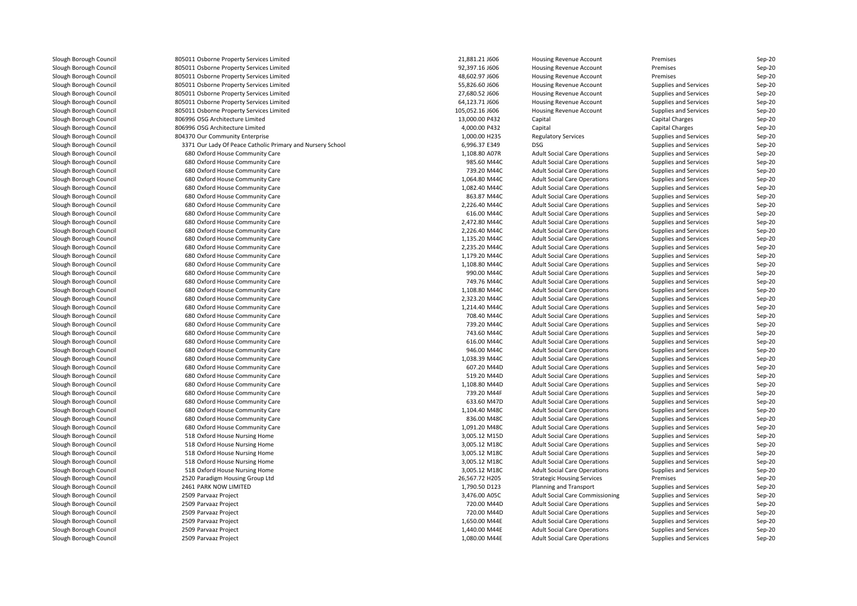| Slough Borough Council | 805011 Osborne Property Services Limited                   | 21,881.21 J606  | <b>Housing Revenue Account</b>         | Premises              | Sep-20             |
|------------------------|------------------------------------------------------------|-----------------|----------------------------------------|-----------------------|--------------------|
| Slough Borough Council | 805011 Osborne Property Services Limited                   | 92,397.16 J606  | Housing Revenue Account                | Premises              | $Sep-20$           |
| Slough Borough Council | 805011 Osborne Property Services Limited                   | 48,602.97 J606  | Housing Revenue Account                | Premises              | Sep-20             |
| Slough Borough Council | 805011 Osborne Property Services Limited                   | 55,826.60 J606  | <b>Housing Revenue Account</b>         | Supplies and Services | Sep-20             |
| Slough Borough Council | 805011 Osborne Property Services Limited                   | 27,680.52 J606  | Housing Revenue Account                | Supplies and Services | $Sep-20$           |
| Slough Borough Council | 805011 Osborne Property Services Limited                   | 64,123.71 J606  | Housing Revenue Account                | Supplies and Services | Sep-20             |
| Slough Borough Council | 805011 Osborne Property Services Limited                   | 105,052.16 J606 | <b>Housing Revenue Account</b>         | Supplies and Services | Sep-20             |
| Slough Borough Council | 806996 OSG Architecture Limited                            | 13,000.00 P432  | Capital                                | Capital Charges       | Sep-20             |
| Slough Borough Council | 806996 OSG Architecture Limited                            | 4,000.00 P432   | Capital                                | Capital Charges       | Sep-20             |
| Slough Borough Council | 804370 Our Community Enterprise                            | 1,000.00 H235   | <b>Regulatory Services</b>             | Supplies and Services | Sep-20             |
| Slough Borough Council | 3371 Our Lady Of Peace Catholic Primary and Nursery School | 6,996.37 E349   | <b>DSG</b>                             | Supplies and Services | Sep-20             |
| Slough Borough Council | 680 Oxford House Community Care                            | 1,108.80 A07R   | <b>Adult Social Care Operations</b>    | Supplies and Services | $Sep-20$           |
| Slough Borough Council | 680 Oxford House Community Care                            | 985.60 M44C     | <b>Adult Social Care Operations</b>    | Supplies and Services | Sep-20             |
| Slough Borough Council | 680 Oxford House Community Care                            | 739.20 M44C     | <b>Adult Social Care Operations</b>    | Supplies and Services | Sep-20             |
| Slough Borough Council | 680 Oxford House Community Care                            | 1,064.80 M44C   | <b>Adult Social Care Operations</b>    | Supplies and Services | Sep-20             |
| Slough Borough Council | 680 Oxford House Community Care                            | 1,082.40 M44C   | <b>Adult Social Care Operations</b>    | Supplies and Services | Sep-20             |
| Slough Borough Council | 680 Oxford House Community Care                            | 863.87 M44C     | <b>Adult Social Care Operations</b>    | Supplies and Services | Sep-20             |
| Slough Borough Council | 680 Oxford House Community Care                            | 2,226.40 M44C   | <b>Adult Social Care Operations</b>    | Supplies and Services | $Sep-20$           |
| Slough Borough Council | 680 Oxford House Community Care                            | 616.00 M44C     | <b>Adult Social Care Operations</b>    | Supplies and Services | Sep-20             |
| Slough Borough Council | 680 Oxford House Community Care                            | 2,472.80 M44C   | <b>Adult Social Care Operations</b>    | Supplies and Services | Sep-20             |
| Slough Borough Council | 680 Oxford House Community Care                            | 2,226.40 M44C   | <b>Adult Social Care Operations</b>    | Supplies and Services | $Sep-20$           |
| Slough Borough Council | 680 Oxford House Community Care                            | 1,135.20 M44C   | <b>Adult Social Care Operations</b>    | Supplies and Services | Sep-20             |
| Slough Borough Council | 680 Oxford House Community Care                            | 2,235.20 M44C   | <b>Adult Social Care Operations</b>    | Supplies and Services | Sep-20             |
| Slough Borough Council | 680 Oxford House Community Care                            | 1,179.20 M44C   | <b>Adult Social Care Operations</b>    | Supplies and Services | $Sep-20$           |
| Slough Borough Council | 680 Oxford House Community Care                            | 1,108.80 M44C   | <b>Adult Social Care Operations</b>    | Supplies and Services | Sep-20             |
| Slough Borough Council | 680 Oxford House Community Care                            | 990.00 M44C     | <b>Adult Social Care Operations</b>    | Supplies and Services | Sep-20             |
| Slough Borough Council | 680 Oxford House Community Care                            | 749.76 M44C     |                                        |                       |                    |
|                        | 680 Oxford House Community Care                            | 1,108.80 M44C   | <b>Adult Social Care Operations</b>    | Supplies and Services | Sep-20<br>$Sep-20$ |
| Slough Borough Council |                                                            |                 | <b>Adult Social Care Operations</b>    | Supplies and Services |                    |
| Slough Borough Council | 680 Oxford House Community Care                            | 2,323.20 M44C   | <b>Adult Social Care Operations</b>    | Supplies and Services | Sep-20             |
| Slough Borough Council | 680 Oxford House Community Care                            | 1,214.40 M44C   | <b>Adult Social Care Operations</b>    | Supplies and Services | Sep-20             |
| Slough Borough Council | 680 Oxford House Community Care                            | 708.40 M44C     | <b>Adult Social Care Operations</b>    | Supplies and Services | Sep-20             |
| Slough Borough Council | 680 Oxford House Community Care                            | 739.20 M44C     | <b>Adult Social Care Operations</b>    | Supplies and Services | Sep-20             |
| Slough Borough Council | 680 Oxford House Community Care                            | 743.60 M44C     | <b>Adult Social Care Operations</b>    | Supplies and Services | Sep-20             |
| Slough Borough Council | 680 Oxford House Community Care                            | 616.00 M44C     | <b>Adult Social Care Operations</b>    | Supplies and Services | Sep-20             |
| Slough Borough Council | 680 Oxford House Community Care                            | 946.00 M44C     | <b>Adult Social Care Operations</b>    | Supplies and Services | Sep-20             |
| Slough Borough Council | 680 Oxford House Community Care                            | 1,038.39 M44C   | <b>Adult Social Care Operations</b>    | Supplies and Services | $Sep-20$           |
| Slough Borough Council | 680 Oxford House Community Care                            | 607.20 M44D     | <b>Adult Social Care Operations</b>    | Supplies and Services | $Sep-20$           |
| Slough Borough Council | 680 Oxford House Community Care                            | 519.20 M44D     | <b>Adult Social Care Operations</b>    | Supplies and Services | Sep-20             |
| Slough Borough Council | 680 Oxford House Community Care                            | 1,108.80 M44D   | <b>Adult Social Care Operations</b>    | Supplies and Services | $Sep-20$           |
| Slough Borough Council | 680 Oxford House Community Care                            | 739.20 M44F     | <b>Adult Social Care Operations</b>    | Supplies and Services | Sep-20             |
| Slough Borough Council | 680 Oxford House Community Care                            | 633.60 M47D     | <b>Adult Social Care Operations</b>    | Supplies and Services | Sep-20             |
| Slough Borough Council | 680 Oxford House Community Care                            | 1,104.40 M48C   | <b>Adult Social Care Operations</b>    | Supplies and Services | Sep-20             |
| Slough Borough Council | 680 Oxford House Community Care                            | 836.00 M48C     | <b>Adult Social Care Operations</b>    | Supplies and Services | $Sep-20$           |
| Slough Borough Council | 680 Oxford House Community Care                            | 1,091.20 M48C   | <b>Adult Social Care Operations</b>    | Supplies and Services | Sep-20             |
| Slough Borough Council | 518 Oxford House Nursing Home                              | 3,005.12 M15D   | <b>Adult Social Care Operations</b>    | Supplies and Services | Sep-20             |
| Slough Borough Council | 518 Oxford House Nursing Home                              | 3,005.12 M18C   | <b>Adult Social Care Operations</b>    | Supplies and Services | $Sep-20$           |
| Slough Borough Council | 518 Oxford House Nursing Home                              | 3,005.12 M18C   | <b>Adult Social Care Operations</b>    | Supplies and Services | Sep-20             |
| Slough Borough Council | 518 Oxford House Nursing Home                              | 3,005.12 M18C   | <b>Adult Social Care Operations</b>    | Supplies and Services | Sep-20             |
| Slough Borough Council | 518 Oxford House Nursing Home                              | 3,005.12 M18C   | <b>Adult Social Care Operations</b>    | Supplies and Services | Sep-20             |
| Slough Borough Council | 2520 Paradigm Housing Group Ltd                            | 26,567.72 H205  | <b>Strategic Housing Services</b>      | Premises              | $Sep-20$           |
| Slough Borough Council | 2461 PARK NOW LIMITED                                      | 1,790.50 D123   | Planning and Transport                 | Supplies and Services | Sep-20             |
| Slough Borough Council | 2509 Parvaaz Project                                       | 3,476.00 A05C   | <b>Adult Social Care Commissioning</b> | Supplies and Services | Sep-20             |
| Slough Borough Council | 2509 Parvaaz Project                                       | 720.00 M44D     | <b>Adult Social Care Operations</b>    | Supplies and Services | $Sep-20$           |
| Slough Borough Council | 2509 Parvaaz Project                                       | 720.00 M44D     | <b>Adult Social Care Operations</b>    | Supplies and Services | $Sep-20$           |
| Slough Borough Council | 2509 Parvaaz Project                                       | 1,650.00 M44E   | <b>Adult Social Care Operations</b>    | Supplies and Services | $Sep-20$           |
| Slough Borough Council | 2509 Parvaaz Project                                       | 1,440.00 M44E   | <b>Adult Social Care Operations</b>    | Supplies and Services | Sep-20             |
| Slough Borough Council | 2509 Parvaaz Project                                       | 1,080.00 M44E   | <b>Adult Social Care Operations</b>    | Supplies and Services | Sep-20             |
|                        |                                                            |                 |                                        |                       |                    |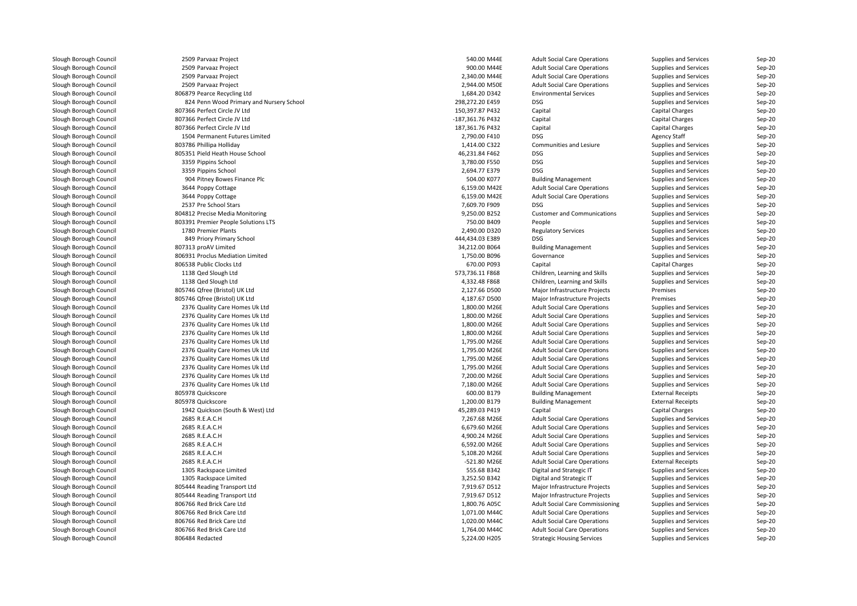| Slough Borough Council | 2509 Parvaaz Project                     | 540.00 M44E      | <b>Adult Social Care Operations</b>    | Supplies and Services        | Sep-20             |
|------------------------|------------------------------------------|------------------|----------------------------------------|------------------------------|--------------------|
| Slough Borough Council | 2509 Parvaaz Project                     | 900.00 M44E      | <b>Adult Social Care Operations</b>    | Supplies and Services        | $Sep-20$           |
| Slough Borough Council | 2509 Parvaaz Project                     | 2,340.00 M44E    | <b>Adult Social Care Operations</b>    | Supplies and Services        | Sep-20             |
| Slough Borough Council | 2509 Parvaaz Project                     | 2,944.00 M50E    | <b>Adult Social Care Operations</b>    | Supplies and Services        | Sep-20             |
| Slough Borough Council | 806879 Pearce Recycling Ltd              | 1,684.20 D342    | <b>Environmental Services</b>          | Supplies and Services        | Sep-20             |
| Slough Borough Council | 824 Penn Wood Primary and Nursery School | 298,272.20 E459  | <b>DSG</b>                             | Supplies and Services        | $Sep-20$           |
| Slough Borough Council | 807366 Perfect Circle JV Ltd             | 150,397.87 P432  | Capital                                | <b>Capital Charges</b>       | Sep-20             |
| Slough Borough Council | 807366 Perfect Circle JV Ltd             | -187,361.76 P432 | Capital                                | Capital Charges              | Sep-20             |
| Slough Borough Council | 807366 Perfect Circle JV Ltd             | 187,361.76 P432  | Capital                                | Capital Charges              | $Sep-20$           |
| Slough Borough Council | 1504 Permanent Futures Limited           | 2,790.00 F410    | <b>DSG</b>                             | <b>Agency Staff</b>          | Sep-20             |
| Slough Borough Council | 803786 Phillipa Holliday                 | 1,414.00 C322    | Communities and Lesiure                | Supplies and Services        | Sep-20             |
| Slough Borough Council | 805351 Pield Heath House School          | 46,231.84 F462   | <b>DSG</b>                             | Supplies and Services        | Sep-20             |
| Slough Borough Council | 3359 Pippins School                      | 3,780.00 F550    | <b>DSG</b>                             | Supplies and Services        | Sep-20             |
| Slough Borough Council | 3359 Pippins School                      | 2,694.77 E379    | <b>DSG</b>                             | Supplies and Services        | Sep-20             |
| Slough Borough Council | 904 Pitney Bowes Finance Plc             | 504.00 K077      | <b>Building Management</b>             | Supplies and Services        | $Sep-20$           |
| Slough Borough Council | 3644 Poppy Cottage                       | 6,159.00 M42E    | <b>Adult Social Care Operations</b>    | Supplies and Services        | Sep-20             |
| Slough Borough Council | 3644 Poppy Cottage                       | 6,159.00 M42E    | <b>Adult Social Care Operations</b>    | <b>Supplies and Services</b> | Sep-20             |
| Slough Borough Council | 2537 Pre School Stars                    | 7,609.70 F909    | <b>DSG</b>                             | Supplies and Services        | $Sep-20$           |
| Slough Borough Council | 804812 Precise Media Monitoring          | 9,250.00 B252    | <b>Customer and Communications</b>     | Supplies and Services        | Sep-20             |
| Slough Borough Council | 803391 Premier People Solutions LTS      | 750.00 B409      | People                                 | Supplies and Services        | Sep-20             |
| Slough Borough Council | 1780 Premier Plants                      | 2,490.00 D320    | <b>Regulatory Services</b>             | Supplies and Services        | $Sep-20$           |
| Slough Borough Council | 849 Priory Primary School                | 444,434.03 E389  | <b>DSG</b>                             | Supplies and Services        | Sep-20             |
| Slough Borough Council | 807313 proAV Limited                     | 34,212.00 B064   | <b>Building Management</b>             | Supplies and Services        | $Sep-20$           |
| Slough Borough Council | 806931 Proclus Mediation Limited         | 1,750.00 B096    | Governance                             | Supplies and Services        | $Sep-20$           |
| Slough Borough Council | 806538 Public Clocks Ltd                 | 670.00 P093      | Capital                                | Capital Charges              | Sep-20             |
| Slough Borough Council | 1138 Qed Slough Ltd                      | 573,736.11 F868  | Children, Learning and Skills          | <b>Supplies and Services</b> | Sep-20             |
| Slough Borough Council | 1138 Qed Slough Ltd                      | 4,332.48 F868    | Children, Learning and Skills          | Supplies and Services        |                    |
| Slough Borough Council | 805746 Qfree (Bristol) UK Ltd            | 2,127.66 D500    | Major Infrastructure Projects          | Premises                     | Sep-20<br>$Sep-20$ |
|                        | 805746 Qfree (Bristol) UK Ltd            | 4,187.67 D500    | Major Infrastructure Projects          | Premises                     | $Sep-20$           |
| Slough Borough Council |                                          |                  |                                        |                              |                    |
| Slough Borough Council | 2376 Quality Care Homes Uk Ltd           | 1,800.00 M26E    | <b>Adult Social Care Operations</b>    | Supplies and Services        | Sep-20             |
| Slough Borough Council | 2376 Quality Care Homes Uk Ltd           | 1,800.00 M26E    | <b>Adult Social Care Operations</b>    | Supplies and Services        | Sep-20             |
| Slough Borough Council | 2376 Quality Care Homes Uk Ltd           | 1,800.00 M26E    | <b>Adult Social Care Operations</b>    | Supplies and Services        | Sep-20             |
| Slough Borough Council | 2376 Quality Care Homes Uk Ltd           | 1,800.00 M26E    | <b>Adult Social Care Operations</b>    | Supplies and Services        | Sep-20             |
| Slough Borough Council | 2376 Quality Care Homes Uk Ltd           | 1,795.00 M26E    | <b>Adult Social Care Operations</b>    | Supplies and Services        | Sep-20             |
| Slough Borough Council | 2376 Quality Care Homes Uk Ltd           | 1,795.00 M26E    | <b>Adult Social Care Operations</b>    | Supplies and Services        | Sep-20             |
| Slough Borough Council | 2376 Quality Care Homes Uk Ltd           | 1,795.00 M26E    | <b>Adult Social Care Operations</b>    | Supplies and Services        | Sep-20             |
| Slough Borough Council | 2376 Quality Care Homes Uk Ltd           | 1,795.00 M26E    | <b>Adult Social Care Operations</b>    | Supplies and Services        | $Sep-20$           |
| Slough Borough Council | 2376 Quality Care Homes Uk Ltd           | 7,200.00 M26E    | <b>Adult Social Care Operations</b>    | Supplies and Services        | $Sep-20$           |
| Slough Borough Council | 2376 Quality Care Homes Uk Ltd           | 7,180.00 M26E    | <b>Adult Social Care Operations</b>    | <b>Supplies and Services</b> | Sep-20             |
| Slough Borough Council | 805978 Quickscore                        | 600.00 B179      | <b>Building Management</b>             | <b>External Receipts</b>     | $Sep-20$           |
| Slough Borough Council | 805978 Quickscore                        | 1,200.00 B179    | <b>Building Management</b>             | <b>External Receipts</b>     | Sep-20             |
| Slough Borough Council | 1942 Quickson (South & West) Ltd         | 45,289.03 P419   | Capital                                | Capital Charges              | Sep-20             |
| Slough Borough Council | 2685 R.E.A.C.H                           | 7,267.68 M26E    | <b>Adult Social Care Operations</b>    | Supplies and Services        | $Sep-20$           |
| Slough Borough Council | 2685 R.E.A.C.H                           | 6,679.60 M26E    | <b>Adult Social Care Operations</b>    | Supplies and Services        | Sep-20             |
| Slough Borough Council | 2685 R.E.A.C.H                           | 4,900.24 M26E    | <b>Adult Social Care Operations</b>    | Supplies and Services        | Sep-20             |
| Slough Borough Council | 2685 R.E.A.C.H                           | 6,592.00 M26E    | <b>Adult Social Care Operations</b>    | Supplies and Services        | $Sep-20$           |
| Slough Borough Council | 2685 R.E.A.C.H                           | 5,108.20 M26E    | <b>Adult Social Care Operations</b>    | Supplies and Services        | Sep-20             |
| Slough Borough Council | 2685 R.E.A.C.H                           | -521.80 M26E     | <b>Adult Social Care Operations</b>    | <b>External Receipts</b>     | Sep-20             |
| Slough Borough Council | 1305 Rackspace Limited                   | 555.68 B342      | Digital and Strategic IT               | Supplies and Services        | Sep-20             |
| Slough Borough Council | 1305 Rackspace Limited                   | 3,252.50 B342    | Digital and Strategic IT               | Supplies and Services        | $Sep-20$           |
| Slough Borough Council | 805444 Reading Transport Ltd             | 7,919.67 D512    | Major Infrastructure Projects          | Supplies and Services        | Sep-20             |
| Slough Borough Council | 805444 Reading Transport Ltd             | 7,919.67 D512    | Major Infrastructure Projects          | Supplies and Services        | Sep-20             |
| Slough Borough Council | 806766 Red Brick Care Ltd                | 1,800.76 A05C    | <b>Adult Social Care Commissioning</b> | Supplies and Services        | $Sep-20$           |
| Slough Borough Council | 806766 Red Brick Care Ltd                | 1,071.00 M44C    | <b>Adult Social Care Operations</b>    | Supplies and Services        | Sep-20             |
| Slough Borough Council | 806766 Red Brick Care Ltd                | 1,020.00 M44C    | <b>Adult Social Care Operations</b>    | Supplies and Services        | Sep-20             |
| Slough Borough Council | 806766 Red Brick Care Ltd                | 1,764.00 M44C    | <b>Adult Social Care Operations</b>    | Supplies and Services        | Sep-20             |
| Slough Borough Council | 806484 Redacted                          | 5,224.00 H205    | <b>Strategic Housing Services</b>      | Supplies and Services        | Sep-20             |
|                        |                                          |                  |                                        |                              |                    |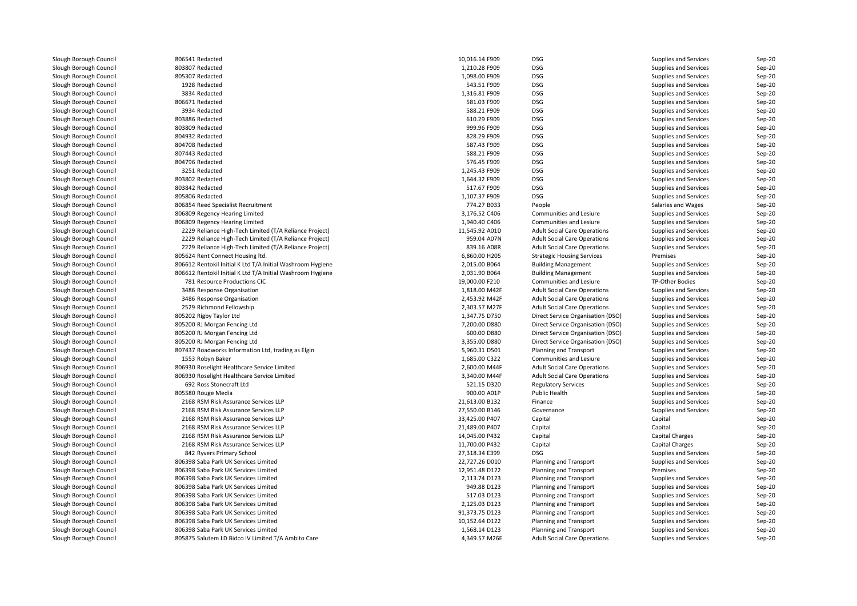| Slough Borough Council | 806541 Redacted                                            | 10,016.14 F909                 | DSG                                 | Supplies and Services  | Sep-20   |
|------------------------|------------------------------------------------------------|--------------------------------|-------------------------------------|------------------------|----------|
| Slough Borough Council | 803807 Redacted                                            | 1,210.28 F909                  | DSG                                 | Supplies and Services  | Sep-20   |
| Slough Borough Council | 805307 Redacted                                            | 1,098.00 F909                  | DSG                                 | Supplies and Services  | Sep-20   |
| Slough Borough Council | 1928 Redacted                                              | 543.51 F909                    | DSG                                 | Supplies and Services  | Sep-20   |
| Slough Borough Council | 3834 Redacted                                              | 1,316.81 F909                  | DSG                                 | Supplies and Services  | Sep-20   |
| Slough Borough Council | 806671 Redacted                                            | 581.03 F909                    | DSG                                 | Supplies and Services  | Sep-20   |
| Slough Borough Council | 3934 Redacted                                              | 588.21 F909                    | DSG                                 | Supplies and Services  | Sep-20   |
| Slough Borough Council | 803886 Redacted                                            | 610.29 F909                    | DSG                                 | Supplies and Services  | Sep-20   |
| Slough Borough Council | 803809 Redacted                                            | 999.96 F909                    | DSG                                 | Supplies and Services  | Sep-20   |
| Slough Borough Council | 804932 Redacted                                            | 828.29 F909                    | DSG                                 | Supplies and Services  | Sep-20   |
| Slough Borough Council | 804708 Redacted                                            | 587.43 F909                    | DSG                                 | Supplies and Services  | Sep-20   |
| Slough Borough Council | 807443 Redacted                                            | 588.21 F909                    | DSG                                 | Supplies and Services  | Sep-20   |
| Slough Borough Council | 804796 Redacted                                            | 576.45 F909                    | DSG                                 | Supplies and Services  | $Sep-20$ |
| Slough Borough Council | 3251 Redacted                                              | 1,245.43 F909                  | DSG                                 | Supplies and Services  | Sep-20   |
| Slough Borough Council | 803802 Redacted                                            | 1,644.32 F909                  | DSG                                 | Supplies and Services  | Sep-20   |
| Slough Borough Council | 803842 Redacted                                            | 517.67 F909                    | DSG                                 | Supplies and Services  | Sep-20   |
| Slough Borough Council | 805806 Redacted                                            | 1,107.37 F909                  | DSG                                 | Supplies and Services  | Sep-20   |
| Slough Borough Council | 806854 Reed Specialist Recruitment                         | 774.27 B033                    | People                              | Salaries and Wages     | Sep-20   |
| Slough Borough Council | 806809 Regency Hearing Limited                             | 3,176.52 C406                  | Communities and Lesiure             | Supplies and Services  | Sep-20   |
| Slough Borough Council | 806809 Regency Hearing Limited                             | 1,940.40 C406                  | Communities and Lesiure             | Supplies and Services  | $Sep-20$ |
| Slough Borough Council | 2229 Reliance High-Tech Limited (T/A Reliance Project)     | 11,545.92 A01D                 | <b>Adult Social Care Operations</b> | Supplies and Services  | Sep-20   |
| Slough Borough Council | 2229 Reliance High-Tech Limited (T/A Reliance Project)     | 959.04 A07N                    | <b>Adult Social Care Operations</b> | Supplies and Services  | Sep-20   |
| Slough Borough Council | 2229 Reliance High-Tech Limited (T/A Reliance Project)     | 839.16 A08R                    | <b>Adult Social Care Operations</b> | Supplies and Services  | Sep-20   |
| Slough Borough Council |                                                            |                                | <b>Strategic Housing Services</b>   | Premises               | Sep-20   |
| Slough Borough Council | 805624 Rent Connect Housing ltd.                           | 6,860.00 H205<br>2,015.00 B064 |                                     |                        | Sep-20   |
|                        | 806612 Rentokil Initial K Ltd T/A Initial Washroom Hygiene |                                | <b>Building Management</b>          | Supplies and Services  |          |
| Slough Borough Council | 806612 Rentokil Initial K Ltd T/A Initial Washroom Hygiene | 2,031.90 B064                  | <b>Building Management</b>          | Supplies and Services  | Sep-20   |
| Slough Borough Council | 781 Resource Productions CIC                               | 19,000.00 F210                 | Communities and Lesiure             | TP-Other Bodies        | Sep-20   |
| Slough Borough Council | 3486 Response Organisation                                 | 1,818.00 M42F                  | <b>Adult Social Care Operations</b> | Supplies and Services  | Sep-20   |
| Slough Borough Council | 3486 Response Organisation                                 | 2,453.92 M42F                  | <b>Adult Social Care Operations</b> | Supplies and Services  | Sep-20   |
| Slough Borough Council | 2529 Richmond Fellowship                                   | 2,303.57 M27F                  | <b>Adult Social Care Operations</b> | Supplies and Services  | $Sep-20$ |
| Slough Borough Council | 805202 Rigby Taylor Ltd                                    | 1,347.75 D750                  | Direct Service Organisation (DSO)   | Supplies and Services  | $Sep-20$ |
| Slough Borough Council | 805200 RJ Morgan Fencing Ltd                               | 7,200.00 D880                  | Direct Service Organisation (DSO)   | Supplies and Services  | Sep-20   |
| Slough Borough Council | 805200 RJ Morgan Fencing Ltd                               | 600.00 D880                    | Direct Service Organisation (DSO)   | Supplies and Services  | Sep-20   |
| Slough Borough Council | 805200 RJ Morgan Fencing Ltd                               | 3,355.00 D880                  | Direct Service Organisation (DSO)   | Supplies and Services  | Sep-20   |
| Slough Borough Council | 807437 Roadworks Information Ltd, trading as Elgin         | 5,960.31 D501                  | Planning and Transport              | Supplies and Services  | Sep-20   |
| Slough Borough Council | 1553 Robyn Baker                                           | 1,685.00 C322                  | Communities and Lesiure             | Supplies and Services  | Sep-20   |
| Slough Borough Council | 806930 Roselight Healthcare Service Limited                | 2,600.00 M44F                  | <b>Adult Social Care Operations</b> | Supplies and Services  | $Sep-20$ |
| Slough Borough Council | 806930 Roselight Healthcare Service Limited                | 3,340.00 M44F                  | <b>Adult Social Care Operations</b> | Supplies and Services  | Sep-20   |
| Slough Borough Council | 692 Ross Stonecraft Ltd                                    | 521.15 D320                    | <b>Regulatory Services</b>          | Supplies and Services  | Sep-20   |
| Slough Borough Council | 805580 Rouge Media                                         | 900.00 A01P                    | Public Health                       | Supplies and Services  | Sep-20   |
| Slough Borough Council | 2168 RSM Risk Assurance Services LLP                       | 21,613.00 B132                 | Finance                             | Supplies and Services  | Sep-20   |
| Slough Borough Council | 2168 RSM Risk Assurance Services LLP                       | 27,550.00 B146                 | Governance                          | Supplies and Services  | Sep-20   |
| Slough Borough Council | 2168 RSM Risk Assurance Services LLP                       | 33,425.00 P407                 | Capital                             | Capital                | Sep-20   |
| Slough Borough Council | 2168 RSM Risk Assurance Services LLP                       | 21,489.00 P407                 | Capital                             | Capital                | Sep-20   |
| Slough Borough Council | 2168 RSM Risk Assurance Services LLP                       | 14,045.00 P432                 | Capital                             | <b>Capital Charges</b> | Sep-20   |
| Slough Borough Council | 2168 RSM Risk Assurance Services LLP                       | 11,700.00 P432                 | Capital                             | <b>Capital Charges</b> | $Sep-20$ |
| Slough Borough Council | 842 Ryvers Primary School                                  | 27,318.34 E399                 | DSG                                 | Supplies and Services  | $Sep-20$ |
| Slough Borough Council | 806398 Saba Park UK Services Limited                       | 22,727.26 D010                 | Planning and Transport              | Supplies and Services  | $Sep-20$ |
| Slough Borough Council | 806398 Saba Park UK Services Limited                       | 12,951.48 D122                 | Planning and Transport              | Premises               | Sep-20   |
| Slough Borough Council | 806398 Saba Park UK Services Limited                       | 2,113.74 D123                  | Planning and Transport              | Supplies and Services  | Sep-20   |
| Slough Borough Council | 806398 Saba Park UK Services Limited                       | 949.88 D123                    | Planning and Transport              | Supplies and Services  | Sep-20   |
| Slough Borough Council | 806398 Saba Park UK Services Limited                       | 517.03 D123                    | Planning and Transport              | Supplies and Services  | Sep-20   |
| Slough Borough Council | 806398 Saba Park UK Services Limited                       | 2,125.03 D123                  | Planning and Transport              | Supplies and Services  | Sep-20   |
| Slough Borough Council | 806398 Saba Park UK Services Limited                       | 91,373.75 D123                 | Planning and Transport              | Supplies and Services  | $Sep-20$ |
| Slough Borough Council | 806398 Saba Park UK Services Limited                       | 10,152.64 D122                 | Planning and Transport              | Supplies and Services  | $Sep-20$ |
| Slough Borough Council | 806398 Saba Park UK Services Limited                       | 1,568.14 D123                  | Planning and Transport              | Supplies and Services  | Sep-20   |
| Slough Borough Council | 805875 Salutem LD Bidco IV Limited T/A Ambito Care         | 4,349.57 M26E                  | <b>Adult Social Care Operations</b> | Supplies and Services  | Sep-20   |
|                        |                                                            |                                |                                     |                        |          |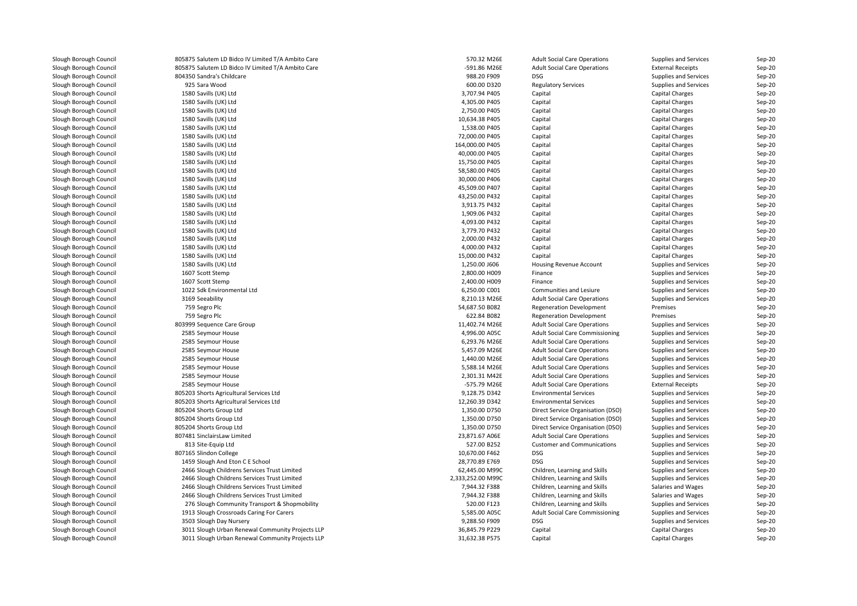| Slough Borough Council                           | 805875 Salutem LD Bidco IV Limited T/A Ambito Care | 570.32 M26E       | <b>Adult Social Care Operations</b>                                        | Supplies and Services                          | Sep-20           |
|--------------------------------------------------|----------------------------------------------------|-------------------|----------------------------------------------------------------------------|------------------------------------------------|------------------|
| Slough Borough Council                           | 805875 Salutem LD Bidco IV Limited T/A Ambito Care | -591.86 M26E      | <b>Adult Social Care Operations</b>                                        | <b>External Receipts</b>                       | Sep-20           |
| Slough Borough Council                           | 804350 Sandra's Childcare                          | 988.20 F909       | <b>DSG</b>                                                                 | Supplies and Services                          | Sep-20           |
| Slough Borough Council                           | 925 Sara Wood                                      | 600.00 D320       | <b>Regulatory Services</b>                                                 | Supplies and Services                          | Sep-20           |
| Slough Borough Council                           | 1580 Savills (UK) Ltd                              | 3,707.94 P405     | Capital                                                                    | Capital Charges                                | Sep-20           |
| Slough Borough Council                           | 1580 Savills (UK) Ltd                              | 4,305.00 P405     | Capital                                                                    | Capital Charges                                | Sep-20           |
| Slough Borough Council                           | 1580 Savills (UK) Ltd                              | 2,750.00 P405     | Capital                                                                    | Capital Charges                                | Sep-20           |
| Slough Borough Council                           | 1580 Savills (UK) Ltd                              | 10,634.38 P405    | Capital                                                                    | Capital Charges                                | Sep-20           |
| Slough Borough Council                           | 1580 Savills (UK) Ltd                              | 1,538.00 P405     | Capital                                                                    | <b>Capital Charges</b>                         | Sep-20           |
| Slough Borough Council                           | 1580 Savills (UK) Ltd                              | 72,000.00 P405    | Capital                                                                    | Capital Charges                                | Sep-20           |
| Slough Borough Council                           | 1580 Savills (UK) Ltd                              | 164,000.00 P405   | Capital                                                                    | Capital Charges                                | Sep-20           |
| Slough Borough Council                           | 1580 Savills (UK) Ltd                              | 40,000.00 P405    | Capital                                                                    | Capital Charges                                | Sep-20           |
| Slough Borough Council                           | 1580 Savills (UK) Ltd                              | 15,750.00 P405    | Capital                                                                    | Capital Charges                                | Sep-20           |
| Slough Borough Council                           | 1580 Savills (UK) Ltd                              | 58,580.00 P405    | Capital                                                                    | Capital Charges                                | Sep-20           |
| Slough Borough Council                           | 1580 Savills (UK) Ltd                              | 30,000.00 P406    | Capital                                                                    | Capital Charges                                | Sep-20           |
| Slough Borough Council                           | 1580 Savills (UK) Ltd                              | 45,509.00 P407    | Capital                                                                    | Capital Charges                                | Sep-20           |
| Slough Borough Council                           | 1580 Savills (UK) Ltd                              | 43,250.00 P432    | Capital                                                                    | <b>Capital Charges</b>                         | Sep-20           |
| Slough Borough Council                           | 1580 Savills (UK) Ltd                              | 3,913.75 P432     | Capital                                                                    | Capital Charges                                | Sep-20           |
| Slough Borough Council                           | 1580 Savills (UK) Ltd                              | 1,909.06 P432     | Capital                                                                    | Capital Charges                                | Sep-20           |
| Slough Borough Council                           | 1580 Savills (UK) Ltd                              | 4,093.00 P432     | Capital                                                                    | Capital Charges                                | Sep-20           |
| Slough Borough Council                           | 1580 Savills (UK) Ltd                              | 3,779.70 P432     | Capital                                                                    | Capital Charges                                | Sep-20           |
| Slough Borough Council                           | 1580 Savills (UK) Ltd                              | 2,000.00 P432     | Capital                                                                    | <b>Capital Charges</b>                         | Sep-20           |
| Slough Borough Council                           | 1580 Savills (UK) Ltd                              | 4,000.00 P432     | Capital                                                                    | Capital Charges                                | Sep-20           |
| Slough Borough Council                           | 1580 Savills (UK) Ltd                              | 15,000.00 P432    | Capital                                                                    | Capital Charges                                | Sep-20           |
| Slough Borough Council                           | 1580 Savills (UK) Ltd                              | 1,250.00 J606     | Housing Revenue Account                                                    | Supplies and Services                          | Sep-20           |
| Slough Borough Council                           | 1607 Scott Stemp                                   | 2,800.00 H009     | Finance                                                                    | Supplies and Services                          | Sep-20           |
| Slough Borough Council                           | 1607 Scott Stemp                                   | 2,400.00 H009     | Finance                                                                    | Supplies and Services                          | Sep-20           |
| Slough Borough Council                           | 1022 Sdk Environmental Ltd                         | 6,250.00 C001     | Communities and Lesiure                                                    | Supplies and Services                          | Sep-20           |
| Slough Borough Council                           | 3169 Seeability                                    | 8,210.13 M26E     | <b>Adult Social Care Operations</b>                                        | Supplies and Services                          | Sep-20           |
| Slough Borough Council                           | 759 Segro Plc                                      | 54,687.50 B082    | <b>Regeneration Development</b>                                            | Premises                                       | Sep-20           |
| Slough Borough Council                           | 759 Segro Plc                                      | 622.84 B082       | <b>Regeneration Development</b>                                            | Premises                                       | Sep-20           |
| Slough Borough Council                           | 803999 Sequence Care Group                         | 11,402.74 M26E    | <b>Adult Social Care Operations</b>                                        | Supplies and Services                          | Sep-20           |
| Slough Borough Council                           | 2585 Seymour House                                 | 4,996.00 A05C     | <b>Adult Social Care Commissioning</b>                                     | Supplies and Services                          | Sep-20           |
|                                                  | 2585 Seymour House                                 | 6,293.76 M26E     | <b>Adult Social Care Operations</b>                                        | Supplies and Services                          |                  |
| Slough Borough Council                           |                                                    | 5,457.09 M26E     |                                                                            |                                                | Sep-20<br>Sep-20 |
| Slough Borough Council<br>Slough Borough Council | 2585 Seymour House<br>2585 Seymour House           | 1,440.00 M26E     | <b>Adult Social Care Operations</b><br><b>Adult Social Care Operations</b> | Supplies and Services<br>Supplies and Services | Sep-20           |
|                                                  |                                                    | 5,588.14 M26E     |                                                                            |                                                | Sep-20           |
| Slough Borough Council<br>Slough Borough Council | 2585 Seymour House                                 | 2,301.31 M42E     | <b>Adult Social Care Operations</b>                                        | Supplies and Services                          |                  |
|                                                  | 2585 Seymour House                                 |                   | <b>Adult Social Care Operations</b>                                        | Supplies and Services                          | Sep-20           |
| Slough Borough Council                           | 2585 Seymour House                                 | -575.79 M26E      | <b>Adult Social Care Operations</b>                                        | <b>External Receipts</b>                       | Sep-20           |
| Slough Borough Council                           | 805203 Shorts Agricultural Services Ltd            | 9,128.75 D342     | <b>Environmental Services</b>                                              | Supplies and Services                          | Sep-20           |
| Slough Borough Council                           | 805203 Shorts Agricultural Services Ltd            | 12,260.39 D342    | <b>Environmental Services</b>                                              | Supplies and Services                          | Sep-20           |
| Slough Borough Council                           | 805204 Shorts Group Ltd                            | 1,350.00 D750     | Direct Service Organisation (DSO)                                          | Supplies and Services                          | Sep-20           |
| Slough Borough Council                           | 805204 Shorts Group Ltd                            | 1,350.00 D750     | Direct Service Organisation (DSO)                                          | Supplies and Services                          | Sep-20           |
| Slough Borough Council                           | 805204 Shorts Group Ltd                            | 1,350.00 D750     | Direct Service Organisation (DSO)                                          | Supplies and Services                          | Sep-20           |
| Slough Borough Council                           | 807481 SinclairsLaw Limited                        | 23,871.67 A06E    | <b>Adult Social Care Operations</b>                                        | Supplies and Services                          | Sep-20           |
| Slough Borough Council                           | 813 Site-Equip Ltd                                 | 527.00 B252       | <b>Customer and Communications</b>                                         | Supplies and Services                          | Sep-20           |
| Slough Borough Council                           | 807165 Slindon College                             | 10,670.00 F462    | DSG                                                                        | Supplies and Services                          | Sep-20           |
| Slough Borough Council                           | 1459 Slough And Eton C E School                    | 28,770.89 E769    | DSG                                                                        | Supplies and Services                          | Sep-20           |
| Slough Borough Council                           | 2466 Slough Childrens Services Trust Limited       | 62,445.00 M99C    | Children, Learning and Skills                                              | Supplies and Services                          | Sep-20           |
| Slough Borough Council                           | 2466 Slough Childrens Services Trust Limited       | 2,333,252.00 M99C | Children, Learning and Skills                                              | Supplies and Services                          | Sep-20           |
| Slough Borough Council                           | 2466 Slough Childrens Services Trust Limited       | 7,944.32 F388     | Children, Learning and Skills                                              | Salaries and Wages                             | Sep-20           |
| Slough Borough Council                           | 2466 Slough Childrens Services Trust Limited       | 7,944.32 F388     | Children, Learning and Skills                                              | Salaries and Wages                             | Sep-20           |
| Slough Borough Council                           | 276 Slough Community Transport & Shopmobility      | 520.00 F123       | Children, Learning and Skills                                              | Supplies and Services                          | Sep-20           |
| Slough Borough Council                           | 1913 Slough Crossroads Caring For Carers           | 5,585.00 A05C     | Adult Social Care Commissioning                                            | Supplies and Services                          | Sep-20           |
| Slough Borough Council                           | 3503 Slough Day Nursery                            | 9,288.50 F909     | DSG                                                                        | Supplies and Services                          | Sep-20           |
| Slough Borough Council                           | 3011 Slough Urban Renewal Community Projects LLP   | 36,845.79 P229    | Capital                                                                    | Capital Charges                                | Sep-20           |
| Slough Borough Council                           | 3011 Slough Urban Renewal Community Projects LLP   | 31,632.38 P575    | Capital                                                                    | Capital Charges                                | Sep-20           |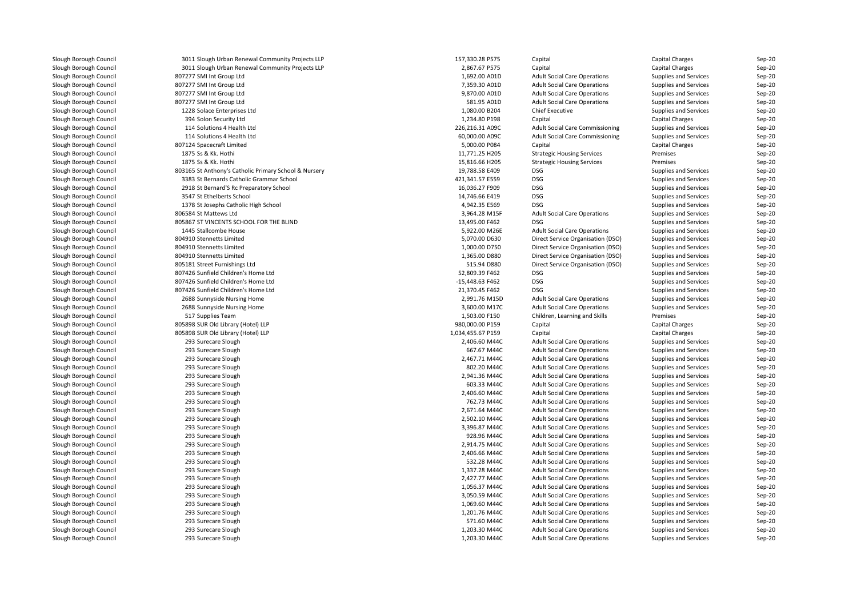| Slough Borough Council | 3011 Slough Urban Renewal Community Projects LLP      | 157,330.28 P575   | Capital                             | Capital Charges       | Sep-20   |
|------------------------|-------------------------------------------------------|-------------------|-------------------------------------|-----------------------|----------|
| Slough Borough Council | 3011 Slough Urban Renewal Community Projects LLP      | 2,867.67 P575     | Capital                             | Capital Charges       | Sep-20   |
| Slough Borough Council | 807277 SMI Int Group Ltd                              | 1,692.00 A01D     | <b>Adult Social Care Operations</b> | Supplies and Services | Sep-20   |
| Slough Borough Council | 807277 SMI Int Group Ltd                              | 7,359.30 A01D     | <b>Adult Social Care Operations</b> | Supplies and Services | Sep-20   |
| Slough Borough Council | 807277 SMI Int Group Ltd                              | 9,870.00 A01D     | <b>Adult Social Care Operations</b> | Supplies and Services | Sep-20   |
| Slough Borough Council | 807277 SMI Int Group Ltd                              | 581.95 A01D       | <b>Adult Social Care Operations</b> | Supplies and Services | Sep-20   |
| Slough Borough Council | 1228 Solace Enterprises Ltd                           | 1,080.00 B204     | <b>Chief Executive</b>              | Supplies and Services | Sep-20   |
| Slough Borough Council | 394 Solon Security Ltd                                | 1,234.80 P198     | Capital                             | Capital Charges       | $Sep-20$ |
| Slough Borough Council | 114 Solutions 4 Health Ltd                            | 226,216.31 A09C   | Adult Social Care Commissioning     | Supplies and Services | Sep-20   |
| Slough Borough Council | 114 Solutions 4 Health Ltd                            | 60,000.00 A09C    | Adult Social Care Commissioning     | Supplies and Services | Sep-20   |
| Slough Borough Council | 807124 Spacecraft Limited                             | 5,000.00 P084     | Capital                             | Capital Charges       | Sep-20   |
| Slough Borough Council | 1875 Ss & Kk. Hothi                                   | 11,771.25 H205    | <b>Strategic Housing Services</b>   | Premises              | Sep-20   |
| Slough Borough Council | 1875 Ss & Kk. Hothi                                   | 15,816.66 H205    | <b>Strategic Housing Services</b>   | Premises              | Sep-20   |
| Slough Borough Council | 803165 St Anthony's Catholic Primary School & Nursery | 19,788.58 E409    | <b>DSG</b>                          | Supplies and Services | Sep-20   |
| Slough Borough Council | 3383 St Bernards Catholic Grammar School              | 421,341.57 E559   | <b>DSG</b>                          | Supplies and Services | $Sep-20$ |
| Slough Borough Council | 2918 St Bernard'S Rc Preparatory School               | 16,036.27 F909    | <b>DSG</b>                          | Supplies and Services | Sep-20   |
| Slough Borough Council | 3547 St Ethelberts School                             | 14,746.66 E419    | <b>DSG</b>                          | Supplies and Services | Sep-20   |
| Slough Borough Council | 1378 St Josephs Catholic High School                  | 4,942.35 E569     | <b>DSG</b>                          | Supplies and Services | Sep-20   |
| Slough Borough Council | 806584 St Mattews Ltd                                 | 3,964.28 M15F     | <b>Adult Social Care Operations</b> | Supplies and Services | Sep-20   |
| Slough Borough Council | 805867 ST VINCENTS SCHOOL FOR THE BLIND               | 13,495.00 F462    | <b>DSG</b>                          | Supplies and Services | Sep-20   |
|                        | 1445 Stallcombe House                                 | 5,922.00 M26E     | <b>Adult Social Care Operations</b> |                       | Sep-20   |
| Slough Borough Council |                                                       |                   |                                     | Supplies and Services |          |
| Slough Borough Council | 804910 Stennetts Limited                              | 5,070.00 D630     | Direct Service Organisation (DSO)   | Supplies and Services | Sep-20   |
| Slough Borough Council | 804910 Stennetts Limited                              | 1,000.00 D750     | Direct Service Organisation (DSO)   | Supplies and Services | Sep-20   |
| Slough Borough Council | 804910 Stennetts Limited                              | 1,365.00 D880     | Direct Service Organisation (DSO)   | Supplies and Services | Sep-20   |
| Slough Borough Council | 805181 Street Furnishings Ltd                         | 515.94 D880       | Direct Service Organisation (DSO)   | Supplies and Services | Sep-20   |
| Slough Borough Council | 807426 Sunfield Children's Home Ltd                   | 52,809.39 F462    | <b>DSG</b>                          | Supplies and Services | Sep-20   |
| Slough Borough Council | 807426 Sunfield Children's Home Ltd                   | -15,448.63 F462   | <b>DSG</b>                          | Supplies and Services | $Sep-20$ |
| Slough Borough Council | 807426 Sunfield Children's Home Ltd                   | 21,370.45 F462    | <b>DSG</b>                          | Supplies and Services | Sep-20   |
| Slough Borough Council | 2688 Sunnyside Nursing Home                           | 2,991.76 M15D     | <b>Adult Social Care Operations</b> | Supplies and Services | Sep-20   |
| Slough Borough Council | 2688 Sunnyside Nursing Home                           | 3,600.00 M17C     | <b>Adult Social Care Operations</b> | Supplies and Services | Sep-20   |
| Slough Borough Council | 517 Supplies Team                                     | 1,503.00 F150     | Children, Learning and Skills       | Premises              | Sep-20   |
| Slough Borough Council | 805898 SUR Old Library (Hotel) LLP                    | 980,000.00 P159   | Capital                             | Capital Charges       | Sep-20   |
| Slough Borough Council | 805898 SUR Old Library (Hotel) LLP                    | 1,034,455.67 P159 | Capital                             | Capital Charges       | Sep-20   |
| Slough Borough Council | 293 Surecare Slough                                   | 2,406.60 M44C     | <b>Adult Social Care Operations</b> | Supplies and Services | $Sep-20$ |
| Slough Borough Council | 293 Surecare Slough                                   | 667.67 M44C       | <b>Adult Social Care Operations</b> | Supplies and Services | Sep-20   |
| Slough Borough Council | 293 Surecare Slough                                   | 2,467.71 M44C     | <b>Adult Social Care Operations</b> | Supplies and Services | Sep-20   |
| Slough Borough Council | 293 Surecare Slough                                   | 802.20 M44C       | <b>Adult Social Care Operations</b> | Supplies and Services | Sep-20   |
| Slough Borough Council | 293 Surecare Slough                                   | 2,941.36 M44C     | <b>Adult Social Care Operations</b> | Supplies and Services | Sep-20   |
| Slough Borough Council | 293 Surecare Slough                                   | 603.33 M44C       | <b>Adult Social Care Operations</b> | Supplies and Services | Sep-20   |
| Slough Borough Council | 293 Surecare Slough                                   | 2,406.60 M44C     | <b>Adult Social Care Operations</b> | Supplies and Services | Sep-20   |
| Slough Borough Council | 293 Surecare Slough                                   | 762.73 M44C       | <b>Adult Social Care Operations</b> | Supplies and Services | Sep-20   |
| Slough Borough Council | 293 Surecare Slough                                   | 2,671.64 M44C     | <b>Adult Social Care Operations</b> | Supplies and Services | Sep-20   |
| Slough Borough Council | 293 Surecare Slough                                   | 2,502.10 M44C     | <b>Adult Social Care Operations</b> | Supplies and Services | $Sep-20$ |
| Slough Borough Council | 293 Surecare Slough                                   | 3,396.87 M44C     | <b>Adult Social Care Operations</b> | Supplies and Services | Sep-20   |
| Slough Borough Council | 293 Surecare Slough                                   | 928.96 M44C       | <b>Adult Social Care Operations</b> | Supplies and Services | Sep-20   |
| Slough Borough Council | 293 Surecare Slough                                   | 2,914.75 M44C     | <b>Adult Social Care Operations</b> | Supplies and Services | $Sep-20$ |
| Slough Borough Council | 293 Surecare Slough                                   | 2,406.66 M44C     | <b>Adult Social Care Operations</b> | Supplies and Services | Sep-20   |
| Slough Borough Council | 293 Surecare Slough                                   | 532.28 M44C       | <b>Adult Social Care Operations</b> | Supplies and Services | Sep-20   |
| Slough Borough Council | 293 Surecare Slough                                   | 1,337.28 M44C     | <b>Adult Social Care Operations</b> | Supplies and Services | Sep-20   |
| Slough Borough Council | 293 Surecare Slough                                   | 2,427.77 M44C     | <b>Adult Social Care Operations</b> | Supplies and Services | Sep-20   |
| Slough Borough Council | 293 Surecare Slough                                   | 1,056.37 M44C     | <b>Adult Social Care Operations</b> | Supplies and Services | Sep-20   |
| Slough Borough Council | 293 Surecare Slough                                   | 3,050.59 M44C     | <b>Adult Social Care Operations</b> | Supplies and Services | Sep-20   |
| Slough Borough Council | 293 Surecare Slough                                   | 1,069.60 M44C     | <b>Adult Social Care Operations</b> | Supplies and Services | Sep-20   |
| Slough Borough Council | 293 Surecare Slough                                   | 1,201.76 M44C     | <b>Adult Social Care Operations</b> | Supplies and Services | $Sep-20$ |
| Slough Borough Council | 293 Surecare Slough                                   | 571.60 M44C       | <b>Adult Social Care Operations</b> | Supplies and Services | Sep-20   |
| Slough Borough Council | 293 Surecare Slough                                   | 1,203.30 M44C     | <b>Adult Social Care Operations</b> | Supplies and Services | Sep-20   |
| Slough Borough Council | 293 Surecare Slough                                   | 1,203.30 M44C     | <b>Adult Social Care Operations</b> | Supplies and Services | Sep-20   |
|                        |                                                       |                   |                                     |                       |          |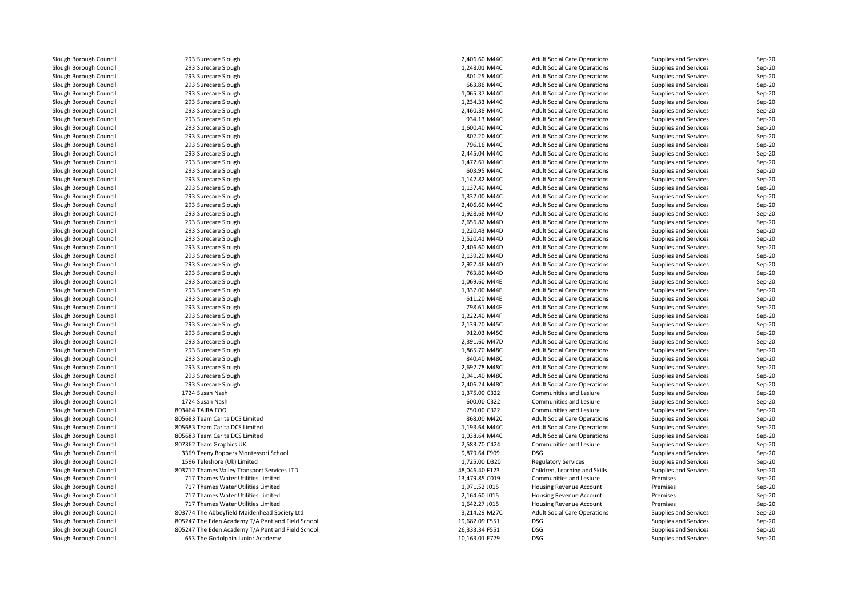Slough Borough Council 293 Surecare Slough<br>
Slough Borough Council 293 Surecare Slough Slough Borough Council 293 Surecare Slough<br>
293 Surecare Slough Council 293 Surecare Slough Slough Borough Council 293 Surecare Slough<br>
Slough Borough Council 293 Surecare Slough Slough Borough Council 293 Surecare Slough<br>
293 Surecare Slough Council 293 Surecare Slough Slough Borough Council 293 Surecare Slough<br>
293 Surecare Slough Council 293 Surecare Slough Slough Borough Council 293 Surecare Slough<br>
Slough Borough Council 293 Surecare Slough Slough Borough Council 293 Surecare Slough<br>
293 Surecare Slough Council 293 Surecare Slough Slough Borough Council 293 Surecare Slough<br>
Slough Borough Council 293 Surecare Slough Slough Borough Council 293 Surecare Slough<br>
293 Surecare Slough Council 293 Surecare Slough Slough Borough Council 293 Surecare Slough<br>
293 Surecare Slough Council 293 Surecare Slough Slough Borough Council 293 Surecare Slough<br>
Slough Borough Council 293 Surecare Slough Slough Borough Council **293 Surecare Slough Council** 2018 Surecare Slough Slough Borough Council 293 Surecare Slough<br>
Slough Borough Council 293 Surecare Slough Slough Borough Council 293 Surecare Slough<br>
293 Surecare Slough Council 293 Surecare Slough Slough Borough Council 293 Surecare Slough<br>
293 Surecare Slough Council 293 Surecare Slough Slough Borough Council **293 Surecare Slough Council** 293 Surecare Slough Slough Borough Council **293 Surecare Slough Council** 293 Surecare Slough Slough Slough Borough Council 293 Surecare Slough<br>
Slough Borough Council 293 Surecare Slough Slough Borough Council 293 Surecare Slough<br>
293 Surecare Slough Council 293 Surecare Slough Slough Borough Council **293 Surecare Slough Council 1998**<br>
293 Surecare Slough Council **293 Surecare Slough** Slough Borough Council 293 Surecare Slough<br>
Slough Borough Council 293 Surecare Slough Slough Borough Council 293 Surecare Slough<br>
293 Surecare Slough Council 293 Surecare Slough Slough Borough Council 293 Surecare Slough<br>
293 Surecare Slough Council 293 Surecare Slough Slough Borough Council **293 Surecare Slough Council** 293 Surecare Slough Slough Borough Council **293 Surecare Slough Council** 293 Surecare Slough Slough Borough Council 293 Surecare Slough<br>
Slough Borough Council 293 Surecare Slough Slough Borough Council 293 Surecare Slough<br>
293 Surecare Slough Council 293 Surecare Slough Slough Borough Council 293 Surecare Slough<br>
Slough Borough Council 293 Surecare Slough Slough Borough Council **293 Surecare Slough Council** 293 Surecare Slough Slough Borough Council 293 Surecare Slough<br>
293 Surecare Slough Council 293 Surecare Slough Slough Borough Council 293 Surecare Slough<br>
Slough Borough Council 293 Surecare Slough Slough Borough Council 293 Surecare Slough<br>
293 Surecare Slough Council 293 Surecare Slough Slough Borough Council **293 Surecare Slough Council** 293 Surecare Slough Slough Borough Council 293 Surecare Slough<br>
293 Surecare Slough Council 293 Surecare Slough Slough Borough Council 293 Surecare Slough<br>
293 Surecare Slough Council 293 Surecare Slough Slough Borough Council 293 Surecare Slough<br>
Slough Borough Council 293 Surecare Slough Slough Borough Council **293 Surecare Slough Council** 2018 Surecare Slough Slough Borough Council **293 Surecare Slough Council** 203 Surecare Slough Slough Borough Council 293 Surecare Slough Borough Council 203 Surecare Slough Borough 203 Surecare Slough Slough Borough 30 Slough Borough Council 1724 Susan Nash<br>Slough Borough Council 1724 Susan Nash Slough Borough Council 1724 Susan Nash<br>Slough Borough Council 1724 Susan Nash Slough Borough Council<br>Slough Borough Council Slough Borough Council **805683 Team Carita DCS Limited**<br>805683 Team Carita DCS Limited Slough Borough Council **805683 Team Carita DCS Limited**<br>805683 Team Carita DCS Limited Slough Borough Council and Supervisor 807362 Team Graphics UK<br>Slough Borough Council and Supervisor 807 Supervisor Borough Council Slough Borough Council 1596 Teleshore (Uk) Limited<br>1596 Teleshore (Uk) Limited<br>159712 Thames Valley Transpo

Slough Borough Council **805683 Team Carita DCS Limited**<br>
807362 Team Graphics UK Slough Borough Council 3369 Teeny Boppers Montessori School 3569 Teeny Boppers Montessori School 3679.64 F909 D<br>Slough Borough Council 3596 Teleshore (Uk) Limited 359.64 Feeshore (Uk) Limited 359.64 Feeshore (Uk) Limited 3 Slough Borough Council **803712 Thames Valley Transport Services LTD**<br>Slough Borough Council **1998** 717 Thames Water Utilities Limited Slough Borough Council **1988** Thames Water Utilities Limited<br>1717 Thames Water Utilities Limited Slough Borough Council **1988** 717 Thames Water Utilities Limited<br>
717 Thames Water Utilities Limited Slough Borough Council 1992 12 Thames Water Utilities Limited<br>1717 Thames Water Utilities Limited Slough Borough Council **717 Thames Water Utilities Limited**<br>303774 The Abbeyfield Maidenhead So Slough Borough Council <sup>803774</sup> The Abbeyfield Maidenhead Society LtdSlough Borough Council 19, 305247 The Eden Academy T/A Pentland Field School 19, 19, 19, 19, 19, 19, 19, 19, F<br>Slough Borough Council 19, 19, 805247 The Eden Academy T/A Pentland Field School Slough Borough Council 26, 305247 The Eden Academy T/A Pentland Field School 26, 2003.<br>Slough Borough Council 20, 2003. The Godolphin Junior Academy 653 The Godolphin Junior Academy

| Slough                            | 2,406.60 M44C                  | <b>Adult Social Care Operations</b> | Supplies and Services        | Sep-20   |
|-----------------------------------|--------------------------------|-------------------------------------|------------------------------|----------|
| Slough                            | 1,248.01 M44C                  | <b>Adult Social Care Operations</b> | Supplies and Services        | Sep-20   |
| Slough                            | 801.25 M44C                    | <b>Adult Social Care Operations</b> | <b>Supplies and Services</b> | $Sep-20$ |
| Slough                            | 663.86 M44C                    | <b>Adult Social Care Operations</b> | <b>Supplies and Services</b> | $Sep-20$ |
| Slough                            | 1,065.37 M44C                  | <b>Adult Social Care Operations</b> | <b>Supplies and Services</b> | Sep-20   |
| Slough                            | 1,234.33 M44C                  | <b>Adult Social Care Operations</b> | <b>Supplies and Services</b> | $Sep-20$ |
| Slough                            | 2,460.38 M44C                  | <b>Adult Social Care Operations</b> | <b>Supplies and Services</b> | $Sep-20$ |
| Slough                            | 934.13 M44C                    | <b>Adult Social Care Operations</b> | <b>Supplies and Services</b> | $Sep-20$ |
| Slough                            | 1,600.40 M44C                  | <b>Adult Social Care Operations</b> | <b>Supplies and Services</b> | Sep-20   |
| Slough                            | 802.20 M44C                    | <b>Adult Social Care Operations</b> | <b>Supplies and Services</b> | $Sep-20$ |
| Slough                            | 796.16 M44C                    | <b>Adult Social Care Operations</b> | <b>Supplies and Services</b> | Sep-20   |
| Slough                            | 2,445.04 M44C                  | <b>Adult Social Care Operations</b> | <b>Supplies and Services</b> | $Sep-20$ |
| Slough                            | 1,472.61 M44C                  | <b>Adult Social Care Operations</b> | Supplies and Services        | Sep-20   |
| Slough                            | 603.95 M44C                    | <b>Adult Social Care Operations</b> | <b>Supplies and Services</b> | $Sep-20$ |
| Slough                            | 1,142.82 M44C                  | <b>Adult Social Care Operations</b> | Supplies and Services        | Sep-20   |
| Slough                            | 1,137.40 M44C                  | <b>Adult Social Care Operations</b> | Supplies and Services        | $Sep-20$ |
| Slough                            | 1,337.00 M44C                  | <b>Adult Social Care Operations</b> | <b>Supplies and Services</b> | $Sep-20$ |
| Slough                            | 2,406.60 M44C                  | <b>Adult Social Care Operations</b> | <b>Supplies and Services</b> | Sep-20   |
| Slough                            | 1,928.68 M44D                  | <b>Adult Social Care Operations</b> | <b>Supplies and Services</b> | Sep-20   |
| Slough                            | 2,656.82 M44D                  | <b>Adult Social Care Operations</b> | <b>Supplies and Services</b> | $Sep-20$ |
| Slough                            | 1,220.43 M44D                  | <b>Adult Social Care Operations</b> | Supplies and Services        | Sep-20   |
| Slough                            | 2,520.41 M44D                  | <b>Adult Social Care Operations</b> | <b>Supplies and Services</b> | Sep-20   |
| Slough                            | 2,406.60 M44D                  | <b>Adult Social Care Operations</b> | <b>Supplies and Services</b> | $Sep-20$ |
| Slough                            | 2,139.20 M44D                  | <b>Adult Social Care Operations</b> | <b>Supplies and Services</b> | $Sep-20$ |
| Slough                            | 2,927.46 M44D                  | <b>Adult Social Care Operations</b> | <b>Supplies and Services</b> | $Sep-20$ |
| Slough                            | 763.80 M44D                    | <b>Adult Social Care Operations</b> | <b>Supplies and Services</b> | Sep-20   |
| Slough                            | 1,069.60 M44E                  | <b>Adult Social Care Operations</b> | <b>Supplies and Services</b> | $Sep-20$ |
| Slough                            | 1,337.00 M44E                  | <b>Adult Social Care Operations</b> | <b>Supplies and Services</b> | $Sep-20$ |
| Slough                            | 611.20 M44E                    | <b>Adult Social Care Operations</b> | <b>Supplies and Services</b> | $Sep-20$ |
| Slough                            | 798.61 M44F                    | <b>Adult Social Care Operations</b> | <b>Supplies and Services</b> | $Sep-20$ |
|                                   |                                |                                     |                              |          |
| Slough                            | 1,222.40 M44F<br>2,139.20 M45C | <b>Adult Social Care Operations</b> | Supplies and Services        | Sep-20   |
| Slough                            |                                | <b>Adult Social Care Operations</b> | <b>Supplies and Services</b> | $Sep-20$ |
| Slough                            | 912.03 M45C                    | <b>Adult Social Care Operations</b> | <b>Supplies and Services</b> | Sep-20   |
| Slough                            | 2,391.60 M47D                  | <b>Adult Social Care Operations</b> | Supplies and Services        | $Sep-20$ |
| Slough                            | 1,865.70 M48C                  | <b>Adult Social Care Operations</b> | <b>Supplies and Services</b> | $Sep-20$ |
| Slough                            | 840.40 M48C                    | <b>Adult Social Care Operations</b> | Supplies and Services        | Sep-20   |
| Slough                            | 2,692.78 M48C                  | <b>Adult Social Care Operations</b> | <b>Supplies and Services</b> | $Sep-20$ |
| Slough                            | 2,941.40 M48C                  | <b>Adult Social Care Operations</b> | <b>Supplies and Services</b> | $Sep-20$ |
| Slough                            | 2,406.24 M48C                  | <b>Adult Social Care Operations</b> | <b>Supplies and Services</b> | $Sep-20$ |
| sh                                | 1,375.00 C322                  | Communities and Lesiure             | <b>Supplies and Services</b> | $Sep-20$ |
| sh                                | 600.00 C322                    | <b>Communities and Lesiure</b>      | <b>Supplies and Services</b> | $Sep-20$ |
| O                                 | 750.00 C322                    | Communities and Lesiure             | <b>Supplies and Services</b> | Sep-20   |
| ita DCS Limited                   | 868.00 M42C                    | <b>Adult Social Care Operations</b> | <b>Supplies and Services</b> | $Sep-20$ |
| ita DCS Limited                   | 1,193.64 M44C                  | <b>Adult Social Care Operations</b> | <b>Supplies and Services</b> | $Sep-20$ |
| ita DCS Limited                   | 1,038.64 M44C                  | <b>Adult Social Care Operations</b> | <b>Supplies and Services</b> | Sep-20   |
| phics UK                          | 2,583.70 C424                  | Communities and Lesiure             | <b>Supplies and Services</b> | $Sep-20$ |
| ppers Montessori School           | 9,879.64 F909                  | <b>DSG</b>                          | Supplies and Services        | Sep-20   |
| : (Uk) Limited                    | 1,725.00 D320                  | <b>Regulatory Services</b>          | Supplies and Services        | Sep-20   |
| alley Transport Services LTD      | 48,046.40 F123                 | Children, Learning and Skills       | Supplies and Services        | $Sep-20$ |
| Vater Utilities Limited           | 13,479.85 C019                 | Communities and Lesiure             | Premises                     | $Sep-20$ |
| Vater Utilities Limited           | 1,971.52 J015                  | Housing Revenue Account             | Premises                     | $Sep-20$ |
| Vater Utilities Limited           | 2,164.60 J015                  | Housing Revenue Account             | Premises                     | Sep-20   |
| Vater Utilities Limited           | 1,642.27 J015                  | Housing Revenue Account             | Premises                     | Sep-20   |
| yfield Maidenhead Society Ltd     | 3,214.29 M27C                  | <b>Adult Social Care Operations</b> | <b>Supplies and Services</b> | $Sep-20$ |
| Academy T/A Pentland Field School | 19,682.09 F551                 | <b>DSG</b>                          | Supplies and Services        | $Sep-20$ |
| Academy T/A Pentland Field School | 26,333.34 F551                 | <b>DSG</b>                          | Supplies and Services        | Sep-20   |
| Iphin Junior Academy              | 10,163.01 E779                 | <b>DSG</b>                          | Supplies and Services        | $Sep-20$ |
|                                   |                                |                                     |                              |          |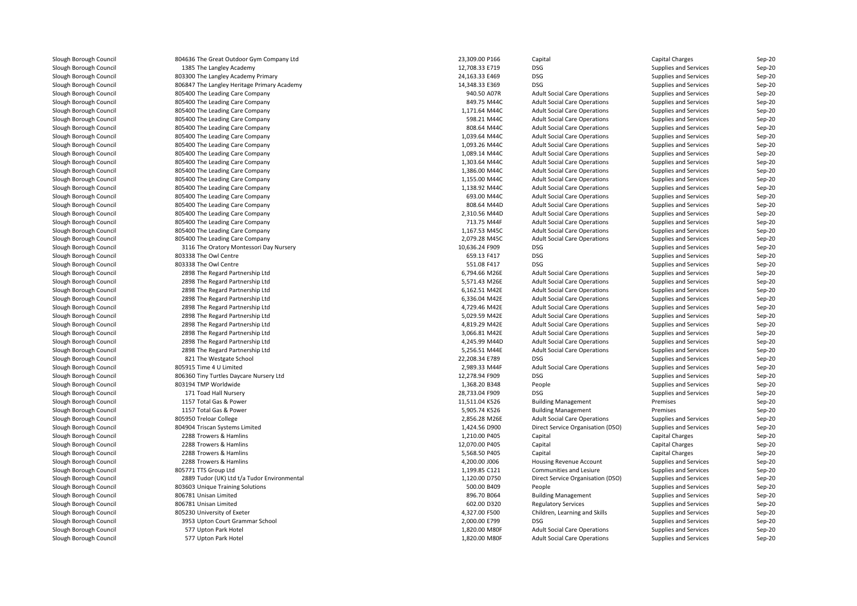| Slough Borough Council                           | 804636 The Great Outdoor Gym Company Ltd    | 23,309.00 P166 | Capital                                     | Capital Charges                                | Sep-20           |
|--------------------------------------------------|---------------------------------------------|----------------|---------------------------------------------|------------------------------------------------|------------------|
| Slough Borough Council                           | 1385 The Langley Academy                    | 12,708.33 E719 | DSG                                         | Supplies and Services                          | Sep-20           |
| Slough Borough Council                           | 803300 The Langley Academy Primary          | 24,163.33 E469 | DSG                                         | Supplies and Services                          | Sep-20           |
| Slough Borough Council                           | 806847 The Langley Heritage Primary Academy | 14,348.33 E369 | <b>DSG</b>                                  | Supplies and Services                          | Sep-20           |
| Slough Borough Council                           | 805400 The Leading Care Company             | 940.50 A07R    | <b>Adult Social Care Operations</b>         | Supplies and Services                          | Sep-20           |
| Slough Borough Council                           | 805400 The Leading Care Company             | 849.75 M44C    | <b>Adult Social Care Operations</b>         | Supplies and Services                          | Sep-20           |
| Slough Borough Council                           | 805400 The Leading Care Company             | 1,171.64 M44C  | <b>Adult Social Care Operations</b>         | Supplies and Services                          | Sep-20           |
| Slough Borough Council                           | 805400 The Leading Care Company             | 598.21 M44C    | <b>Adult Social Care Operations</b>         | Supplies and Services                          | Sep-20           |
| Slough Borough Council                           | 805400 The Leading Care Company             | 808.64 M44C    | <b>Adult Social Care Operations</b>         | Supplies and Services                          | Sep-20           |
| Slough Borough Council                           | 805400 The Leading Care Company             | 1,039.64 M44C  | <b>Adult Social Care Operations</b>         | Supplies and Services                          | Sep-20           |
| Slough Borough Council                           | 805400 The Leading Care Company             | 1,093.26 M44C  | <b>Adult Social Care Operations</b>         | Supplies and Services                          | Sep-20           |
| Slough Borough Council                           | 805400 The Leading Care Company             | 1,089.14 M44C  | <b>Adult Social Care Operations</b>         | Supplies and Services                          | Sep-20           |
| Slough Borough Council                           | 805400 The Leading Care Company             | 1,303.64 M44C  | <b>Adult Social Care Operations</b>         | Supplies and Services                          | Sep-20           |
| Slough Borough Council                           | 805400 The Leading Care Company             | 1,386.00 M44C  | <b>Adult Social Care Operations</b>         | Supplies and Services                          | Sep-20           |
| Slough Borough Council                           | 805400 The Leading Care Company             | 1,155.00 M44C  | <b>Adult Social Care Operations</b>         | Supplies and Services                          | Sep-20           |
| Slough Borough Council                           | 805400 The Leading Care Company             | 1,138.92 M44C  | <b>Adult Social Care Operations</b>         | Supplies and Services                          | Sep-20           |
| Slough Borough Council                           | 805400 The Leading Care Company             | 693.00 M44C    | <b>Adult Social Care Operations</b>         | Supplies and Services                          | Sep-20           |
| Slough Borough Council                           | 805400 The Leading Care Company             | 808.64 M44D    | <b>Adult Social Care Operations</b>         | Supplies and Services                          | Sep-20           |
| Slough Borough Council                           | 805400 The Leading Care Company             | 2.310.56 M44D  | <b>Adult Social Care Operations</b>         | Supplies and Services                          | Sep-20           |
| Slough Borough Council                           |                                             | 713.75 M44F    |                                             |                                                |                  |
|                                                  | 805400 The Leading Care Company             |                | <b>Adult Social Care Operations</b>         | Supplies and Services                          | Sep-20           |
| Slough Borough Council                           | 805400 The Leading Care Company             | 1,167.53 M45C  | <b>Adult Social Care Operations</b>         | Supplies and Services                          | Sep-20           |
| Slough Borough Council                           | 805400 The Leading Care Company             | 2,079.28 M45C  | <b>Adult Social Care Operations</b>         | Supplies and Services                          | Sep-20           |
| Slough Borough Council                           | 3116 The Oratory Montessori Day Nursery     | 10,636.24 F909 | DSG                                         | Supplies and Services                          | Sep-20           |
| Slough Borough Council                           | 803338 The Owl Centre                       | 659.13 F417    | <b>DSG</b>                                  | Supplies and Services                          | Sep-20           |
| Slough Borough Council                           | 803338 The Owl Centre                       | 551.08 F417    | <b>DSG</b>                                  | Supplies and Services                          | Sep-20           |
| Slough Borough Council                           | 2898 The Regard Partnership Ltd             | 6,794.66 M26E  | <b>Adult Social Care Operations</b>         | Supplies and Services                          | Sep-20           |
| Slough Borough Council                           | 2898 The Regard Partnership Ltd             | 5,571.43 M26E  | <b>Adult Social Care Operations</b>         | Supplies and Services                          | Sep-20           |
| Slough Borough Council                           | 2898 The Regard Partnership Ltd             | 6,162.51 M42E  | <b>Adult Social Care Operations</b>         | Supplies and Services                          | Sep-20           |
| Slough Borough Council                           | 2898 The Regard Partnership Ltd             | 6,336.04 M42E  | <b>Adult Social Care Operations</b>         | Supplies and Services                          | Sep-20           |
| Slough Borough Council                           | 2898 The Regard Partnership Ltd             | 4,729.46 M42E  | <b>Adult Social Care Operations</b>         | Supplies and Services                          | Sep-20           |
| Slough Borough Council                           | 2898 The Regard Partnership Ltd             | 5,029.59 M42E  | <b>Adult Social Care Operations</b>         | Supplies and Services                          | Sep-20           |
| Slough Borough Council                           | 2898 The Regard Partnership Ltd             | 4,819.29 M42E  | <b>Adult Social Care Operations</b>         | Supplies and Services                          | Sep-20           |
| Slough Borough Council                           | 2898 The Regard Partnership Ltd             | 3,066.81 M42E  | <b>Adult Social Care Operations</b>         | Supplies and Services                          | Sep-20           |
| Slough Borough Council                           | 2898 The Regard Partnership Ltd             | 4,245.99 M44D  | <b>Adult Social Care Operations</b>         | Supplies and Services                          | Sep-20           |
| Slough Borough Council                           | 2898 The Regard Partnership Ltd             | 5,256.51 M44E  | <b>Adult Social Care Operations</b>         | Supplies and Services                          | Sep-20           |
| Slough Borough Council                           | 821 The Westgate School                     | 22,208.34 E789 | DSG                                         | Supplies and Services                          | Sep-20           |
| Slough Borough Council                           | 805915 Time 4 U Limited                     | 2,989.33 M44F  | <b>Adult Social Care Operations</b>         | Supplies and Services                          | Sep-20           |
| Slough Borough Council                           | 806360 Tiny Turtles Daycare Nursery Ltd     | 12,278.94 F909 | DSG                                         | Supplies and Services                          | Sep-20           |
| Slough Borough Council                           | 803194 TMP Worldwide                        | 1,368.20 B348  | People                                      | Supplies and Services                          | Sep-20           |
| Slough Borough Council                           | 171 Toad Hall Nursery                       | 28,733.04 F909 | <b>DSG</b>                                  | Supplies and Services                          | Sep-20           |
| Slough Borough Council                           | 1157 Total Gas & Power                      | 11,511.04 K526 | <b>Building Management</b>                  | Premises                                       | Sep-20           |
| Slough Borough Council                           | 1157 Total Gas & Power                      | 5,905.74 K526  | <b>Building Management</b>                  | Premises                                       | Sep-20           |
| Slough Borough Council                           | 805950 Treloar College                      | 2,856.28 M26E  | <b>Adult Social Care Operations</b>         | Supplies and Services                          | Sep-20           |
| Slough Borough Council                           | 804904 Triscan Systems Limited              | 1,424.56 D900  | Direct Service Organisation (DSO)           | Supplies and Services                          | Sep-20           |
| Slough Borough Council                           | 2288 Trowers & Hamlins                      | 1,210.00 P405  | Capital                                     | Capital Charges                                | Sep-20           |
| Slough Borough Council                           | 2288 Trowers & Hamlins                      | 12,070.00 P405 | Capital                                     | Capital Charges                                | Sep-20           |
| Slough Borough Council                           | 2288 Trowers & Hamlins                      | 5,568.50 P405  | Capital                                     | Capital Charges                                | Sep-20           |
| Slough Borough Council                           | 2288 Trowers & Hamlins                      | 4,200.00 J006  | Housing Revenue Account                     | Supplies and Services                          | Sep-20           |
| Slough Borough Council                           | 805771 TTS Group Ltd                        | 1,199.85 C121  | Communities and Lesiure                     | Supplies and Services                          | Sep-20           |
| Slough Borough Council                           | 2889 Tudor (UK) Ltd t/a Tudor Environmental | 1,120.00 D750  | Direct Service Organisation (DSO)           | Supplies and Services                          | Sep-20           |
| Slough Borough Council                           | 803603 Unique Training Solutions            | 500.00 B409    | People                                      | Supplies and Services                          | Sep-20           |
| Slough Borough Council                           | 806781 Unisan Limited                       | 896.70 B064    | <b>Building Management</b>                  | Supplies and Services                          | Sep-20           |
| Slough Borough Council                           | 806781 Unisan Limited                       | 602.00 D320    | <b>Regulatory Services</b>                  | Supplies and Services                          | Sep-20           |
|                                                  | 805230 University of Exeter                 | 4,327.00 F500  |                                             |                                                |                  |
| Slough Borough Council<br>Slough Borough Council | 3953 Upton Court Grammar School             | 2,000.00 E799  | Children, Learning and Skills<br><b>DSG</b> | Supplies and Services<br>Supplies and Services | Sep-20<br>Sep-20 |
|                                                  |                                             |                |                                             |                                                |                  |
| Slough Borough Council                           | 577 Upton Park Hotel                        | 1,820.00 M80F  | <b>Adult Social Care Operations</b>         | Supplies and Services                          | Sep-20           |
| Slough Borough Council                           | 577 Upton Park Hotel                        | 1,820.00 M80F  | <b>Adult Social Care Operations</b>         | Supplies and Services                          | Sep-20           |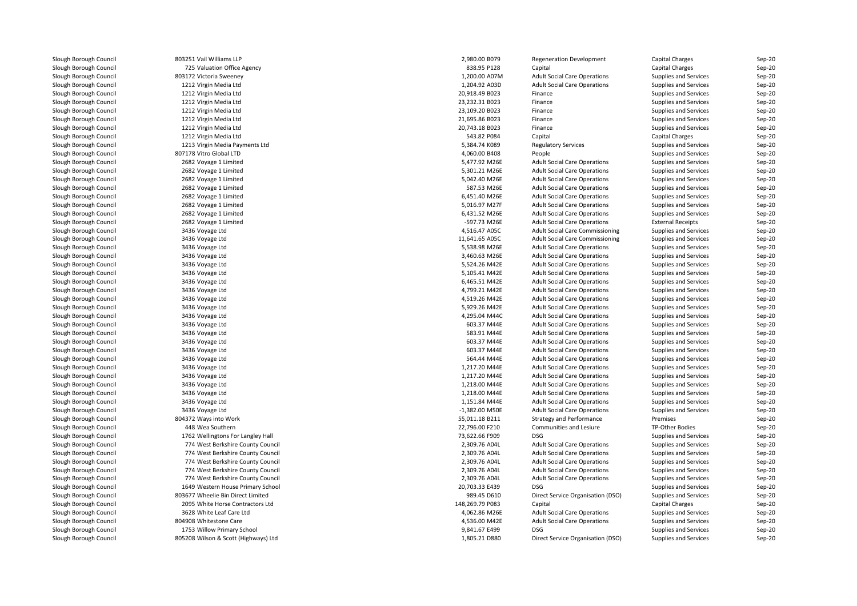| Slough Borough Council | 803251 Vail Williams LLP             | 2,980.00 B079    | <b>Regeneration Development</b>     | Capital Charges              | Sep-20   |
|------------------------|--------------------------------------|------------------|-------------------------------------|------------------------------|----------|
| Slough Borough Council | 725 Valuation Office Agency          | 838.95 P128      | Capital                             | Capital Charges              | Sep-20   |
| Slough Borough Council | 803172 Victoria Sweeney              | 1,200.00 A07M    | <b>Adult Social Care Operations</b> | Supplies and Services        | Sep-20   |
| Slough Borough Council | 1212 Virgin Media Ltd                | 1,204.92 A03D    | <b>Adult Social Care Operations</b> | Supplies and Services        | Sep-20   |
| Slough Borough Council | 1212 Virgin Media Ltd                | 20,918.49 B023   | Finance                             | Supplies and Services        | Sep-20   |
| Slough Borough Council | 1212 Virgin Media Ltd                | 23,232.31 B023   | Finance                             | Supplies and Services        | Sep-20   |
| Slough Borough Council | 1212 Virgin Media Ltd                | 23,109.20 B023   | Finance                             | Supplies and Services        | Sep-20   |
| Slough Borough Council | 1212 Virgin Media Ltd                | 21,695.86 B023   | Finance                             | Supplies and Services        | Sep-20   |
| Slough Borough Council | 1212 Virgin Media Ltd                | 20,743.18 B023   | Finance                             | Supplies and Services        | $Sep-20$ |
| Slough Borough Council | 1212 Virgin Media Ltd                | 543.82 P084      | Capital                             | Capital Charges              | $Sep-20$ |
| Slough Borough Council | 1213 Virgin Media Payments Ltd       | 5,384.74 K089    | <b>Regulatory Services</b>          | Supplies and Services        | Sep-20   |
| Slough Borough Council | 807178 Vitro Global LTD              | 4,060.00 B408    | People                              | Supplies and Services        | Sep-20   |
| Slough Borough Council | 2682 Voyage 1 Limited                | 5,477.92 M26E    | <b>Adult Social Care Operations</b> | Supplies and Services        | Sep-20   |
| Slough Borough Council | 2682 Voyage 1 Limited                | 5,301.21 M26E    | <b>Adult Social Care Operations</b> | Supplies and Services        | $Sep-20$ |
| Slough Borough Council | 2682 Voyage 1 Limited                | 5,042.40 M26E    | <b>Adult Social Care Operations</b> | Supplies and Services        | Sep-20   |
| Slough Borough Council | 2682 Voyage 1 Limited                | 587.53 M26E      | <b>Adult Social Care Operations</b> | Supplies and Services        | Sep-20   |
| Slough Borough Council | 2682 Voyage 1 Limited                | 6,451.40 M26E    | <b>Adult Social Care Operations</b> | Supplies and Services        | Sep-20   |
| Slough Borough Council | 2682 Voyage 1 Limited                | 5,016.97 M27F    | <b>Adult Social Care Operations</b> | Supplies and Services        | $Sep-20$ |
| Slough Borough Council | 2682 Voyage 1 Limited                | 6,431.52 M26E    | <b>Adult Social Care Operations</b> | Supplies and Services        | Sep-20   |
| Slough Borough Council | 2682 Voyage 1 Limited                | -597.73 M26E     | <b>Adult Social Care Operations</b> | <b>External Receipts</b>     | Sep-20   |
| Slough Borough Council | 3436 Voyage Ltd                      | 4,516.47 A05C    | Adult Social Care Commissioning     | Supplies and Services        | Sep-20   |
| Slough Borough Council | 3436 Voyage Ltd                      | 11,641.65 A05C   | Adult Social Care Commissioning     | Supplies and Services        | Sep-20   |
| Slough Borough Council | 3436 Voyage Ltd                      | 5,538.98 M26E    | <b>Adult Social Care Operations</b> | Supplies and Services        | Sep-20   |
| Slough Borough Council | 3436 Voyage Ltd                      | 3,460.63 M26E    | <b>Adult Social Care Operations</b> | Supplies and Services        | Sep-20   |
| Slough Borough Council | 3436 Voyage Ltd                      | 5,524.26 M42E    | <b>Adult Social Care Operations</b> | Supplies and Services        | Sep-20   |
| Slough Borough Council | 3436 Voyage Ltd                      | 5,105.41 M42E    | <b>Adult Social Care Operations</b> | Supplies and Services        | $Sep-20$ |
| Slough Borough Council | 3436 Voyage Ltd                      | 6,465.51 M42E    | <b>Adult Social Care Operations</b> | Supplies and Services        | Sep-20   |
| Slough Borough Council | 3436 Voyage Ltd                      | 4,799.21 M42E    | <b>Adult Social Care Operations</b> | Supplies and Services        | Sep-20   |
| Slough Borough Council | 3436 Voyage Ltd                      | 4,519.26 M42E    | <b>Adult Social Care Operations</b> | <b>Supplies and Services</b> | Sep-20   |
| Slough Borough Council | 3436 Voyage Ltd                      | 5,929.26 M42E    | <b>Adult Social Care Operations</b> | Supplies and Services        | $Sep-20$ |
| Slough Borough Council | 3436 Voyage Ltd                      | 4,295.04 M44C    | <b>Adult Social Care Operations</b> | Supplies and Services        | Sep-20   |
| Slough Borough Council | 3436 Voyage Ltd                      | 603.37 M44E      | <b>Adult Social Care Operations</b> | Supplies and Services        | Sep-20   |
| Slough Borough Council | 3436 Voyage Ltd                      | 583.91 M44E      | <b>Adult Social Care Operations</b> | Supplies and Services        | Sep-20   |
| Slough Borough Council | 3436 Voyage Ltd                      | 603.37 M44E      | <b>Adult Social Care Operations</b> | Supplies and Services        | Sep-20   |
| Slough Borough Council | 3436 Voyage Ltd                      | 603.37 M44E      | <b>Adult Social Care Operations</b> | Supplies and Services        | Sep-20   |
| Slough Borough Council | 3436 Voyage Ltd                      | 564.44 M44E      | <b>Adult Social Care Operations</b> | Supplies and Services        | Sep-20   |
| Slough Borough Council | 3436 Voyage Ltd                      | 1,217.20 M44E    | <b>Adult Social Care Operations</b> | Supplies and Services        | $Sep-20$ |
| Slough Borough Council | 3436 Voyage Ltd                      | 1,217.20 M44E    | <b>Adult Social Care Operations</b> | Supplies and Services        | $Sep-20$ |
| Slough Borough Council | 3436 Voyage Ltd                      | 1,218.00 M44E    | <b>Adult Social Care Operations</b> | Supplies and Services        | Sep-20   |
| Slough Borough Council | 3436 Voyage Ltd                      | 1,218.00 M44E    | <b>Adult Social Care Operations</b> | Supplies and Services        | Sep-20   |
| Slough Borough Council | 3436 Voyage Ltd                      | 1,151.84 M44E    | <b>Adult Social Care Operations</b> | Supplies and Services        | $Sep-20$ |
| Slough Borough Council | 3436 Voyage Ltd                      | $-1,382.00$ M50E | <b>Adult Social Care Operations</b> | Supplies and Services        | $Sep-20$ |
| Slough Borough Council | 804372 Ways into Work                | 55,011.18 B211   | Strategy and Performance            | Premises                     | Sep-20   |
| Slough Borough Council | 448 Wea Southern                     | 22,796.00 F210   | Communities and Lesiure             | TP-Other Bodies              | Sep-20   |
| Slough Borough Council | 1762 Wellingtons For Langley Hall    | 73,622.66 F909   | <b>DSG</b>                          | Supplies and Services        | Sep-20   |
| Slough Borough Council | 774 West Berkshire County Council    | 2,309.76 A04L    | <b>Adult Social Care Operations</b> | Supplies and Services        | Sep-20   |
| Slough Borough Council | 774 West Berkshire County Council    | 2,309.76 A04L    | <b>Adult Social Care Operations</b> | Supplies and Services        | Sep-20   |
| Slough Borough Council | 774 West Berkshire County Council    | 2,309.76 A04L    | <b>Adult Social Care Operations</b> | Supplies and Services        | Sep-20   |
| Slough Borough Council | 774 West Berkshire County Council    | 2,309.76 A04L    | <b>Adult Social Care Operations</b> | Supplies and Services        | Sep-20   |
| Slough Borough Council | 774 West Berkshire County Council    | 2,309.76 A04L    | <b>Adult Social Care Operations</b> | Supplies and Services        | $Sep-20$ |
| Slough Borough Council | 1649 Western House Primary School    | 20,703.33 E439   | <b>DSG</b>                          | Supplies and Services        | Sep-20   |
| Slough Borough Council | 803677 Wheelie Bin Direct Limited    | 989.45 D610      | Direct Service Organisation (DSO)   | Supplies and Services        | Sep-20   |
| Slough Borough Council | 2095 White Horse Contractors Ltd     | 148,269.79 P083  | Capital                             | Capital Charges              | Sep-20   |
| Slough Borough Council | 3628 White Leaf Care Ltd             | 4,062.86 M26E    | <b>Adult Social Care Operations</b> | Supplies and Services        | Sep-20   |
| Slough Borough Council | 804908 Whitestone Care               | 4,536.00 M42E    | <b>Adult Social Care Operations</b> | Supplies and Services        | Sep-20   |
| Slough Borough Council | 1753 Willow Primary School           | 9,841.67 E499    | <b>DSG</b>                          | Supplies and Services        | Sep-20   |
| Slough Borough Council | 805208 Wilson & Scott (Highways) Ltd | 1,805.21 D880    | Direct Service Organisation (DSO)   | Supplies and Services        | Sep-20   |